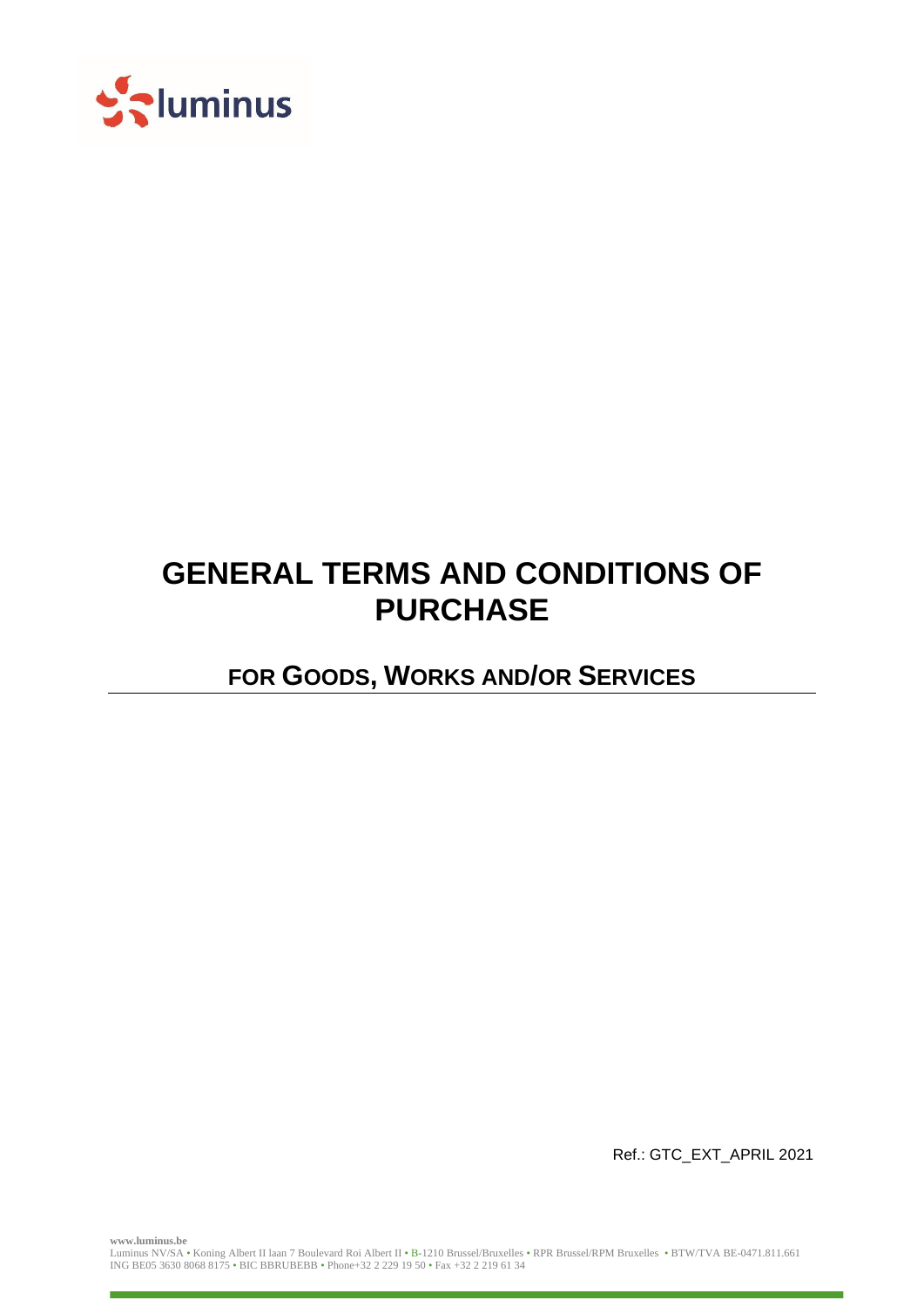

# **GENERAL TERMS AND CONDITIONS OF PURCHASE**

**FOR GOODS, WORKS AND/OR SERVICES**

Ref.: GTC\_EXT\_APRIL 2021

**www.luminus.be**

Luminus NV/SA • Koning Albert II laan 7 Boulevard Roi Albert II • B-1210 Brussel/Bruxelles • RPR Brussel/RPM Bruxelles • BTW/TVA BE-0471.811.661 ING BE05 3630 8068 8175 • BIC BBRUBEBB • Phone+32 2 229 19 50 • Fax +32 2 219 61 34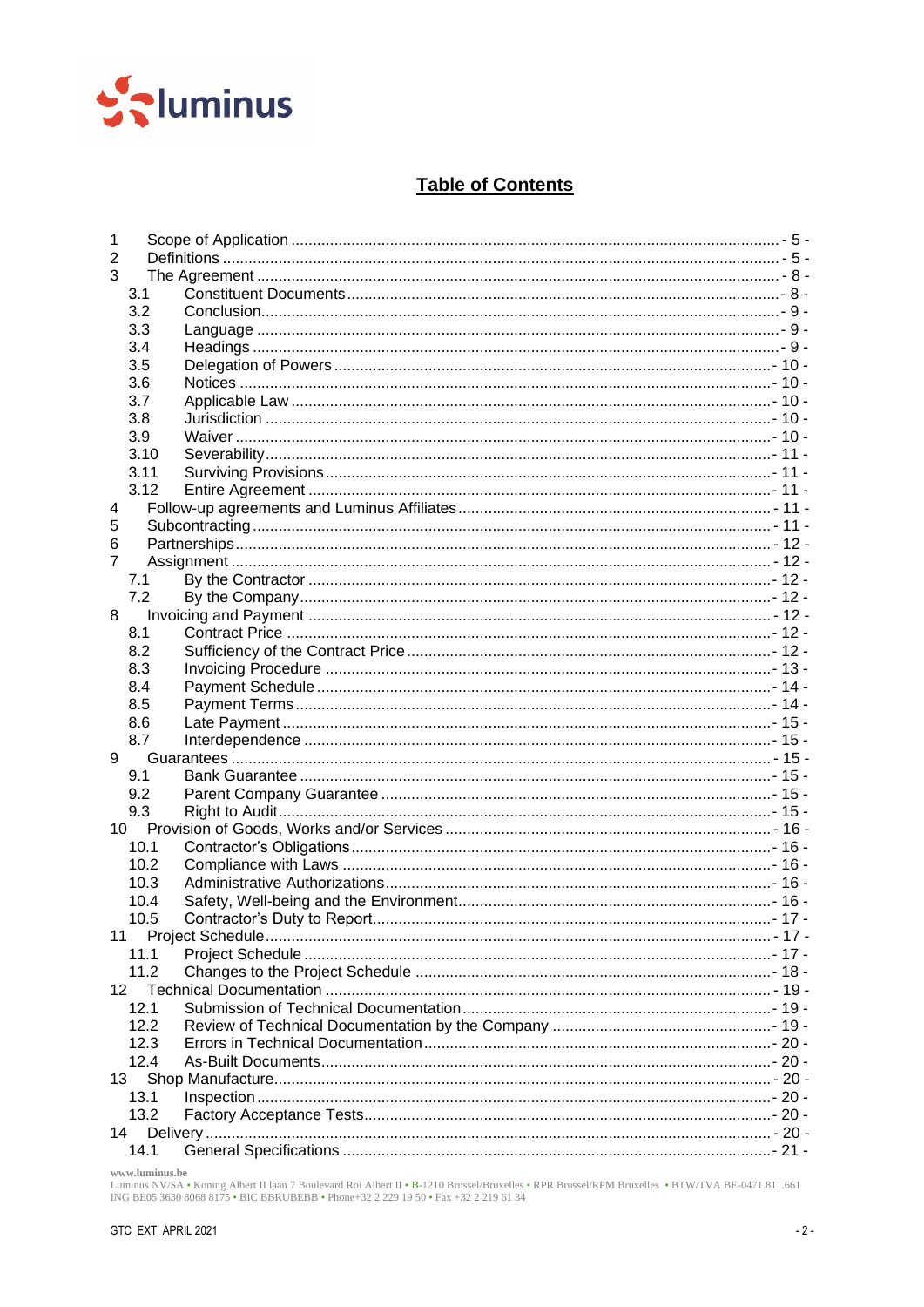

## **Table of Contents**

| 1              |      |  |  |  |  |
|----------------|------|--|--|--|--|
| $\overline{2}$ |      |  |  |  |  |
| 3              |      |  |  |  |  |
| 3.1            |      |  |  |  |  |
| 3.2            |      |  |  |  |  |
| 3.3            |      |  |  |  |  |
| 3.4            |      |  |  |  |  |
| 3.5            |      |  |  |  |  |
| 3.6            |      |  |  |  |  |
| 3.7            |      |  |  |  |  |
| 3.8            |      |  |  |  |  |
| 3.9            |      |  |  |  |  |
|                | 3.10 |  |  |  |  |
| 3.11           |      |  |  |  |  |
|                | 3.12 |  |  |  |  |
| 4              |      |  |  |  |  |
| 5              |      |  |  |  |  |
| 6              |      |  |  |  |  |
| 7              |      |  |  |  |  |
| 7.1            |      |  |  |  |  |
| 7.2            |      |  |  |  |  |
| 8              |      |  |  |  |  |
| 8.1            |      |  |  |  |  |
| 8.2            |      |  |  |  |  |
| 8.3            |      |  |  |  |  |
| 8.4            |      |  |  |  |  |
| 8.5            |      |  |  |  |  |
| 8.6            |      |  |  |  |  |
| 8.7            |      |  |  |  |  |
| 9              |      |  |  |  |  |
| 9.1            |      |  |  |  |  |
| 9.2            |      |  |  |  |  |
| 9.3            |      |  |  |  |  |
|                |      |  |  |  |  |
| 10<br>10.1     |      |  |  |  |  |
|                | 10.2 |  |  |  |  |
|                |      |  |  |  |  |
|                | 10.3 |  |  |  |  |
|                | 10.4 |  |  |  |  |
|                | 10.5 |  |  |  |  |
| 11             |      |  |  |  |  |
|                | 11.1 |  |  |  |  |
|                | 11.2 |  |  |  |  |
| 12             |      |  |  |  |  |
|                | 12.1 |  |  |  |  |
|                | 12.2 |  |  |  |  |
|                | 12.3 |  |  |  |  |
|                | 12.4 |  |  |  |  |
| 13             |      |  |  |  |  |
|                | 13.1 |  |  |  |  |
|                | 13.2 |  |  |  |  |
| 14             |      |  |  |  |  |
|                | 14.1 |  |  |  |  |

www.luminus.be<br>Luminus NV/SA • Koning Albert II laan 7 Boulevard Roi Albert II • B-1210 Brussel/Bruxelles • RPR Brussel/RPM Bruxelles • BTW/TVA BE-0471.811.661<br>ING BE05 3630 8068 8175 • BIC BBRUBEBB • Phone+32 2 229 19 50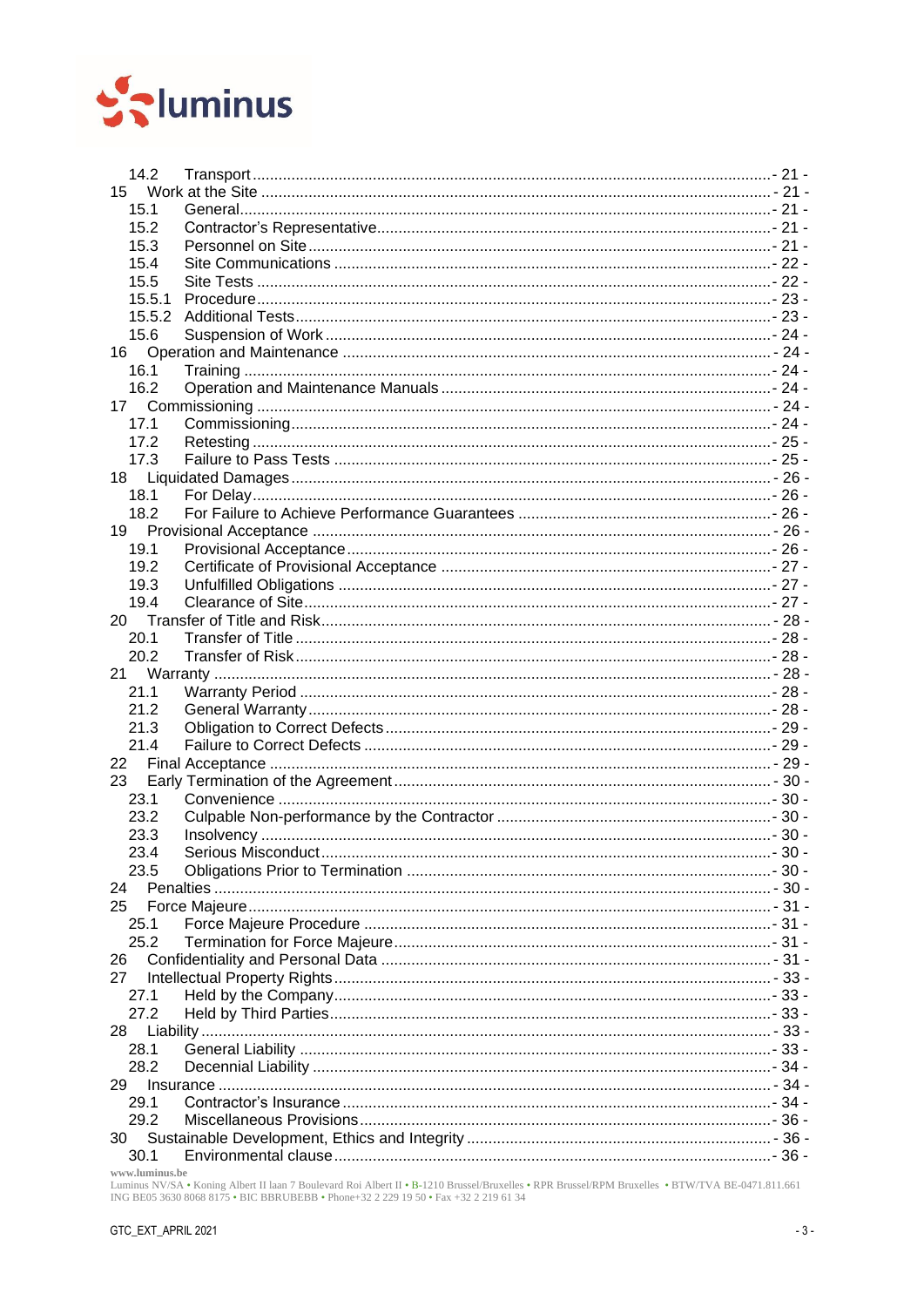

| 14.2   |  |  |  |  |  |  |
|--------|--|--|--|--|--|--|
| 15     |  |  |  |  |  |  |
| 15.1   |  |  |  |  |  |  |
| 15.2   |  |  |  |  |  |  |
| 15.3   |  |  |  |  |  |  |
| 15.4   |  |  |  |  |  |  |
| 15.5   |  |  |  |  |  |  |
| 15.5.1 |  |  |  |  |  |  |
| 15.5.2 |  |  |  |  |  |  |
| 15.6   |  |  |  |  |  |  |
| 16     |  |  |  |  |  |  |
| 16.1   |  |  |  |  |  |  |
| 16.2   |  |  |  |  |  |  |
| 17     |  |  |  |  |  |  |
| 17.1   |  |  |  |  |  |  |
| 17.2   |  |  |  |  |  |  |
| 17.3   |  |  |  |  |  |  |
| 18     |  |  |  |  |  |  |
| 18.1   |  |  |  |  |  |  |
| 18.2   |  |  |  |  |  |  |
| 19 -   |  |  |  |  |  |  |
| 19.1   |  |  |  |  |  |  |
| 19.2   |  |  |  |  |  |  |
| 19.3   |  |  |  |  |  |  |
| 19.4   |  |  |  |  |  |  |
|        |  |  |  |  |  |  |
| 20.1   |  |  |  |  |  |  |
| 20.2   |  |  |  |  |  |  |
|        |  |  |  |  |  |  |
| 21.1   |  |  |  |  |  |  |
| 21.2   |  |  |  |  |  |  |
| 21.3   |  |  |  |  |  |  |
| 21.4   |  |  |  |  |  |  |
| 22     |  |  |  |  |  |  |
| 23     |  |  |  |  |  |  |
| 23.1   |  |  |  |  |  |  |
| 23.2   |  |  |  |  |  |  |
| 23.3   |  |  |  |  |  |  |
| 23.4   |  |  |  |  |  |  |
| 23.5   |  |  |  |  |  |  |
| 24     |  |  |  |  |  |  |
| 25     |  |  |  |  |  |  |
| 25.1   |  |  |  |  |  |  |
| 25.2   |  |  |  |  |  |  |
| 26     |  |  |  |  |  |  |
| 27     |  |  |  |  |  |  |
| 27.1   |  |  |  |  |  |  |
| 27.2   |  |  |  |  |  |  |
| 28     |  |  |  |  |  |  |
| 28.1   |  |  |  |  |  |  |
| 28.2   |  |  |  |  |  |  |
| 29     |  |  |  |  |  |  |
| 29.1   |  |  |  |  |  |  |
| 29.2   |  |  |  |  |  |  |
| 30     |  |  |  |  |  |  |
|        |  |  |  |  |  |  |

www.luminus.be<br>Luminus NV/SA • Koning Albert II laan 7 Boulevard Roi Albert II • B-1210 Brussel/Bruxelles • RPR Brussel/RPM Bruxelles • BTW/TVA BE-0471.811.661<br>ING BE05 3630 8068 8175 • BIC BBRUBEBB • Phone+32 2 229 19 50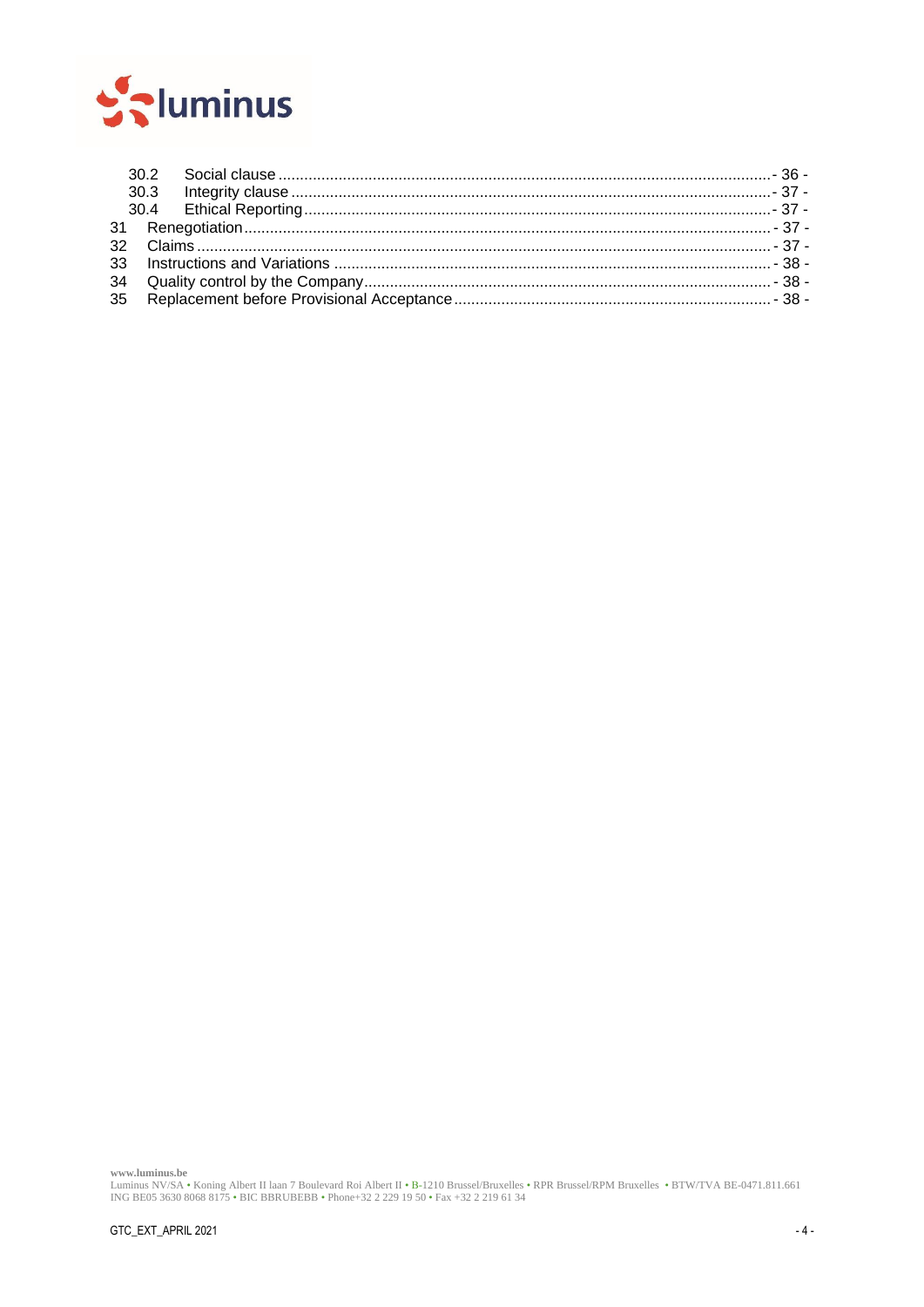

www.luminus.be<br>Luminus NV/SA • Koning Albert II laan 7 Boulevard Roi Albert II • B-1210 Brussel/Bruxelles • RPR Brussel/RPM Bruxelles • BTW/TVA BE-0471.811.661<br>ING BE05 3630 8068 8175 • BIC BBRUBEBB • Phone+32 2 229 19 50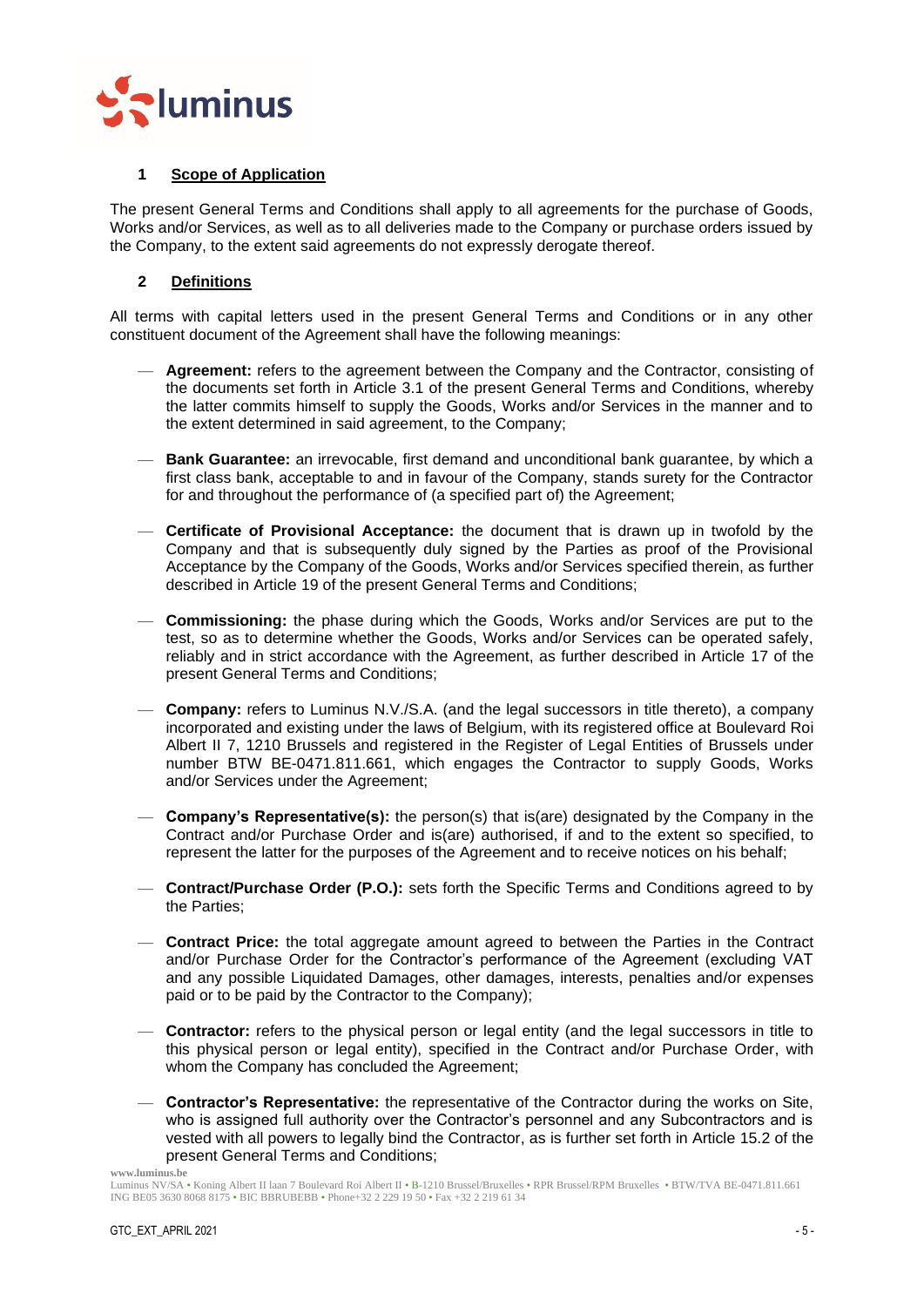

## <span id="page-4-0"></span>**1 Scope of Application**

The present General Terms and Conditions shall apply to all agreements for the purchase of Goods, Works and/or Services, as well as to all deliveries made to the Company or purchase orders issued by the Company, to the extent said agreements do not expressly derogate thereof.

## <span id="page-4-1"></span>**2 Definitions**

All terms with capital letters used in the present General Terms and Conditions or in any other constituent document of the Agreement shall have the following meanings:

- **Agreement:** refers to the agreement between the Company and the Contractor, consisting of the documents set forth in Article [3.1](#page-7-1) of the present General Terms and Conditions, whereby the latter commits himself to supply the Goods, Works and/or Services in the manner and to the extent determined in said agreement, to the Company;
- **Bank Guarantee:** an irrevocable, first demand and unconditional bank guarantee, by which a first class bank, acceptable to and in favour of the Company, stands surety for the Contractor for and throughout the performance of (a specified part of) the Agreement;
- **Certificate of Provisional Acceptance:** the document that is drawn up in twofold by the Company and that is subsequently duly signed by the Parties as proof of the Provisional Acceptance by the Company of the Goods, Works and/or Services specified therein, as further described in Article [19](#page-25-3) of the present General Terms and Conditions;
- **Commissioning:** the phase during which the Goods, Works and/or Services are put to the test, so as to determine whether the Goods, Works and/or Services can be operated safely, reliably and in strict accordance with the Agreement, as further described in Article [17](#page-23-4) of the present General Terms and Conditions;
- **Company:** refers to Luminus N.V./S.A. (and the legal successors in title thereto), a company incorporated and existing under the laws of Belgium, with its registered office at Boulevard Roi Albert II 7, 1210 Brussels and registered in the Register of Legal Entities of Brussels under number BTW BE-0471.811.661, which engages the Contractor to supply Goods, Works and/or Services under the Agreement;
- **Company's Representative(s):** the person(s) that is(are) designated by the Company in the Contract and/or Purchase Order and is(are) authorised, if and to the extent so specified, to represent the latter for the purposes of the Agreement and to receive notices on his behalf;
- **Contract/Purchase Order (P.O.):** sets forth the Specific Terms and Conditions agreed to by the Parties;
- **Contract Price:** the total aggregate amount agreed to between the Parties in the Contract and/or Purchase Order for the Contractor's performance of the Agreement (excluding VAT and any possible Liquidated Damages, other damages, interests, penalties and/or expenses paid or to be paid by the Contractor to the Company);
- **Contractor:** refers to the physical person or legal entity (and the legal successors in title to this physical person or legal entity), specified in the Contract and/or Purchase Order, with whom the Company has concluded the Agreement;
- **Contractor's Representative:** the representative of the Contractor during the works on Site, who is assigned full authority over the Contractor's personnel and any Subcontractors and is vested with all powers to legally bind the Contractor, as is further set forth in Article [15.2](#page-20-4) of the present General Terms and Conditions;

Luminus NV/SA • Koning Albert II laan 7 Boulevard Roi Albert II • B-1210 Brussel/Bruxelles • RPR Brussel/RPM Bruxelles • BTW/TVA BE-0471.811.661 ING BE05 3630 8068 8175 • BIC BBRUBEBB • Phone+32 2 229 19 50 • Fax +32 2 219 61 34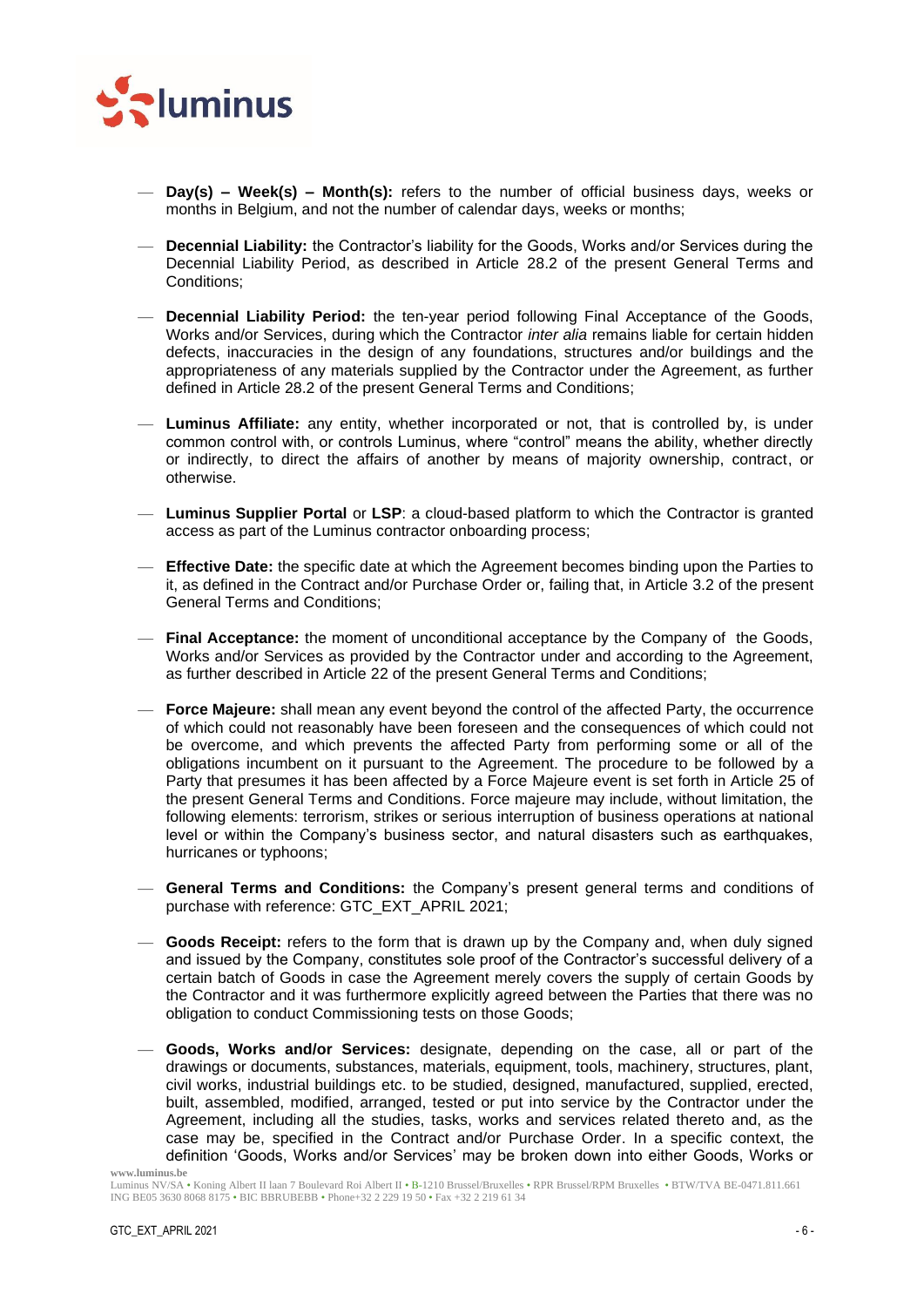

- **Day(s) – Week(s) – Month(s):** refers to the number of official business days, weeks or months in Belgium, and not the number of calendar days, weeks or months;
- **Decennial Liability:** the Contractor's liability for the Goods, Works and/or Services during the Decennial Liability Period, as described in Article [28.2](#page-33-0) of the present General Terms and Conditions;
- **Decennial Liability Period:** the ten-year period following Final Acceptance of the Goods, Works and/or Services, during which the Contractor *inter alia* remains liable for certain hidden defects, inaccuracies in the design of any foundations, structures and/or buildings and the appropriateness of any materials supplied by the Contractor under the Agreement, as further defined in Article [28.2](#page-33-0) of the present General Terms and Conditions;
- **Luminus Affiliate:** any entity, whether incorporated or not, that is controlled by, is under common control with, or controls Luminus, where "control" means the ability, whether directly or indirectly, to direct the affairs of another by means of majority ownership, contract, or otherwise.
- **Luminus Supplier Portal** or **LSP**: a cloud-based platform to which the Contractor is granted access as part of the Luminus contractor onboarding process;
- **Effective Date:** the specific date at which the Agreement becomes binding upon the Parties to it, as defined in the Contract and/or Purchase Order or, failing that, in Article [3.2](#page-8-0) of the present General Terms and Conditions;
- **Final Acceptance:** the moment of unconditional acceptance by the Company of the Goods, Works and/or Services as provided by the Contractor under and according to the Agreement, as further described in Article [22](#page-28-2) of the present General Terms and Conditions;
- **Force Majeure:** shall mean any event beyond the control of the affected Party, the occurrence of which could not reasonably have been foreseen and the consequences of which could not be overcome, and which prevents the affected Party from performing some or all of the obligations incumbent on it pursuant to the Agreement. The procedure to be followed by a Party that presumes it has been affected by a Force Majeure event is set forth in Article [25](#page-30-0) of the present General Terms and Conditions. Force majeure may include, without limitation, the following elements: terrorism, strikes or serious interruption of business operations at national level or within the Company's business sector, and natural disasters such as earthquakes, hurricanes or typhoons;
- **General Terms and Conditions:** the Company's present general terms and conditions of purchase with reference: GTC\_EXT\_APRIL 2021;
- **Goods Receipt:** refers to the form that is drawn up by the Company and, when duly signed and issued by the Company, constitutes sole proof of the Contractor's successful delivery of a certain batch of Goods in case the Agreement merely covers the supply of certain Goods by the Contractor and it was furthermore explicitly agreed between the Parties that there was no obligation to conduct Commissioning tests on those Goods;
- **Goods, Works and/or Services:** designate, depending on the case, all or part of the drawings or documents, substances, materials, equipment, tools, machinery, structures, plant, civil works, industrial buildings etc. to be studied, designed, manufactured, supplied, erected, built, assembled, modified, arranged, tested or put into service by the Contractor under the Agreement, including all the studies, tasks, works and services related thereto and, as the case may be, specified in the Contract and/or Purchase Order. In a specific context, the definition 'Goods, Works and/or Services' may be broken down into either Goods, Works or

Luminus NV/SA • Koning Albert II laan 7 Boulevard Roi Albert II • B-1210 Brussel/Bruxelles • RPR Brussel/RPM Bruxelles • BTW/TVA BE-0471.811.661 ING BE05 3630 8068 8175 • BIC BBRUBEBB • Phone+32 2 229 19 50 • Fax +32 2 219 61 34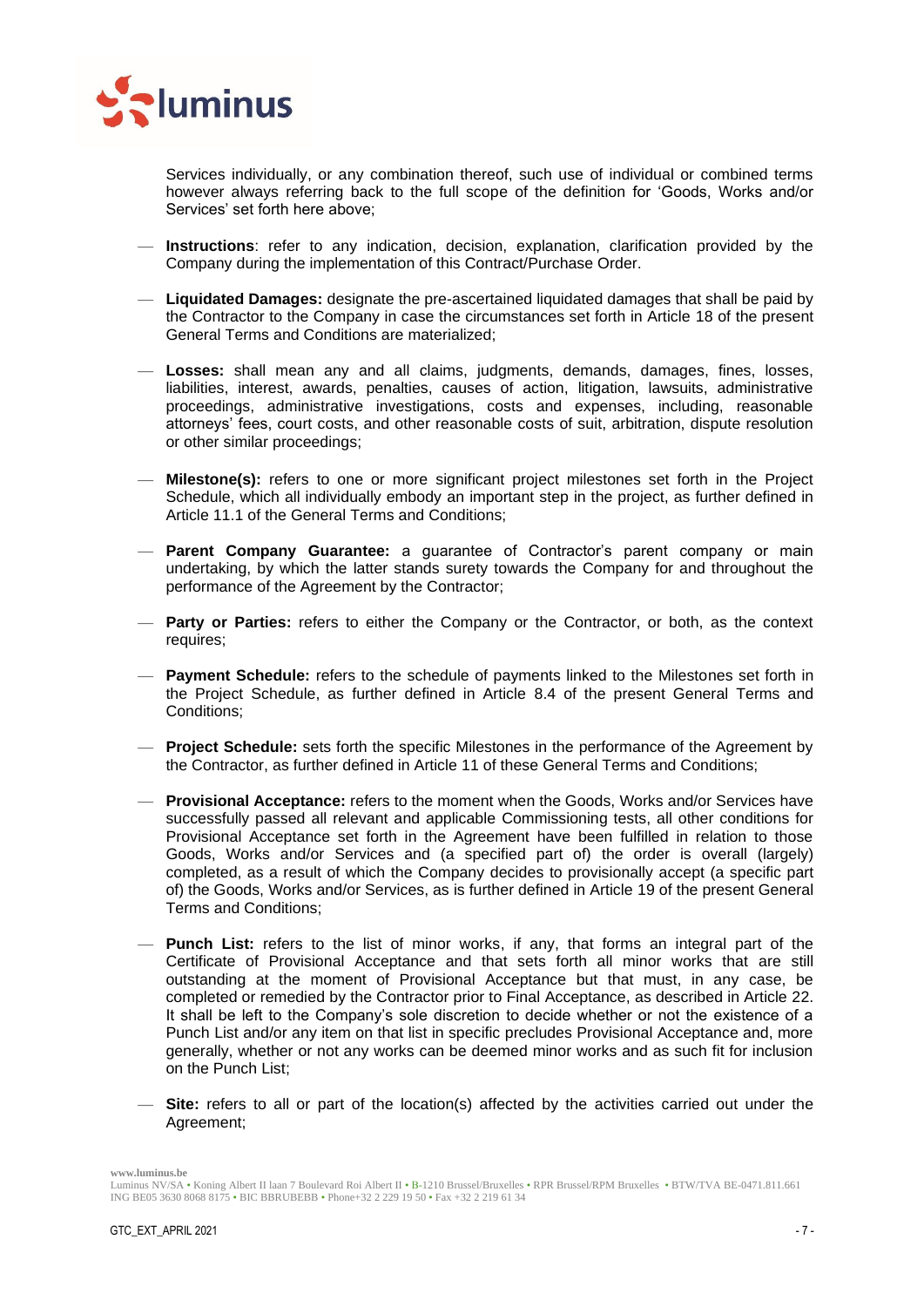

Services individually, or any combination thereof, such use of individual or combined terms however always referring back to the full scope of the definition for 'Goods, Works and/or Services' set forth here above;

- **Instructions**: refer to any indication, decision, explanation, clarification provided by the Company during the implementation of this Contract/Purchase Order.
- **Liquidated Damages:** designate the pre-ascertained liquidated damages that shall be paid by the Contractor to the Company in case the circumstances set forth in Article [18](#page-25-0) of the present General Terms and Conditions are materialized;
- **Losses:** shall mean any and all claims, judgments, demands, damages, fines, losses, liabilities, interest, awards, penalties, causes of action, litigation, lawsuits, administrative proceedings, administrative investigations, costs and expenses, including, reasonable attorneys' fees, court costs, and other reasonable costs of suit, arbitration, dispute resolution or other similar proceedings;
- **Milestone(s):** refers to one or more significant project milestones set forth in the Project Schedule, which all individually embody an important step in the project, as further defined in Article [11.1](#page-16-2) of the General Terms and Conditions;
- **Parent Company Guarantee:** a guarantee of Contractor's parent company or main undertaking, by which the latter stands surety towards the Company for and throughout the performance of the Agreement by the Contractor;
- **Party or Parties:** refers to either the Company or the Contractor, or both, as the context requires;
- **Payment Schedule:** refers to the schedule of payments linked to the Milestones set forth in the Project Schedule, as further defined in Article [8.4](#page-13-0) of the present General Terms and Conditions;
- **Project Schedule:** sets forth the specific Milestones in the performance of the Agreement by the Contractor, as further defined in Article [11](#page-16-1) of these General Terms and Conditions;
- **Provisional Acceptance:** refers to the moment when the Goods, Works and/or Services have successfully passed all relevant and applicable Commissioning tests, all other conditions for Provisional Acceptance set forth in the Agreement have been fulfilled in relation to those Goods, Works and/or Services and (a specified part of) the order is overall (largely) completed, as a result of which the Company decides to provisionally accept (a specific part of) the Goods, Works and/or Services, as is further defined in Article [19](#page-25-3) of the present General Terms and Conditions;
- **Punch List:** refers to the list of minor works, if any, that forms an integral part of the Certificate of Provisional Acceptance and that sets forth all minor works that are still outstanding at the moment of Provisional Acceptance but that must, in any case, be completed or remedied by the Contractor prior to Final Acceptance, as described in Article [22.](#page-28-2) It shall be left to the Company's sole discretion to decide whether or not the existence of a Punch List and/or any item on that list in specific precludes Provisional Acceptance and, more generally, whether or not any works can be deemed minor works and as such fit for inclusion on the Punch List;
- **Site:** refers to all or part of the location(s) affected by the activities carried out under the Agreement;

Luminus NV/SA • Koning Albert II laan 7 Boulevard Roi Albert II • B-1210 Brussel/Bruxelles • RPR Brussel/RPM Bruxelles • BTW/TVA BE-0471.811.661 ING BE05 3630 8068 8175 • BIC BBRUBEBB • Phone+32 2 229 19 50 • Fax +32 2 219 61 34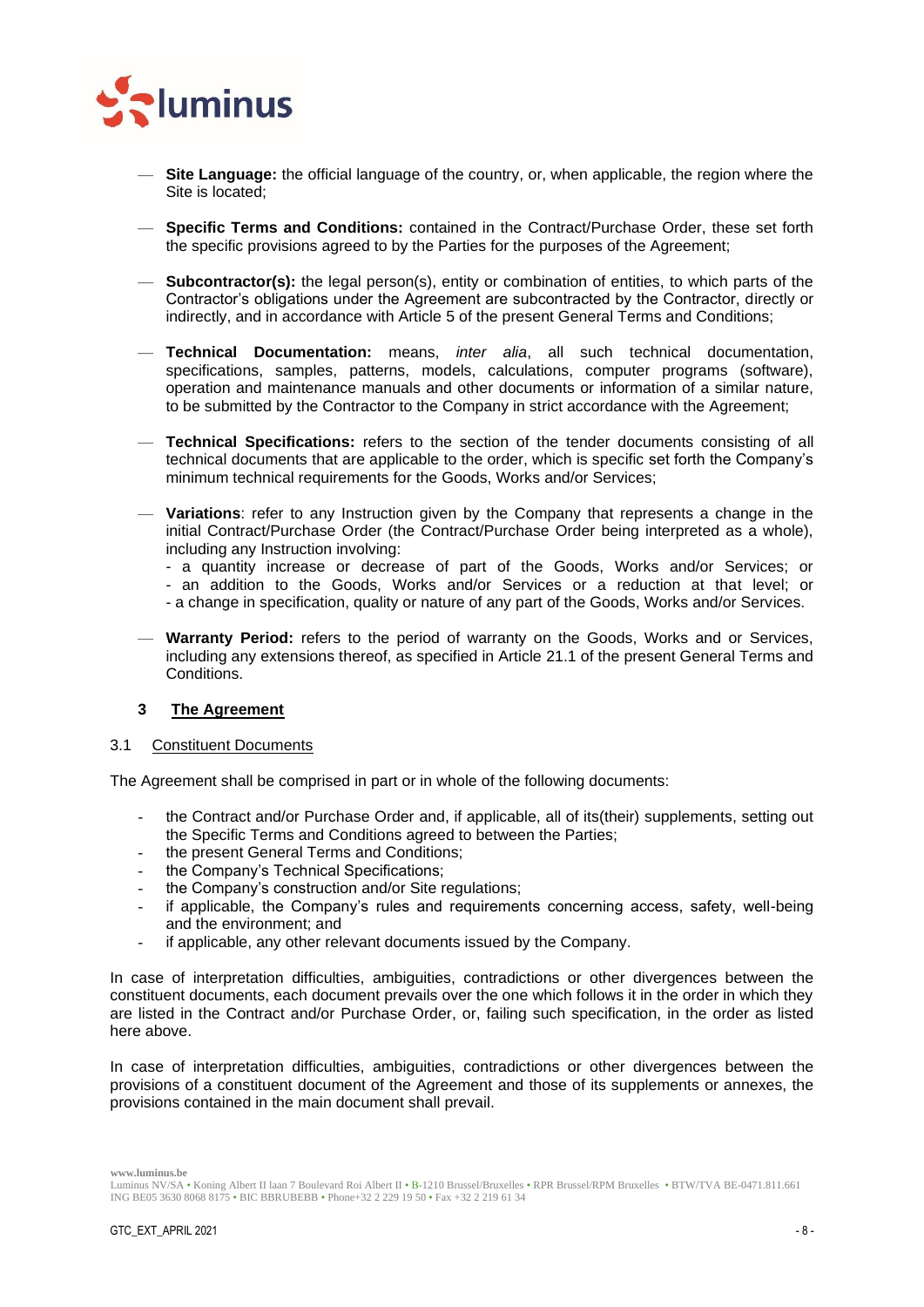

- **Site Language:** the official language of the country, or, when applicable, the region where the Site is located;
- **Specific Terms and Conditions:** contained in the Contract/Purchase Order, these set forth the specific provisions agreed to by the Parties for the purposes of the Agreement;
- **Subcontractor(s):** the legal person(s), entity or combination of entities, to which parts of the Contractor's obligations under the Agreement are subcontracted by the Contractor, directly or indirectly, and in accordance with Article [5](#page-10-4) of the present General Terms and Conditions;
- **Technical Documentation:** means, *inter alia*, all such technical documentation, specifications, samples, patterns, models, calculations, computer programs (software), operation and maintenance manuals and other documents or information of a similar nature, to be submitted by the Contractor to the Company in strict accordance with the Agreement;
- **Technical Specifications:** refers to the section of the tender documents consisting of all technical documents that are applicable to the order, which is specific set forth the Company's minimum technical requirements for the Goods, Works and/or Services;
- **Variations**: refer to any Instruction given by the Company that represents a change in the initial Contract/Purchase Order (the Contract/Purchase Order being interpreted as a whole), including any Instruction involving:
	- a quantity increase or decrease of part of the Goods, Works and/or Services; or
	- an addition to the Goods, Works and/or Services or a reduction at that level; or
	- a change in specification, quality or nature of any part of the Goods, Works and/or Services.
- **Warranty Period:** refers to the period of warranty on the Goods, Works and or Services, including any extensions thereof, as specified in Article [21.1](#page-27-4) of the present General Terms and Conditions.

## <span id="page-7-0"></span>**3 The Agreement**

#### <span id="page-7-1"></span>3.1 Constituent Documents

The Agreement shall be comprised in part or in whole of the following documents:

- the Contract and/or Purchase Order and, if applicable, all of its(their) supplements, setting out the Specific Terms and Conditions agreed to between the Parties;
- the present General Terms and Conditions;
- the Company's Technical Specifications;
- the Company's construction and/or Site regulations;
- if applicable, the Company's rules and requirements concerning access, safety, well-being and the environment; and
- if applicable, any other relevant documents issued by the Company.

In case of interpretation difficulties, ambiguities, contradictions or other divergences between the constituent documents, each document prevails over the one which follows it in the order in which they are listed in the Contract and/or Purchase Order, or, failing such specification, in the order as listed here above.

In case of interpretation difficulties, ambiguities, contradictions or other divergences between the provisions of a constituent document of the Agreement and those of its supplements or annexes, the provisions contained in the main document shall prevail.

Luminus NV/SA • Koning Albert II laan 7 Boulevard Roi Albert II • B-1210 Brussel/Bruxelles • RPR Brussel/RPM Bruxelles • BTW/TVA BE-0471.811.661 ING BE05 3630 8068 8175 • BIC BBRUBEBB • Phone+32 2 229 19 50 • Fax +32 2 219 61 34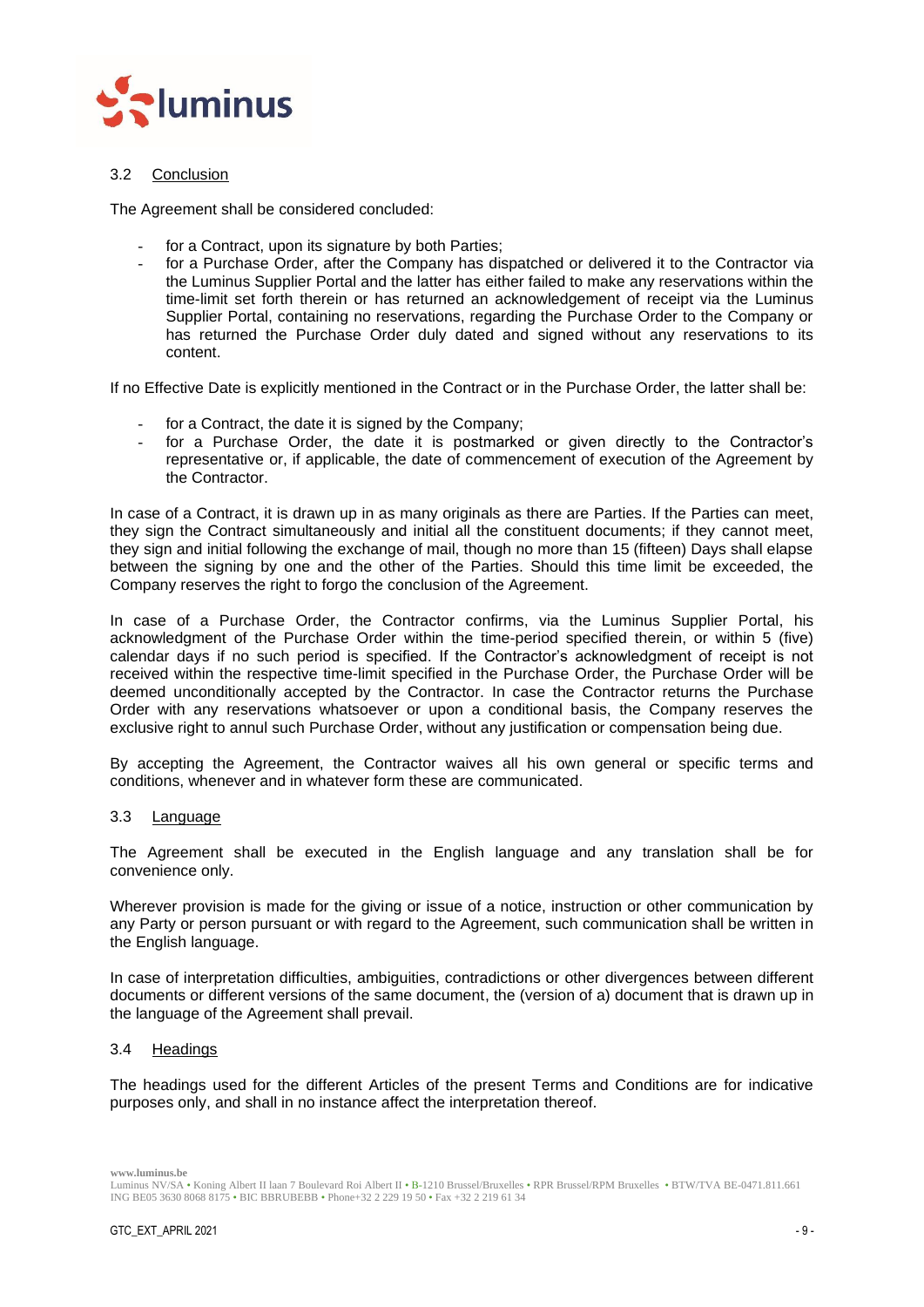

## <span id="page-8-0"></span>3.2 Conclusion

The Agreement shall be considered concluded:

- for a Contract, upon its signature by both Parties;
- for a Purchase Order, after the Company has dispatched or delivered it to the Contractor via the Luminus Supplier Portal and the latter has either failed to make any reservations within the time-limit set forth therein or has returned an acknowledgement of receipt via the Luminus Supplier Portal, containing no reservations, regarding the Purchase Order to the Company or has returned the Purchase Order duly dated and signed without any reservations to its content.

If no Effective Date is explicitly mentioned in the Contract or in the Purchase Order, the latter shall be:

- for a Contract, the date it is signed by the Company;
- for a Purchase Order, the date it is postmarked or given directly to the Contractor's representative or, if applicable, the date of commencement of execution of the Agreement by the Contractor.

In case of a Contract, it is drawn up in as many originals as there are Parties. If the Parties can meet, they sign the Contract simultaneously and initial all the constituent documents; if they cannot meet, they sign and initial following the exchange of mail, though no more than 15 (fifteen) Days shall elapse between the signing by one and the other of the Parties. Should this time limit be exceeded, the Company reserves the right to forgo the conclusion of the Agreement.

In case of a Purchase Order, the Contractor confirms, via the Luminus Supplier Portal, his acknowledgment of the Purchase Order within the time-period specified therein, or within 5 (five) calendar days if no such period is specified. If the Contractor's acknowledgment of receipt is not received within the respective time-limit specified in the Purchase Order, the Purchase Order will be deemed unconditionally accepted by the Contractor. In case the Contractor returns the Purchase Order with any reservations whatsoever or upon a conditional basis, the Company reserves the exclusive right to annul such Purchase Order, without any justification or compensation being due.

By accepting the Agreement, the Contractor waives all his own general or specific terms and conditions, whenever and in whatever form these are communicated.

#### <span id="page-8-1"></span>3.3 Language

The Agreement shall be executed in the English language and any translation shall be for convenience only.

Wherever provision is made for the giving or issue of a notice, instruction or other communication by any Party or person pursuant or with regard to the Agreement, such communication shall be written in the English language.

In case of interpretation difficulties, ambiguities, contradictions or other divergences between different documents or different versions of the same document, the (version of a) document that is drawn up in the language of the Agreement shall prevail.

#### <span id="page-8-2"></span>3.4 Headings

The headings used for the different Articles of the present Terms and Conditions are for indicative purposes only, and shall in no instance affect the interpretation thereof.

Luminus NV/SA • Koning Albert II laan 7 Boulevard Roi Albert II • B-1210 Brussel/Bruxelles • RPR Brussel/RPM Bruxelles • BTW/TVA BE-0471.811.661 ING BE05 3630 8068 8175 • BIC BBRUBEBB • Phone+32 2 229 19 50 • Fax +32 2 219 61 34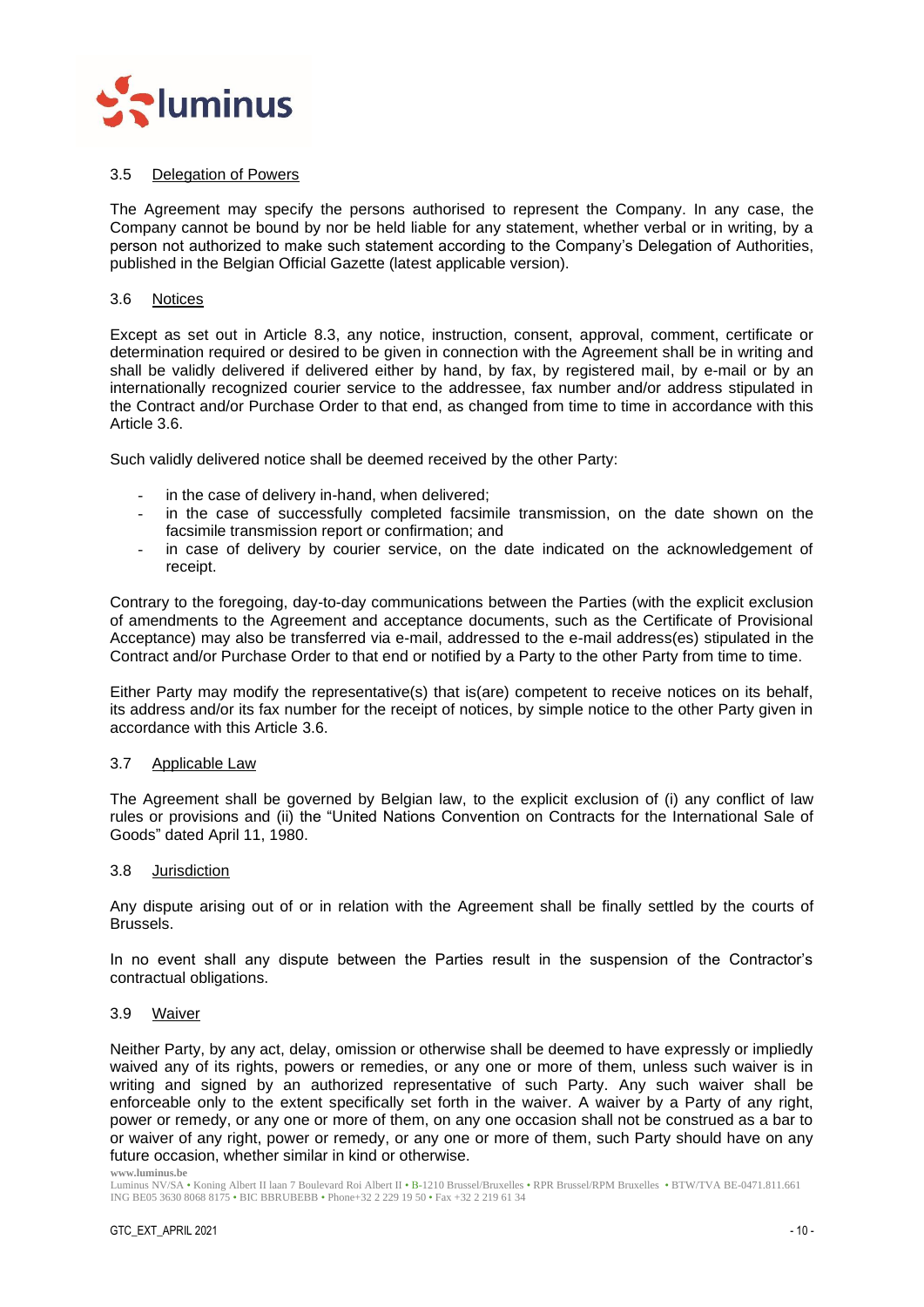

## <span id="page-9-0"></span>3.5 Delegation of Powers

The Agreement may specify the persons authorised to represent the Company. In any case, the Company cannot be bound by nor be held liable for any statement, whether verbal or in writing, by a person not authorized to make such statement according to the Company's Delegation of Authorities, published in the Belgian Official Gazette (latest applicable version).

#### <span id="page-9-1"></span>3.6 Notices

Except as set out in Article 8.3, any notice, instruction, consent, approval, comment, certificate or determination required or desired to be given in connection with the Agreement shall be in writing and shall be validly delivered if delivered either by hand, by fax, by registered mail, by e-mail or by an internationally recognized courier service to the addressee, fax number and/or address stipulated in the Contract and/or Purchase Order to that end, as changed from time to time in accordance with this Article [3.6.](#page-9-1)

Such validly delivered notice shall be deemed received by the other Party:

- in the case of delivery in-hand, when delivered;
- in the case of successfully completed facsimile transmission, on the date shown on the facsimile transmission report or confirmation; and
- in case of delivery by courier service, on the date indicated on the acknowledgement of receipt.

Contrary to the foregoing, day-to-day communications between the Parties (with the explicit exclusion of amendments to the Agreement and acceptance documents, such as the Certificate of Provisional Acceptance) may also be transferred via e-mail, addressed to the e-mail address(es) stipulated in the Contract and/or Purchase Order to that end or notified by a Party to the other Party from time to time.

Either Party may modify the representative(s) that is(are) competent to receive notices on its behalf, its address and/or its fax number for the receipt of notices, by simple notice to the other Party given in accordance with this Article [3.6.](#page-9-1)

## <span id="page-9-2"></span>3.7 Applicable Law

The Agreement shall be governed by Belgian law, to the explicit exclusion of (i) any conflict of law rules or provisions and (ii) the "United Nations Convention on Contracts for the International Sale of Goods" dated April 11, 1980.

<span id="page-9-3"></span>3.8 Jurisdiction

Any dispute arising out of or in relation with the Agreement shall be finally settled by the courts of Brussels.

In no event shall any dispute between the Parties result in the suspension of the Contractor's contractual obligations.

#### <span id="page-9-4"></span>3.9 Waiver

Neither Party, by any act, delay, omission or otherwise shall be deemed to have expressly or impliedly waived any of its rights, powers or remedies, or any one or more of them, unless such waiver is in writing and signed by an authorized representative of such Party. Any such waiver shall be enforceable only to the extent specifically set forth in the waiver. A waiver by a Party of any right, power or remedy, or any one or more of them, on any one occasion shall not be construed as a bar to or waiver of any right, power or remedy, or any one or more of them, such Party should have on any future occasion, whether similar in kind or otherwise.

**www.luminus.be**

Luminus NV/SA • Koning Albert II laan 7 Boulevard Roi Albert II • B-1210 Brussel/Bruxelles • RPR Brussel/RPM Bruxelles • BTW/TVA BE-0471.811.661 ING BE05 3630 8068 8175 • BIC BBRUBEBB • Phone+32 2 229 19 50 • Fax +32 2 219 61 34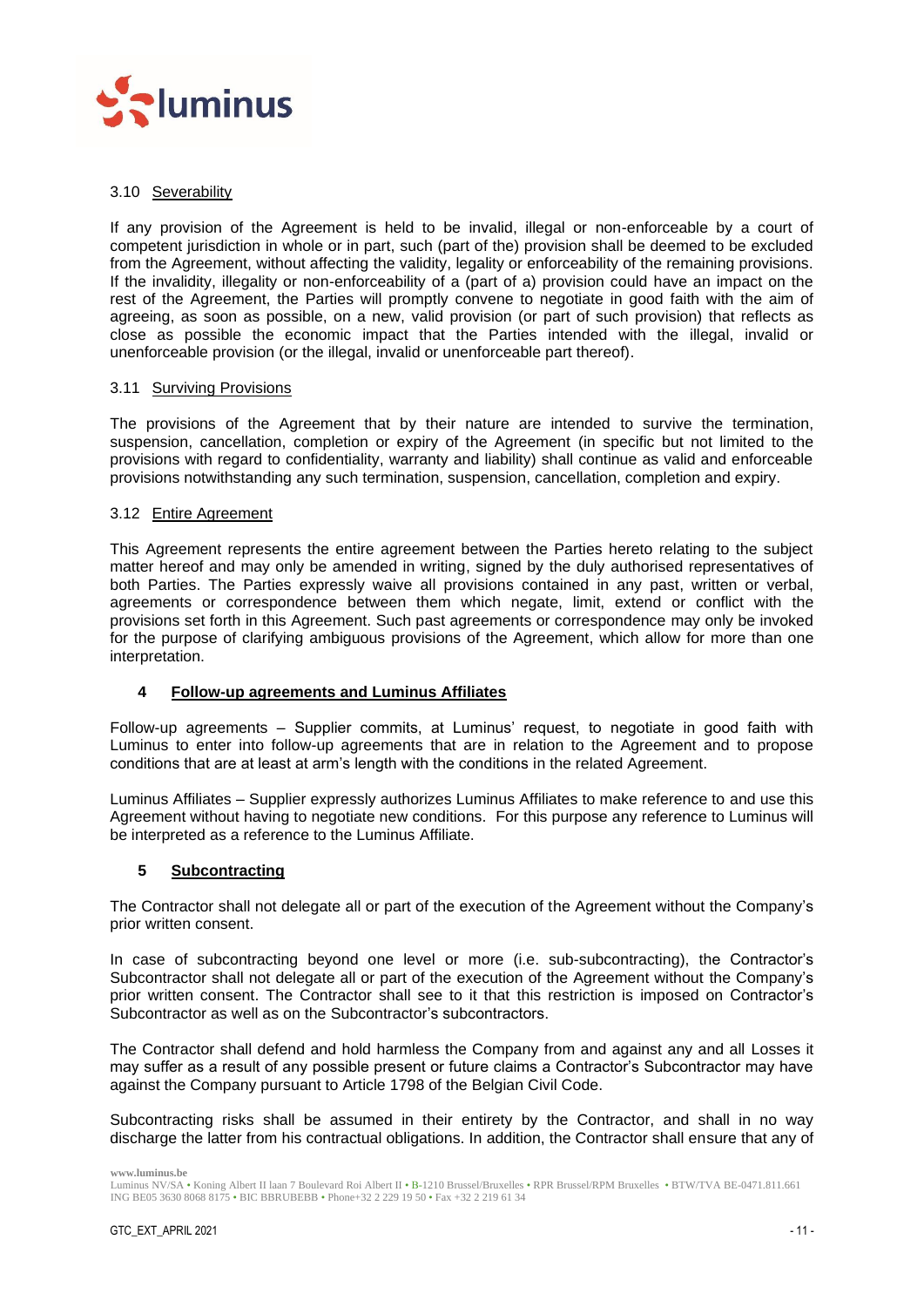

## <span id="page-10-0"></span>3.10 Severability

If any provision of the Agreement is held to be invalid, illegal or non-enforceable by a court of competent jurisdiction in whole or in part, such (part of the) provision shall be deemed to be excluded from the Agreement, without affecting the validity, legality or enforceability of the remaining provisions. If the invalidity, illegality or non-enforceability of a (part of a) provision could have an impact on the rest of the Agreement, the Parties will promptly convene to negotiate in good faith with the aim of agreeing, as soon as possible, on a new, valid provision (or part of such provision) that reflects as close as possible the economic impact that the Parties intended with the illegal, invalid or unenforceable provision (or the illegal, invalid or unenforceable part thereof).

## <span id="page-10-1"></span>3.11 Surviving Provisions

The provisions of the Agreement that by their nature are intended to survive the termination, suspension, cancellation, completion or expiry of the Agreement (in specific but not limited to the provisions with regard to confidentiality, warranty and liability) shall continue as valid and enforceable provisions notwithstanding any such termination, suspension, cancellation, completion and expiry.

## <span id="page-10-2"></span>3.12 Entire Agreement

This Agreement represents the entire agreement between the Parties hereto relating to the subject matter hereof and may only be amended in writing, signed by the duly authorised representatives of both Parties. The Parties expressly waive all provisions contained in any past, written or verbal, agreements or correspondence between them which negate, limit, extend or conflict with the provisions set forth in this Agreement. Such past agreements or correspondence may only be invoked for the purpose of clarifying ambiguous provisions of the Agreement, which allow for more than one interpretation.

## <span id="page-10-3"></span>**4 Follow-up agreements and Luminus Affiliates**

Follow-up agreements – Supplier commits, at Luminus' request, to negotiate in good faith with Luminus to enter into follow-up agreements that are in relation to the Agreement and to propose conditions that are at least at arm's length with the conditions in the related Agreement.

Luminus Affiliates – Supplier expressly authorizes Luminus Affiliates to make reference to and use this Agreement without having to negotiate new conditions. For this purpose any reference to Luminus will be interpreted as a reference to the Luminus Affiliate.

## <span id="page-10-4"></span>**5 Subcontracting**

The Contractor shall not delegate all or part of the execution of the Agreement without the Company's prior written consent.

In case of subcontracting beyond one level or more (i.e. sub-subcontracting), the Contractor's Subcontractor shall not delegate all or part of the execution of the Agreement without the Company's prior written consent. The Contractor shall see to it that this restriction is imposed on Contractor's Subcontractor as well as on the Subcontractor's subcontractors.

The Contractor shall defend and hold harmless the Company from and against any and all Losses it may suffer as a result of any possible present or future claims a Contractor's Subcontractor may have against the Company pursuant to Article 1798 of the Belgian Civil Code.

Subcontracting risks shall be assumed in their entirety by the Contractor, and shall in no way discharge the latter from his contractual obligations. In addition, the Contractor shall ensure that any of

Luminus NV/SA • Koning Albert II laan 7 Boulevard Roi Albert II • B-1210 Brussel/Bruxelles • RPR Brussel/RPM Bruxelles • BTW/TVA BE-0471.811.661 ING BE05 3630 8068 8175 • BIC BBRUBEBB • Phone+32 2 229 19 50 • Fax +32 2 219 61 34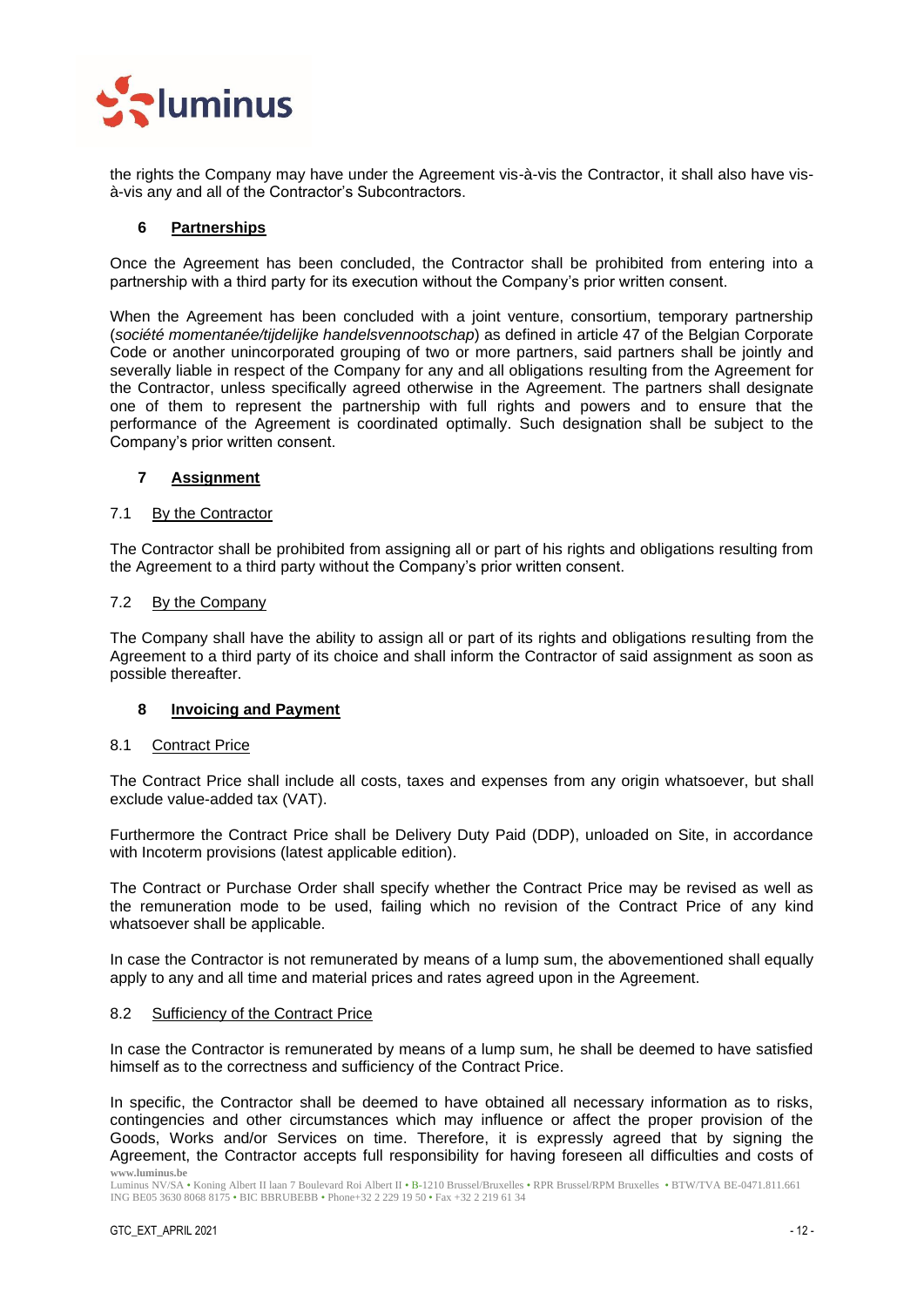

the rights the Company may have under the Agreement vis-à-vis the Contractor, it shall also have visà-vis any and all of the Contractor's Subcontractors.

## <span id="page-11-0"></span>**6 Partnerships**

Once the Agreement has been concluded, the Contractor shall be prohibited from entering into a partnership with a third party for its execution without the Company's prior written consent.

When the Agreement has been concluded with a joint venture, consortium, temporary partnership (*société momentanée/tijdelijke handelsvennootschap*) as defined in article 47 of the Belgian Corporate Code or another unincorporated grouping of two or more partners, said partners shall be jointly and severally liable in respect of the Company for any and all obligations resulting from the Agreement for the Contractor, unless specifically agreed otherwise in the Agreement. The partners shall designate one of them to represent the partnership with full rights and powers and to ensure that the performance of the Agreement is coordinated optimally. Such designation shall be subject to the Company's prior written consent.

## <span id="page-11-1"></span>**7 Assignment**

## <span id="page-11-2"></span>7.1 By the Contractor

The Contractor shall be prohibited from assigning all or part of his rights and obligations resulting from the Agreement to a third party without the Company's prior written consent.

## <span id="page-11-3"></span>7.2 By the Company

The Company shall have the ability to assign all or part of its rights and obligations resulting from the Agreement to a third party of its choice and shall inform the Contractor of said assignment as soon as possible thereafter.

## <span id="page-11-4"></span>**8 Invoicing and Payment**

#### <span id="page-11-5"></span>8.1 Contract Price

The Contract Price shall include all costs, taxes and expenses from any origin whatsoever, but shall exclude value-added tax (VAT).

Furthermore the Contract Price shall be Delivery Duty Paid (DDP), unloaded on Site, in accordance with Incoterm provisions (latest applicable edition).

The Contract or Purchase Order shall specify whether the Contract Price may be revised as well as the remuneration mode to be used, failing which no revision of the Contract Price of any kind whatsoever shall be applicable.

In case the Contractor is not remunerated by means of a lump sum, the abovementioned shall equally apply to any and all time and material prices and rates agreed upon in the Agreement.

#### <span id="page-11-6"></span>8.2 Sufficiency of the Contract Price

In case the Contractor is remunerated by means of a lump sum, he shall be deemed to have satisfied himself as to the correctness and sufficiency of the Contract Price.

**www.luminus.be** In specific, the Contractor shall be deemed to have obtained all necessary information as to risks, contingencies and other circumstances which may influence or affect the proper provision of the Goods, Works and/or Services on time. Therefore, it is expressly agreed that by signing the Agreement, the Contractor accepts full responsibility for having foreseen all difficulties and costs of

Luminus NV/SA • Koning Albert II laan 7 Boulevard Roi Albert II • B-1210 Brussel/Bruxelles • RPR Brussel/RPM Bruxelles • BTW/TVA BE-0471.811.661 ING BE05 3630 8068 8175 • BIC BBRUBEBB • Phone+32 2 229 19 50 • Fax +32 2 219 61 34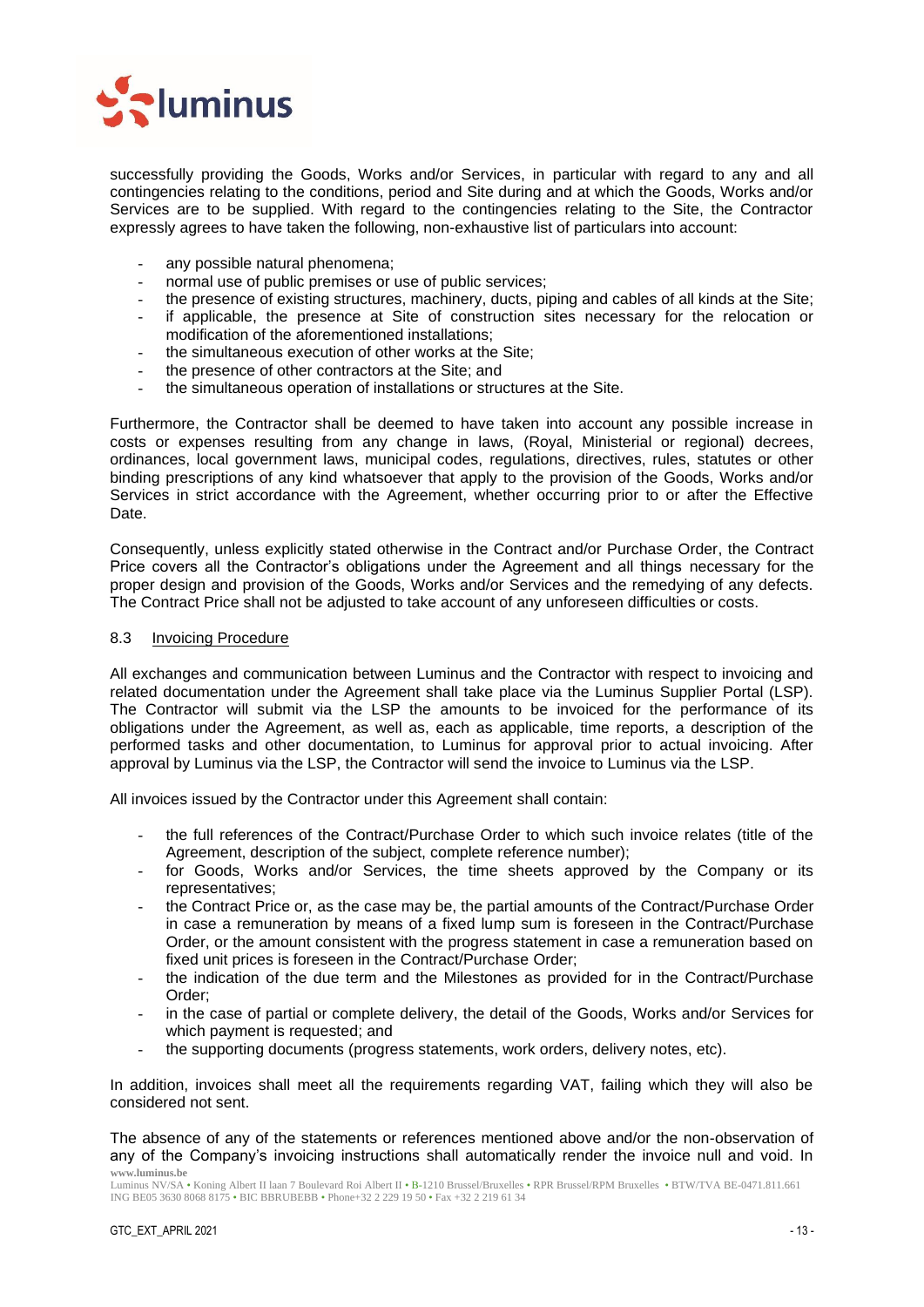

successfully providing the Goods, Works and/or Services, in particular with regard to any and all contingencies relating to the conditions, period and Site during and at which the Goods, Works and/or Services are to be supplied. With regard to the contingencies relating to the Site, the Contractor expressly agrees to have taken the following, non-exhaustive list of particulars into account:

- any possible natural phenomena;
- normal use of public premises or use of public services;
- the presence of existing structures, machinery, ducts, piping and cables of all kinds at the Site;
- if applicable, the presence at Site of construction sites necessary for the relocation or modification of the aforementioned installations;
- the simultaneous execution of other works at the Site:
- the presence of other contractors at the Site; and
- the simultaneous operation of installations or structures at the Site.

Furthermore, the Contractor shall be deemed to have taken into account any possible increase in costs or expenses resulting from any change in laws, (Royal, Ministerial or regional) decrees, ordinances, local government laws, municipal codes, regulations, directives, rules, statutes or other binding prescriptions of any kind whatsoever that apply to the provision of the Goods, Works and/or Services in strict accordance with the Agreement, whether occurring prior to or after the Effective Date.

Consequently, unless explicitly stated otherwise in the Contract and/or Purchase Order, the Contract Price covers all the Contractor's obligations under the Agreement and all things necessary for the proper design and provision of the Goods, Works and/or Services and the remedying of any defects. The Contract Price shall not be adjusted to take account of any unforeseen difficulties or costs.

## <span id="page-12-0"></span>8.3 Invoicing Procedure

All exchanges and communication between Luminus and the Contractor with respect to invoicing and related documentation under the Agreement shall take place via the Luminus Supplier Portal (LSP). The Contractor will submit via the LSP the amounts to be invoiced for the performance of its obligations under the Agreement, as well as, each as applicable, time reports, a description of the performed tasks and other documentation, to Luminus for approval prior to actual invoicing. After approval by Luminus via the LSP, the Contractor will send the invoice to Luminus via the LSP.

All invoices issued by the Contractor under this Agreement shall contain:

- the full references of the Contract/Purchase Order to which such invoice relates (title of the Agreement, description of the subject, complete reference number);
- for Goods, Works and/or Services, the time sheets approved by the Company or its representatives;
- the Contract Price or, as the case may be, the partial amounts of the Contract/Purchase Order in case a remuneration by means of a fixed lump sum is foreseen in the Contract/Purchase Order, or the amount consistent with the progress statement in case a remuneration based on fixed unit prices is foreseen in the Contract/Purchase Order;
- the indication of the due term and the Milestones as provided for in the Contract/Purchase Order;
- in the case of partial or complete delivery, the detail of the Goods, Works and/or Services for which payment is requested; and
- the supporting documents (progress statements, work orders, delivery notes, etc).

In addition, invoices shall meet all the requirements regarding VAT, failing which they will also be considered not sent.

**www.luminus.be** The absence of any of the statements or references mentioned above and/or the non-observation of any of the Company's invoicing instructions shall automatically render the invoice null and void. In

Luminus NV/SA • Koning Albert II laan 7 Boulevard Roi Albert II • B-1210 Brussel/Bruxelles • RPR Brussel/RPM Bruxelles • BTW/TVA BE-0471.811.661 ING BE05 3630 8068 8175 • BIC BBRUBEBB • Phone+32 2 229 19 50 • Fax +32 2 219 61 34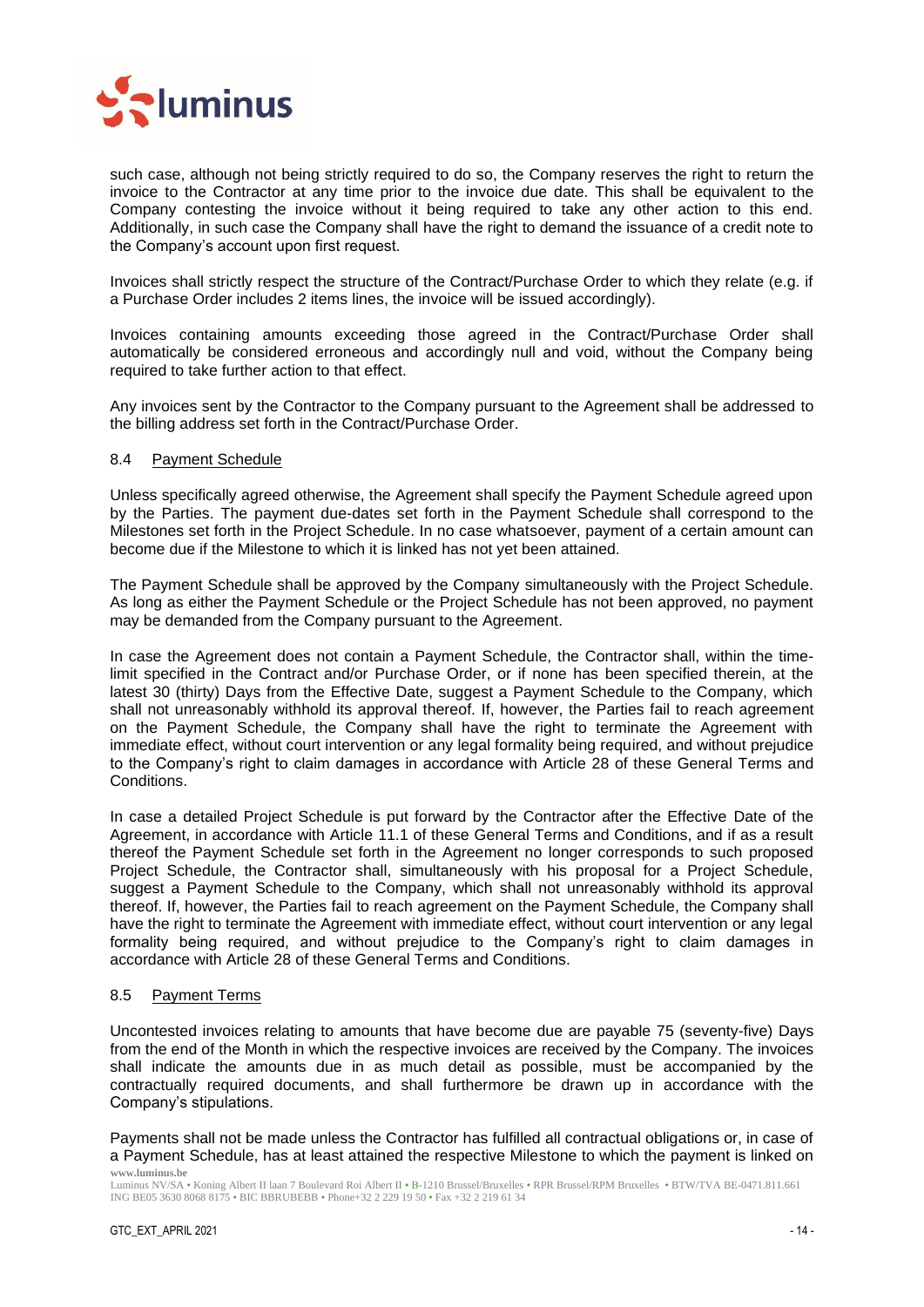

such case, although not being strictly required to do so, the Company reserves the right to return the invoice to the Contractor at any time prior to the invoice due date. This shall be equivalent to the Company contesting the invoice without it being required to take any other action to this end. Additionally, in such case the Company shall have the right to demand the issuance of a credit note to the Company's account upon first request.

Invoices shall strictly respect the structure of the Contract/Purchase Order to which they relate (e.g. if a Purchase Order includes 2 items lines, the invoice will be issued accordingly).

Invoices containing amounts exceeding those agreed in the Contract/Purchase Order shall automatically be considered erroneous and accordingly null and void, without the Company being required to take further action to that effect.

Any invoices sent by the Contractor to the Company pursuant to the Agreement shall be addressed to the billing address set forth in the Contract/Purchase Order.

#### <span id="page-13-0"></span>8.4 Payment Schedule

Unless specifically agreed otherwise, the Agreement shall specify the Payment Schedule agreed upon by the Parties. The payment due-dates set forth in the Payment Schedule shall correspond to the Milestones set forth in the Project Schedule. In no case whatsoever, payment of a certain amount can become due if the Milestone to which it is linked has not yet been attained.

The Payment Schedule shall be approved by the Company simultaneously with the Project Schedule. As long as either the Payment Schedule or the Project Schedule has not been approved, no payment may be demanded from the Company pursuant to the Agreement.

In case the Agreement does not contain a Payment Schedule, the Contractor shall, within the timelimit specified in the Contract and/or Purchase Order, or if none has been specified therein, at the latest 30 (thirty) Days from the Effective Date, suggest a Payment Schedule to the Company, which shall not unreasonably withhold its approval thereof. If, however, the Parties fail to reach agreement on the Payment Schedule, the Company shall have the right to terminate the Agreement with immediate effect, without court intervention or any legal formality being required, and without prejudice to the Company's right to claim damages in accordance with Article [28](#page-32-3) of these General Terms and Conditions.

In case a detailed Project Schedule is put forward by the Contractor after the Effective Date of the Agreement, in accordance with Article [11.1](#page-16-2) of these General Terms and Conditions, and if as a result thereof the Payment Schedule set forth in the Agreement no longer corresponds to such proposed Project Schedule, the Contractor shall, simultaneously with his proposal for a Project Schedule, suggest a Payment Schedule to the Company, which shall not unreasonably withhold its approval thereof. If, however, the Parties fail to reach agreement on the Payment Schedule, the Company shall have the right to terminate the Agreement with immediate effect, without court intervention or any legal formality being required, and without prejudice to the Company's right to claim damages in accordance with Article [28](#page-32-3) of these General Terms and Conditions.

#### <span id="page-13-1"></span>8.5 Payment Terms

Uncontested invoices relating to amounts that have become due are payable 75 (seventy-five) Days from the end of the Month in which the respective invoices are received by the Company. The invoices shall indicate the amounts due in as much detail as possible, must be accompanied by the contractually required documents, and shall furthermore be drawn up in accordance with the Company's stipulations.

**www.luminus.be** Payments shall not be made unless the Contractor has fulfilled all contractual obligations or, in case of a Payment Schedule, has at least attained the respective Milestone to which the payment is linked on

Luminus NV/SA • Koning Albert II laan 7 Boulevard Roi Albert II • B-1210 Brussel/Bruxelles • RPR Brussel/RPM Bruxelles • BTW/TVA BE-0471.811.661 ING BE05 3630 8068 8175 • BIC BBRUBEBB • Phone+32 2 229 19 50 • Fax +32 2 219 61 34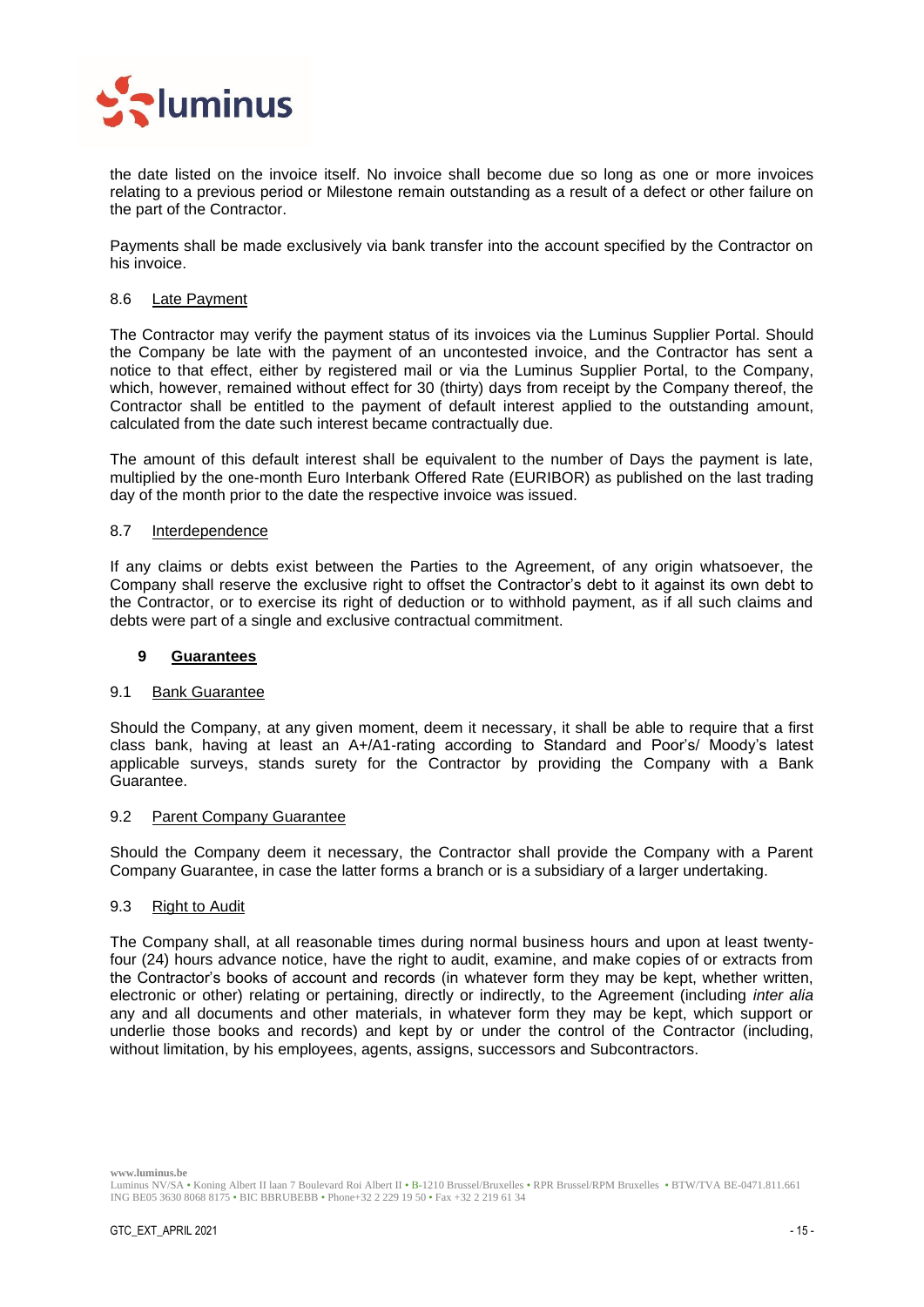

the date listed on the invoice itself. No invoice shall become due so long as one or more invoices relating to a previous period or Milestone remain outstanding as a result of a defect or other failure on the part of the Contractor.

Payments shall be made exclusively via bank transfer into the account specified by the Contractor on his invoice.

#### <span id="page-14-0"></span>8.6 Late Payment

The Contractor may verify the payment status of its invoices via the Luminus Supplier Portal. Should the Company be late with the payment of an uncontested invoice, and the Contractor has sent a notice to that effect, either by registered mail or via the Luminus Supplier Portal, to the Company, which, however, remained without effect for 30 (thirty) days from receipt by the Company thereof, the Contractor shall be entitled to the payment of default interest applied to the outstanding amount, calculated from the date such interest became contractually due.

The amount of this default interest shall be equivalent to the number of Days the payment is late, multiplied by the one-month Euro Interbank Offered Rate (EURIBOR) as published on the last trading day of the month prior to the date the respective invoice was issued.

#### <span id="page-14-1"></span>8.7 Interdependence

If any claims or debts exist between the Parties to the Agreement, of any origin whatsoever, the Company shall reserve the exclusive right to offset the Contractor's debt to it against its own debt to the Contractor, or to exercise its right of deduction or to withhold payment, as if all such claims and debts were part of a single and exclusive contractual commitment.

## <span id="page-14-2"></span>**9 Guarantees**

#### <span id="page-14-3"></span>9.1 Bank Guarantee

Should the Company, at any given moment, deem it necessary, it shall be able to require that a first class bank, having at least an A+/A1-rating according to Standard and Poor's/ Moody's latest applicable surveys, stands surety for the Contractor by providing the Company with a Bank Guarantee.

#### <span id="page-14-4"></span>9.2 Parent Company Guarantee

Should the Company deem it necessary, the Contractor shall provide the Company with a Parent Company Guarantee, in case the latter forms a branch or is a subsidiary of a larger undertaking.

## <span id="page-14-5"></span>9.3 Right to Audit

The Company shall, at all reasonable times during normal business hours and upon at least twentyfour (24) hours advance notice, have the right to audit, examine, and make copies of or extracts from the Contractor's books of account and records (in whatever form they may be kept, whether written, electronic or other) relating or pertaining, directly or indirectly, to the Agreement (including *inter alia* any and all documents and other materials, in whatever form they may be kept, which support or underlie those books and records) and kept by or under the control of the Contractor (including, without limitation, by his employees, agents, assigns, successors and Subcontractors.

Luminus NV/SA • Koning Albert II laan 7 Boulevard Roi Albert II • B-1210 Brussel/Bruxelles • RPR Brussel/RPM Bruxelles • BTW/TVA BE-0471.811.661 ING BE05 3630 8068 8175 • BIC BBRUBEBB • Phone+32 2 229 19 50 • Fax +32 2 219 61 34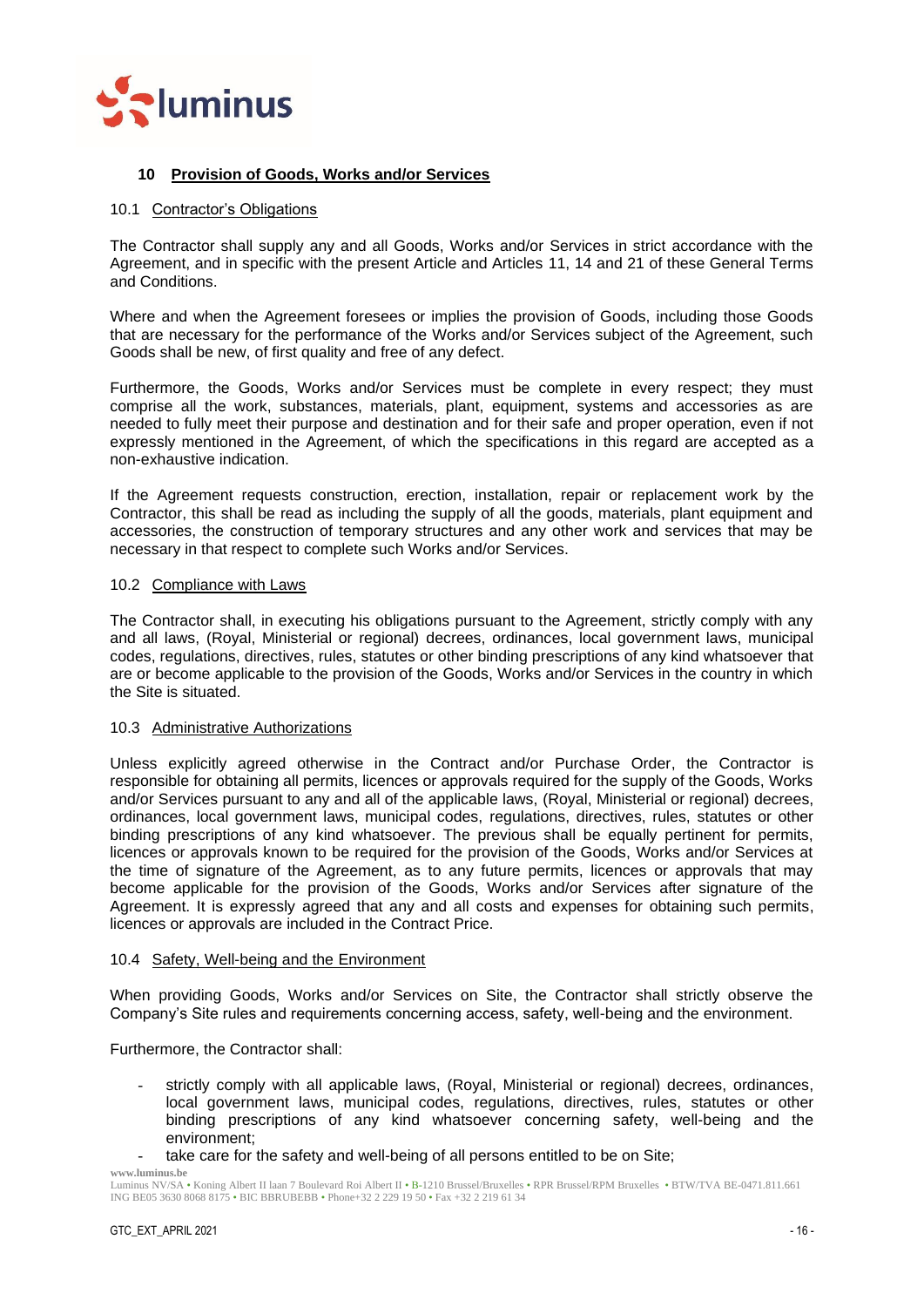

## <span id="page-15-0"></span>**10 Provision of Goods, Works and/or Services**

#### <span id="page-15-1"></span>10.1 Contractor's Obligations

The Contractor shall supply any and all Goods, Works and/or Services in strict accordance with the Agreement, and in specific with the present Article and Articles [11,](#page-16-1) [14](#page-19-5) and [21](#page-27-3) of these General Terms and Conditions.

Where and when the Agreement foresees or implies the provision of Goods, including those Goods that are necessary for the performance of the Works and/or Services subject of the Agreement, such Goods shall be new, of first quality and free of any defect.

Furthermore, the Goods, Works and/or Services must be complete in every respect; they must comprise all the work, substances, materials, plant, equipment, systems and accessories as are needed to fully meet their purpose and destination and for their safe and proper operation, even if not expressly mentioned in the Agreement, of which the specifications in this regard are accepted as a non-exhaustive indication.

If the Agreement requests construction, erection, installation, repair or replacement work by the Contractor, this shall be read as including the supply of all the goods, materials, plant equipment and accessories, the construction of temporary structures and any other work and services that may be necessary in that respect to complete such Works and/or Services.

## <span id="page-15-2"></span>10.2 Compliance with Laws

The Contractor shall, in executing his obligations pursuant to the Agreement, strictly comply with any and all laws, (Royal, Ministerial or regional) decrees, ordinances, local government laws, municipal codes, regulations, directives, rules, statutes or other binding prescriptions of any kind whatsoever that are or become applicable to the provision of the Goods, Works and/or Services in the country in which the Site is situated.

#### <span id="page-15-3"></span>10.3 Administrative Authorizations

Unless explicitly agreed otherwise in the Contract and/or Purchase Order, the Contractor is responsible for obtaining all permits, licences or approvals required for the supply of the Goods, Works and/or Services pursuant to any and all of the applicable laws, (Royal, Ministerial or regional) decrees, ordinances, local government laws, municipal codes, regulations, directives, rules, statutes or other binding prescriptions of any kind whatsoever. The previous shall be equally pertinent for permits, licences or approvals known to be required for the provision of the Goods, Works and/or Services at the time of signature of the Agreement, as to any future permits, licences or approvals that may become applicable for the provision of the Goods, Works and/or Services after signature of the Agreement. It is expressly agreed that any and all costs and expenses for obtaining such permits, licences or approvals are included in the Contract Price.

## <span id="page-15-4"></span>10.4 Safety, Well-being and the Environment

When providing Goods, Works and/or Services on Site, the Contractor shall strictly observe the Company's Site rules and requirements concerning access, safety, well-being and the environment.

Furthermore, the Contractor shall:

- strictly comply with all applicable laws, (Royal, Ministerial or regional) decrees, ordinances, local government laws, municipal codes, regulations, directives, rules, statutes or other binding prescriptions of any kind whatsoever concerning safety, well-being and the environment;
- take care for the safety and well-being of all persons entitled to be on Site;

Luminus NV/SA • Koning Albert II laan 7 Boulevard Roi Albert II • B-1210 Brussel/Bruxelles • RPR Brussel/RPM Bruxelles • BTW/TVA BE-0471.811.661 ING BE05 3630 8068 8175 • BIC BBRUBEBB • Phone+32 2 229 19 50 • Fax +32 2 219 61 34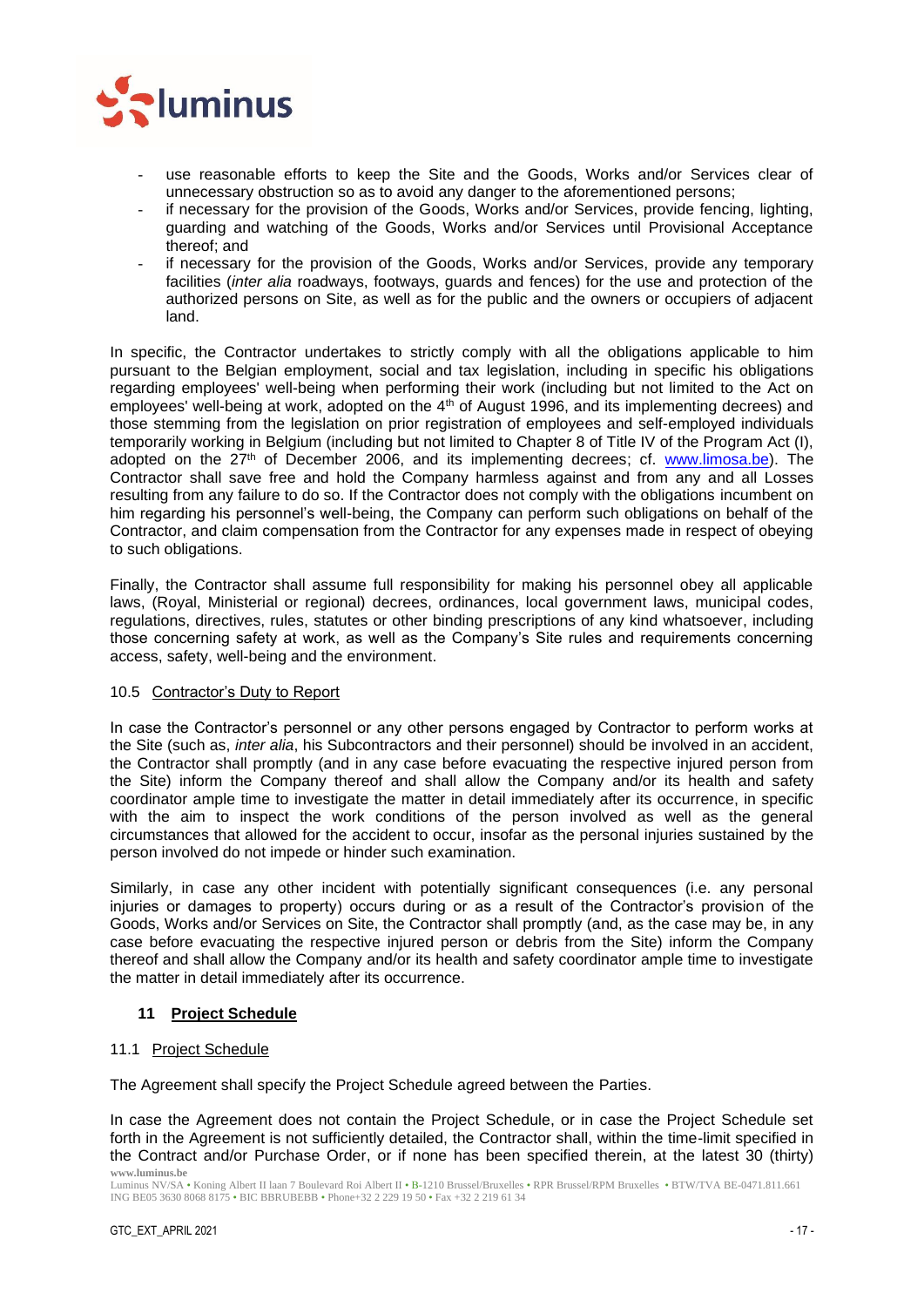

- use reasonable efforts to keep the Site and the Goods, Works and/or Services clear of unnecessary obstruction so as to avoid any danger to the aforementioned persons;
- if necessary for the provision of the Goods, Works and/or Services, provide fencing, lighting, guarding and watching of the Goods, Works and/or Services until Provisional Acceptance thereof; and
- if necessary for the provision of the Goods, Works and/or Services, provide any temporary facilities (*inter alia* roadways, footways, guards and fences) for the use and protection of the authorized persons on Site, as well as for the public and the owners or occupiers of adjacent land.

In specific, the Contractor undertakes to strictly comply with all the obligations applicable to him pursuant to the Belgian employment, social and tax legislation, including in specific his obligations regarding employees' well-being when performing their work (including but not limited to the Act on employees' well-being at work, adopted on the  $4<sup>th</sup>$  of August 1996, and its implementing decrees) and those stemming from the legislation on prior registration of employees and self-employed individuals temporarily working in Belgium (including but not limited to Chapter 8 of Title IV of the Program Act (I), adopted on the 27th of December 2006, and its implementing decrees; cf. [www.limosa.be\)](http://www.limosa.be/). The Contractor shall save free and hold the Company harmless against and from any and all Losses resulting from any failure to do so. If the Contractor does not comply with the obligations incumbent on him regarding his personnel's well-being, the Company can perform such obligations on behalf of the Contractor, and claim compensation from the Contractor for any expenses made in respect of obeying to such obligations.

Finally, the Contractor shall assume full responsibility for making his personnel obey all applicable laws, (Royal, Ministerial or regional) decrees, ordinances, local government laws, municipal codes, regulations, directives, rules, statutes or other binding prescriptions of any kind whatsoever, including those concerning safety at work, as well as the Company's Site rules and requirements concerning access, safety, well-being and the environment.

## <span id="page-16-0"></span>10.5 Contractor's Duty to Report

In case the Contractor's personnel or any other persons engaged by Contractor to perform works at the Site (such as, *inter alia*, his Subcontractors and their personnel) should be involved in an accident, the Contractor shall promptly (and in any case before evacuating the respective injured person from the Site) inform the Company thereof and shall allow the Company and/or its health and safety coordinator ample time to investigate the matter in detail immediately after its occurrence, in specific with the aim to inspect the work conditions of the person involved as well as the general circumstances that allowed for the accident to occur, insofar as the personal injuries sustained by the person involved do not impede or hinder such examination.

Similarly, in case any other incident with potentially significant consequences (i.e. any personal injuries or damages to property) occurs during or as a result of the Contractor's provision of the Goods, Works and/or Services on Site, the Contractor shall promptly (and, as the case may be, in any case before evacuating the respective injured person or debris from the Site) inform the Company thereof and shall allow the Company and/or its health and safety coordinator ample time to investigate the matter in detail immediately after its occurrence.

## <span id="page-16-1"></span>**11 Project Schedule**

## <span id="page-16-2"></span>11.1 Project Schedule

The Agreement shall specify the Project Schedule agreed between the Parties.

**www.luminus.be** In case the Agreement does not contain the Project Schedule, or in case the Project Schedule set forth in the Agreement is not sufficiently detailed, the Contractor shall, within the time-limit specified in the Contract and/or Purchase Order, or if none has been specified therein, at the latest 30 (thirty)

Luminus NV/SA • Koning Albert II laan 7 Boulevard Roi Albert II • B-1210 Brussel/Bruxelles • RPR Brussel/RPM Bruxelles • BTW/TVA BE-0471.811.661 ING BE05 3630 8068 8175 • BIC BBRUBEBB • Phone+32 2 229 19 50 • Fax +32 2 219 61 34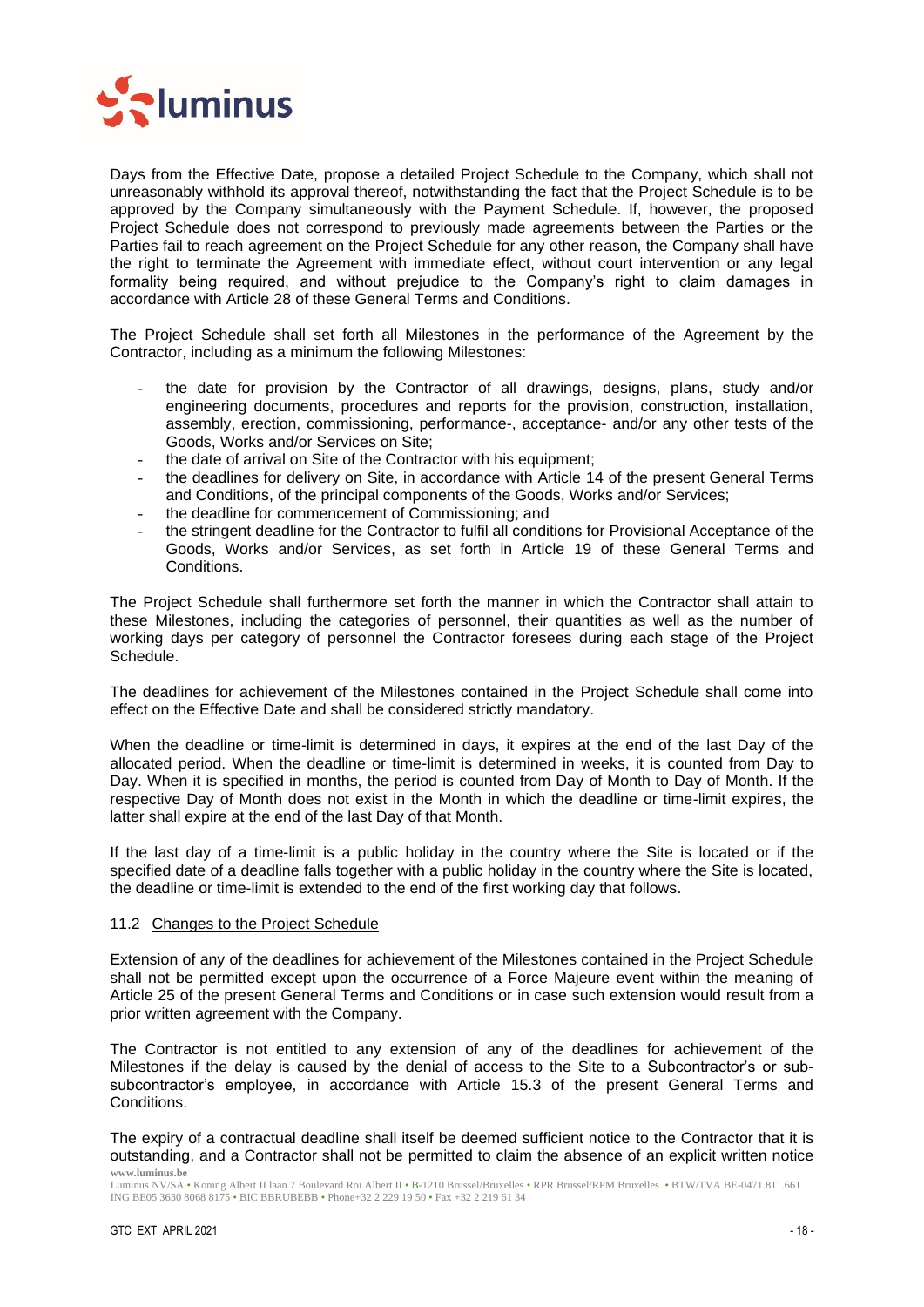

Days from the Effective Date, propose a detailed Project Schedule to the Company, which shall not unreasonably withhold its approval thereof, notwithstanding the fact that the Project Schedule is to be approved by the Company simultaneously with the Payment Schedule. If, however, the proposed Project Schedule does not correspond to previously made agreements between the Parties or the Parties fail to reach agreement on the Project Schedule for any other reason, the Company shall have the right to terminate the Agreement with immediate effect, without court intervention or any legal formality being required, and without prejudice to the Company's right to claim damages in accordance with Article [28](#page-32-3) of these General Terms and Conditions.

The Project Schedule shall set forth all Milestones in the performance of the Agreement by the Contractor, including as a minimum the following Milestones:

- the date for provision by the Contractor of all drawings, designs, plans, study and/or engineering documents, procedures and reports for the provision, construction, installation, assembly, erection, commissioning, performance-, acceptance- and/or any other tests of the Goods, Works and/or Services on Site;
- the date of arrival on Site of the Contractor with his equipment;
- the deadlines for delivery on Site, in accordance with Article [14](#page-19-5) of the present General Terms and Conditions, of the principal components of the Goods, Works and/or Services;
- the deadline for commencement of Commissioning; and
- the stringent deadline for the Contractor to fulfil all conditions for Provisional Acceptance of the Goods, Works and/or Services, as set forth in Article [19](#page-25-3) of these General Terms and Conditions.

The Project Schedule shall furthermore set forth the manner in which the Contractor shall attain to these Milestones, including the categories of personnel, their quantities as well as the number of working days per category of personnel the Contractor foresees during each stage of the Project Schedule.

The deadlines for achievement of the Milestones contained in the Project Schedule shall come into effect on the Effective Date and shall be considered strictly mandatory.

When the deadline or time-limit is determined in days, it expires at the end of the last Day of the allocated period. When the deadline or time-limit is determined in weeks, it is counted from Day to Day. When it is specified in months, the period is counted from Day of Month to Day of Month. If the respective Day of Month does not exist in the Month in which the deadline or time-limit expires, the latter shall expire at the end of the last Day of that Month.

If the last day of a time-limit is a public holiday in the country where the Site is located or if the specified date of a deadline falls together with a public holiday in the country where the Site is located, the deadline or time-limit is extended to the end of the first working day that follows.

#### <span id="page-17-0"></span>11.2 Changes to the Project Schedule

Extension of any of the deadlines for achievement of the Milestones contained in the Project Schedule shall not be permitted except upon the occurrence of a Force Majeure event within the meaning of Article [25](#page-30-0) of the present General Terms and Conditions or in case such extension would result from a prior written agreement with the Company.

The Contractor is not entitled to any extension of any of the deadlines for achievement of the Milestones if the delay is caused by the denial of access to the Site to a Subcontractor's or subsubcontractor's employee, in accordance with Article 15.3 of the present General Terms and Conditions.

**www.luminus.be** The expiry of a contractual deadline shall itself be deemed sufficient notice to the Contractor that it is outstanding, and a Contractor shall not be permitted to claim the absence of an explicit written notice

Luminus NV/SA • Koning Albert II laan 7 Boulevard Roi Albert II • B-1210 Brussel/Bruxelles • RPR Brussel/RPM Bruxelles • BTW/TVA BE-0471.811.661 ING BE05 3630 8068 8175 • BIC BBRUBEBB • Phone+32 2 229 19 50 • Fax +32 2 219 61 34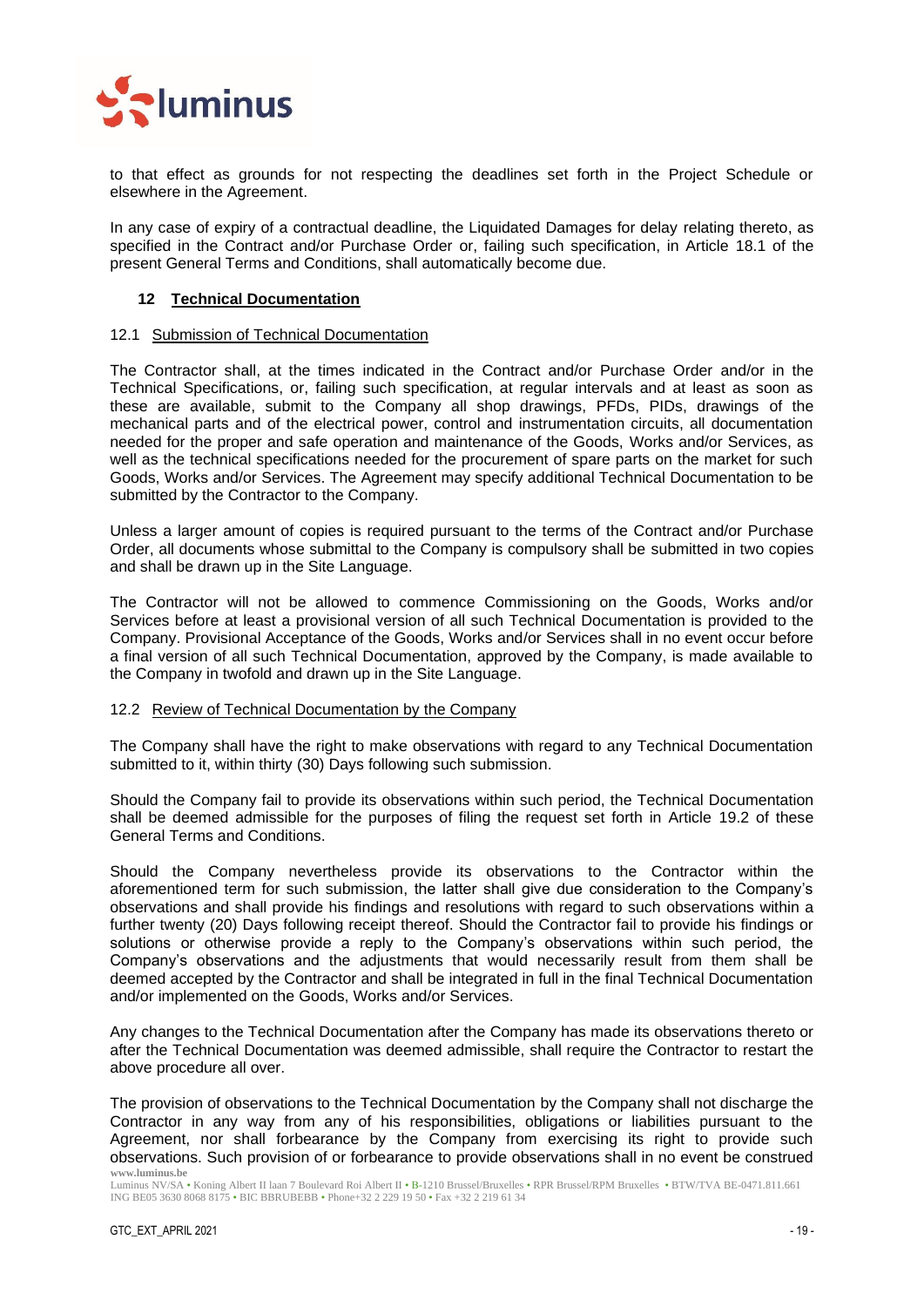

to that effect as grounds for not respecting the deadlines set forth in the Project Schedule or elsewhere in the Agreement.

In any case of expiry of a contractual deadline, the Liquidated Damages for delay relating thereto, as specified in the Contract and/or Purchase Order or, failing such specification, in Article [18.1](#page-25-1) of the present General Terms and Conditions, shall automatically become due.

## <span id="page-18-0"></span>**12 Technical Documentation**

#### <span id="page-18-1"></span>12.1 Submission of Technical Documentation

The Contractor shall, at the times indicated in the Contract and/or Purchase Order and/or in the Technical Specifications, or, failing such specification, at regular intervals and at least as soon as these are available, submit to the Company all shop drawings, PFDs, PIDs, drawings of the mechanical parts and of the electrical power, control and instrumentation circuits, all documentation needed for the proper and safe operation and maintenance of the Goods, Works and/or Services, as well as the technical specifications needed for the procurement of spare parts on the market for such Goods, Works and/or Services. The Agreement may specify additional Technical Documentation to be submitted by the Contractor to the Company.

Unless a larger amount of copies is required pursuant to the terms of the Contract and/or Purchase Order, all documents whose submittal to the Company is compulsory shall be submitted in two copies and shall be drawn up in the Site Language.

The Contractor will not be allowed to commence Commissioning on the Goods, Works and/or Services before at least a provisional version of all such Technical Documentation is provided to the Company. Provisional Acceptance of the Goods, Works and/or Services shall in no event occur before a final version of all such Technical Documentation, approved by the Company, is made available to the Company in twofold and drawn up in the Site Language.

#### <span id="page-18-2"></span>12.2 Review of Technical Documentation by the Company

The Company shall have the right to make observations with regard to any Technical Documentation submitted to it, within thirty (30) Days following such submission.

Should the Company fail to provide its observations within such period, the Technical Documentation shall be deemed admissible for the purposes of filing the request set forth in Article [19.2](#page-26-0) of these General Terms and Conditions.

Should the Company nevertheless provide its observations to the Contractor within the aforementioned term for such submission, the latter shall give due consideration to the Company's observations and shall provide his findings and resolutions with regard to such observations within a further twenty (20) Days following receipt thereof. Should the Contractor fail to provide his findings or solutions or otherwise provide a reply to the Company's observations within such period, the Company's observations and the adjustments that would necessarily result from them shall be deemed accepted by the Contractor and shall be integrated in full in the final Technical Documentation and/or implemented on the Goods, Works and/or Services.

Any changes to the Technical Documentation after the Company has made its observations thereto or after the Technical Documentation was deemed admissible, shall require the Contractor to restart the above procedure all over.

**www.luminus.be** The provision of observations to the Technical Documentation by the Company shall not discharge the Contractor in any way from any of his responsibilities, obligations or liabilities pursuant to the Agreement, nor shall forbearance by the Company from exercising its right to provide such observations. Such provision of or forbearance to provide observations shall in no event be construed

Luminus NV/SA • Koning Albert II laan 7 Boulevard Roi Albert II • B-1210 Brussel/Bruxelles • RPR Brussel/RPM Bruxelles • BTW/TVA BE-0471.811.661 ING BE05 3630 8068 8175 • BIC BBRUBEBB • Phone+32 2 229 19 50 • Fax +32 2 219 61 34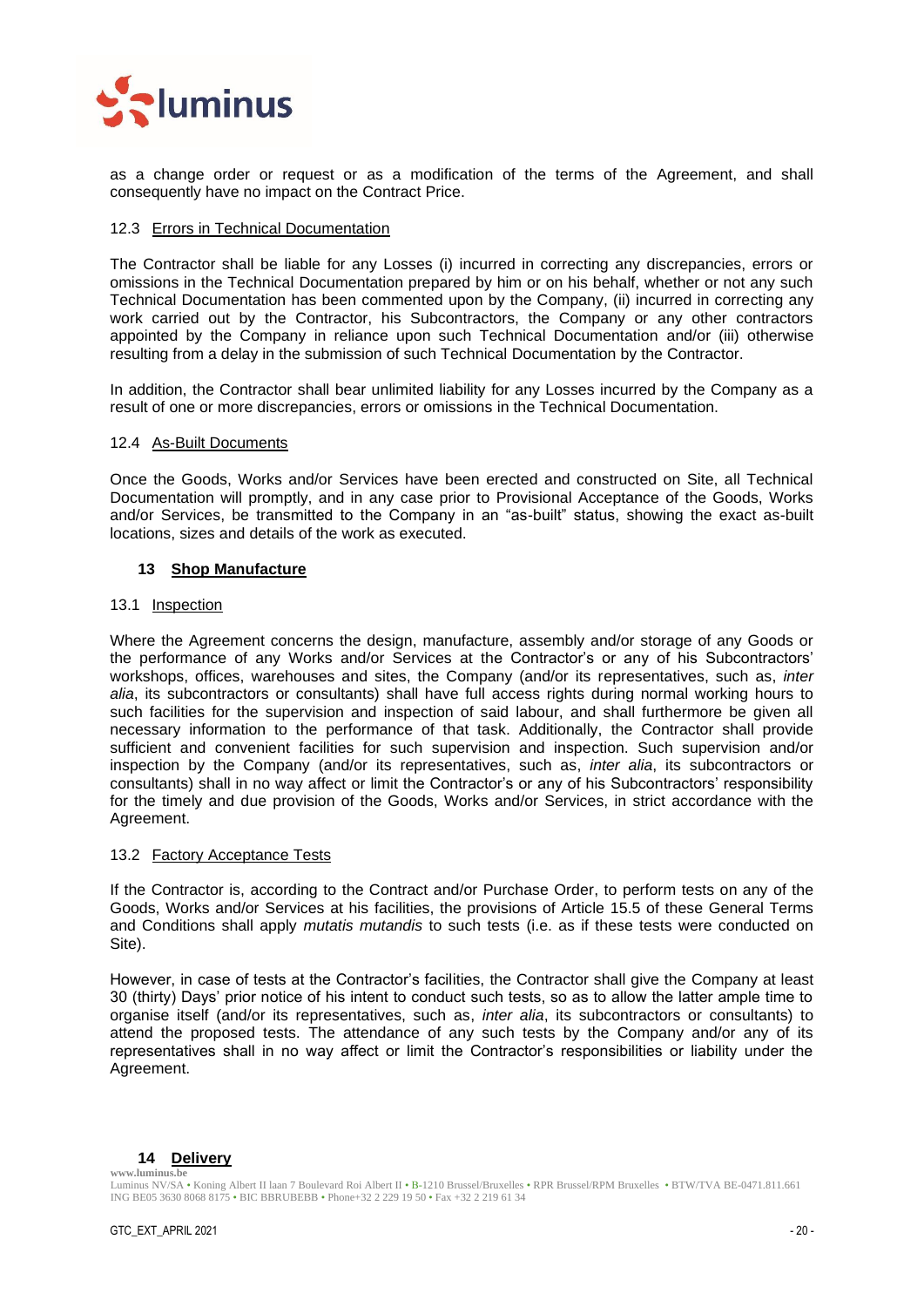

as a change order or request or as a modification of the terms of the Agreement, and shall consequently have no impact on the Contract Price.

#### <span id="page-19-0"></span>12.3 Errors in Technical Documentation

The Contractor shall be liable for any Losses (i) incurred in correcting any discrepancies, errors or omissions in the Technical Documentation prepared by him or on his behalf, whether or not any such Technical Documentation has been commented upon by the Company, (ii) incurred in correcting any work carried out by the Contractor, his Subcontractors, the Company or any other contractors appointed by the Company in reliance upon such Technical Documentation and/or (iii) otherwise resulting from a delay in the submission of such Technical Documentation by the Contractor.

In addition, the Contractor shall bear unlimited liability for any Losses incurred by the Company as a result of one or more discrepancies, errors or omissions in the Technical Documentation.

#### <span id="page-19-1"></span>12.4 As-Built Documents

Once the Goods, Works and/or Services have been erected and constructed on Site, all Technical Documentation will promptly, and in any case prior to Provisional Acceptance of the Goods, Works and/or Services, be transmitted to the Company in an "as-built" status, showing the exact as-built locations, sizes and details of the work as executed.

## <span id="page-19-2"></span>**13 Shop Manufacture**

#### <span id="page-19-3"></span>13.1 Inspection

Where the Agreement concerns the design, manufacture, assembly and/or storage of any Goods or the performance of any Works and/or Services at the Contractor's or any of his Subcontractors' workshops, offices, warehouses and sites, the Company (and/or its representatives, such as, *inter alia*, its subcontractors or consultants) shall have full access rights during normal working hours to such facilities for the supervision and inspection of said labour, and shall furthermore be given all necessary information to the performance of that task. Additionally, the Contractor shall provide sufficient and convenient facilities for such supervision and inspection. Such supervision and/or inspection by the Company (and/or its representatives, such as, *inter alia*, its subcontractors or consultants) shall in no way affect or limit the Contractor's or any of his Subcontractors' responsibility for the timely and due provision of the Goods, Works and/or Services, in strict accordance with the Agreement.

## <span id="page-19-4"></span>13.2 Factory Acceptance Tests

If the Contractor is, according to the Contract and/or Purchase Order, to perform tests on any of the Goods, Works and/or Services at his facilities, the provisions of Article [15.5](#page-21-1) of these General Terms and Conditions shall apply *mutatis mutandis* to such tests (i.e. as if these tests were conducted on Site).

However, in case of tests at the Contractor's facilities, the Contractor shall give the Company at least 30 (thirty) Days' prior notice of his intent to conduct such tests, so as to allow the latter ample time to organise itself (and/or its representatives, such as, *inter alia*, its subcontractors or consultants) to attend the proposed tests. The attendance of any such tests by the Company and/or any of its representatives shall in no way affect or limit the Contractor's responsibilities or liability under the Agreement.

#### <span id="page-19-5"></span>**www.luminus.be 14 Delivery**

Luminus NV/SA • Koning Albert II laan 7 Boulevard Roi Albert II • B-1210 Brussel/Bruxelles • RPR Brussel/RPM Bruxelles • BTW/TVA BE-0471.811.661 ING BE05 3630 8068 8175 • BIC BBRUBEBB • Phone+32 2 229 19 50 • Fax +32 2 219 61 34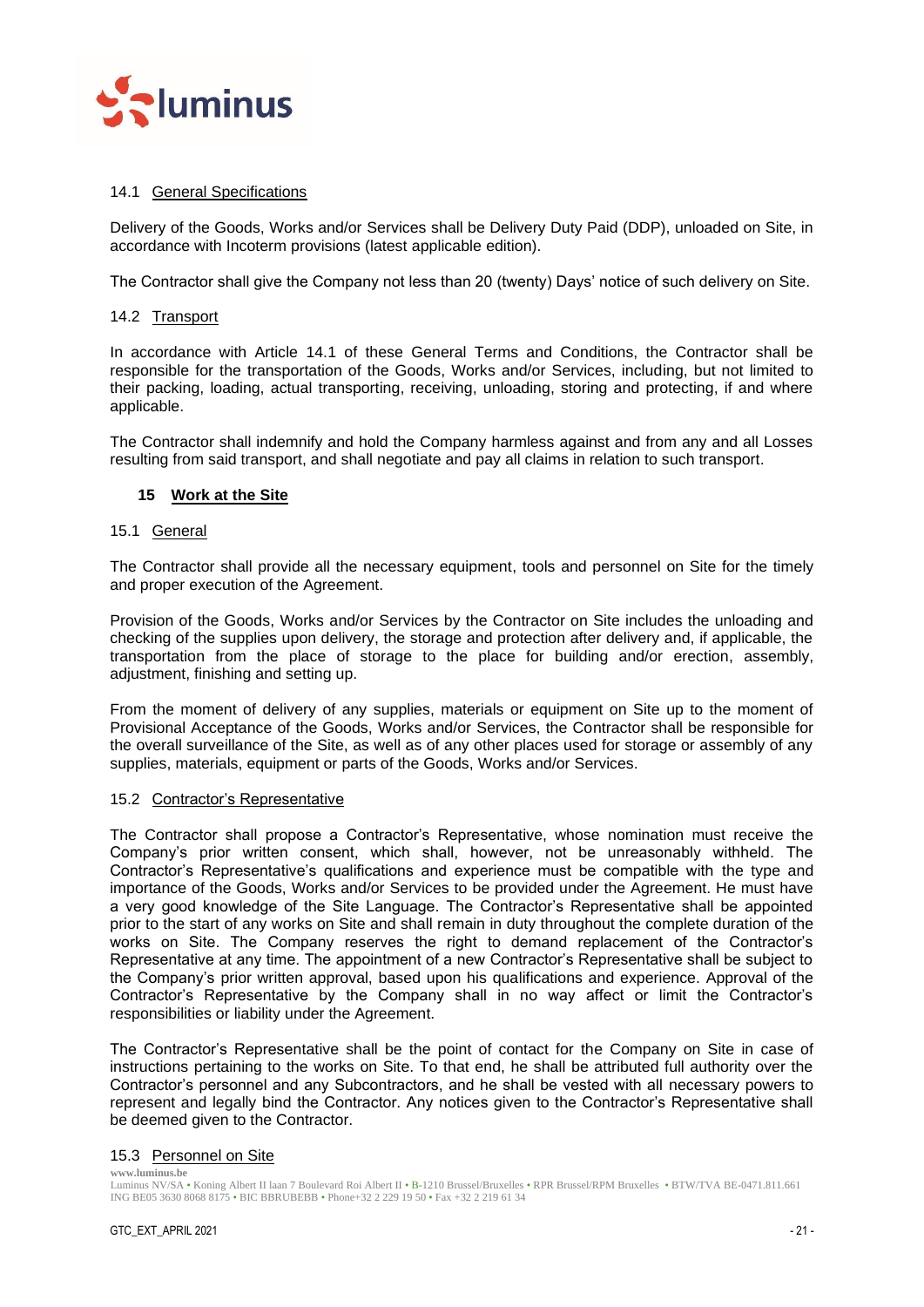

## <span id="page-20-0"></span>14.1 General Specifications

Delivery of the Goods, Works and/or Services shall be Delivery Duty Paid (DDP), unloaded on Site, in accordance with Incoterm provisions (latest applicable edition).

The Contractor shall give the Company not less than 20 (twenty) Days' notice of such delivery on Site.

## <span id="page-20-1"></span>14.2 Transport

In accordance with Article [14.1](#page-20-0) of these General Terms and Conditions, the Contractor shall be responsible for the transportation of the Goods, Works and/or Services, including, but not limited to their packing, loading, actual transporting, receiving, unloading, storing and protecting, if and where applicable.

The Contractor shall indemnify and hold the Company harmless against and from any and all Losses resulting from said transport, and shall negotiate and pay all claims in relation to such transport.

## <span id="page-20-2"></span>**15 Work at the Site**

#### <span id="page-20-3"></span>15.1 General

The Contractor shall provide all the necessary equipment, tools and personnel on Site for the timely and proper execution of the Agreement.

Provision of the Goods, Works and/or Services by the Contractor on Site includes the unloading and checking of the supplies upon delivery, the storage and protection after delivery and, if applicable, the transportation from the place of storage to the place for building and/or erection, assembly, adjustment, finishing and setting up.

From the moment of delivery of any supplies, materials or equipment on Site up to the moment of Provisional Acceptance of the Goods, Works and/or Services, the Contractor shall be responsible for the overall surveillance of the Site, as well as of any other places used for storage or assembly of any supplies, materials, equipment or parts of the Goods, Works and/or Services.

## <span id="page-20-4"></span>15.2 Contractor's Representative

The Contractor shall propose a Contractor's Representative, whose nomination must receive the Company's prior written consent, which shall, however, not be unreasonably withheld. The Contractor's Representative's qualifications and experience must be compatible with the type and importance of the Goods, Works and/or Services to be provided under the Agreement. He must have a very good knowledge of the Site Language. The Contractor's Representative shall be appointed prior to the start of any works on Site and shall remain in duty throughout the complete duration of the works on Site. The Company reserves the right to demand replacement of the Contractor's Representative at any time. The appointment of a new Contractor's Representative shall be subject to the Company's prior written approval, based upon his qualifications and experience. Approval of the Contractor's Representative by the Company shall in no way affect or limit the Contractor's responsibilities or liability under the Agreement.

The Contractor's Representative shall be the point of contact for the Company on Site in case of instructions pertaining to the works on Site. To that end, he shall be attributed full authority over the Contractor's personnel and any Subcontractors, and he shall be vested with all necessary powers to represent and legally bind the Contractor. Any notices given to the Contractor's Representative shall be deemed given to the Contractor.

#### <span id="page-20-5"></span>15.3 Personnel on Site

**www.luminus.be** Luminus NV/SA • Koning Albert II laan 7 Boulevard Roi Albert II • B-1210 Brussel/Bruxelles • RPR Brussel/RPM Bruxelles • BTW/TVA BE-0471.811.661 ING BE05 3630 8068 8175 • BIC BBRUBEBB • Phone+32 2 229 19 50 • Fax +32 2 219 61 34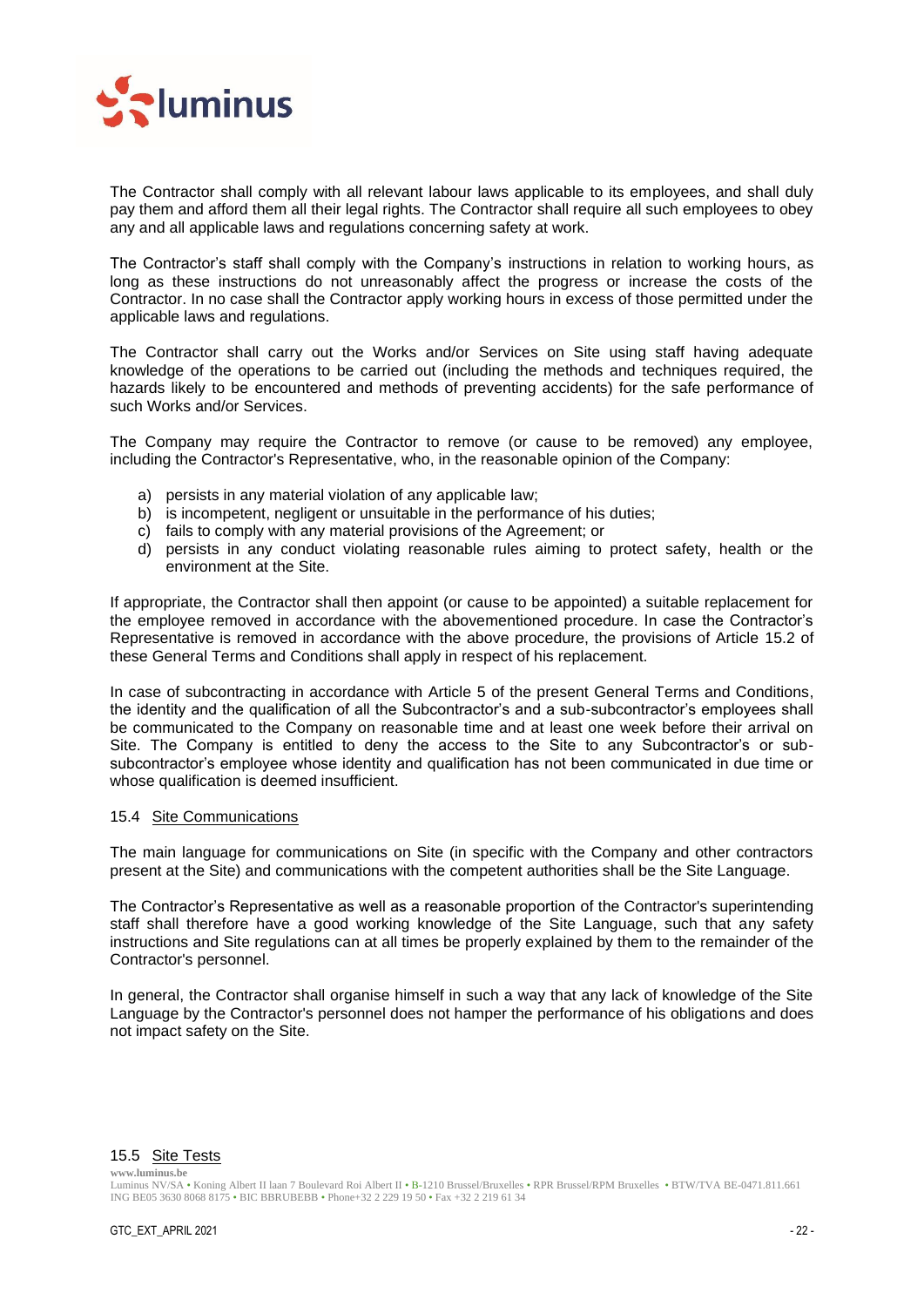

The Contractor shall comply with all relevant labour laws applicable to its employees, and shall duly pay them and afford them all their legal rights. The Contractor shall require all such employees to obey any and all applicable laws and regulations concerning safety at work.

The Contractor's staff shall comply with the Company's instructions in relation to working hours, as long as these instructions do not unreasonably affect the progress or increase the costs of the Contractor. In no case shall the Contractor apply working hours in excess of those permitted under the applicable laws and regulations.

The Contractor shall carry out the Works and/or Services on Site using staff having adequate knowledge of the operations to be carried out (including the methods and techniques required, the hazards likely to be encountered and methods of preventing accidents) for the safe performance of such Works and/or Services.

The Company may require the Contractor to remove (or cause to be removed) any employee, including the Contractor's Representative, who, in the reasonable opinion of the Company:

- a) persists in any material violation of any applicable law;
- b) is incompetent, negligent or unsuitable in the performance of his duties;
- c) fails to comply with any material provisions of the Agreement; or
- d) persists in any conduct violating reasonable rules aiming to protect safety, health or the environment at the Site.

If appropriate, the Contractor shall then appoint (or cause to be appointed) a suitable replacement for the employee removed in accordance with the abovementioned procedure. In case the Contractor's Representative is removed in accordance with the above procedure, the provisions of Article [15.2](#page-20-4) of these General Terms and Conditions shall apply in respect of his replacement.

In case of subcontracting in accordance with Article [5](#page-10-4) of the present General Terms and Conditions, the identity and the qualification of all the Subcontractor's and a sub-subcontractor's employees shall be communicated to the Company on reasonable time and at least one week before their arrival on Site. The Company is entitled to deny the access to the Site to any Subcontractor's or subsubcontractor's employee whose identity and qualification has not been communicated in due time or whose qualification is deemed insufficient.

## <span id="page-21-0"></span>15.4 Site Communications

The main language for communications on Site (in specific with the Company and other contractors present at the Site) and communications with the competent authorities shall be the Site Language.

The Contractor's Representative as well as a reasonable proportion of the Contractor's superintending staff shall therefore have a good working knowledge of the Site Language, such that any safety instructions and Site regulations can at all times be properly explained by them to the remainder of the Contractor's personnel.

In general, the Contractor shall organise himself in such a way that any lack of knowledge of the Site Language by the Contractor's personnel does not hamper the performance of his obligations and does not impact safety on the Site.

#### <span id="page-21-1"></span>15.5 Site Tests

Luminus NV/SA • Koning Albert II laan 7 Boulevard Roi Albert II • B-1210 Brussel/Bruxelles • RPR Brussel/RPM Bruxelles • BTW/TVA BE-0471.811.661 ING BE05 3630 8068 8175 • BIC BBRUBEBB • Phone+32 2 229 19 50 • Fax +32 2 219 61 34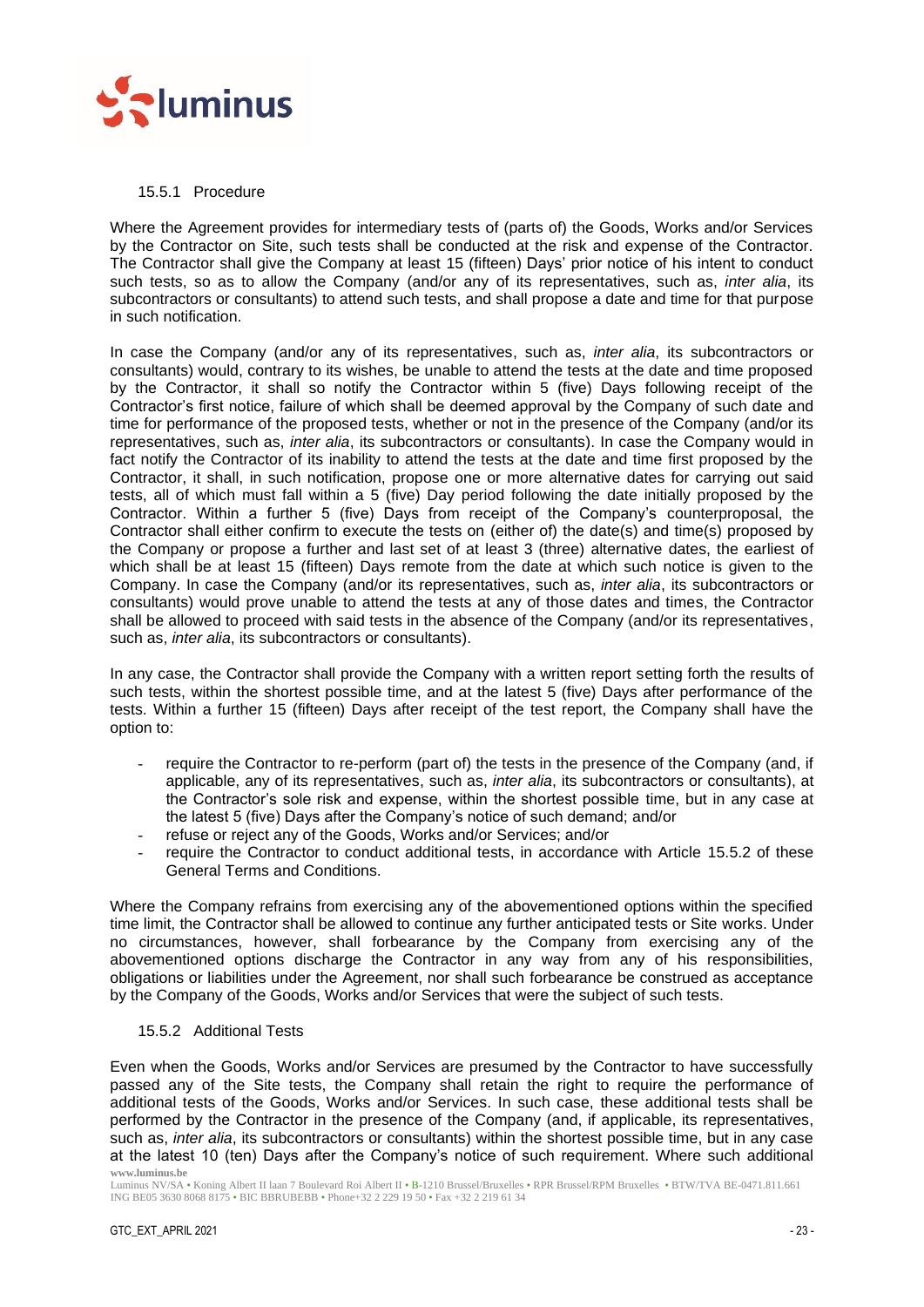

## <span id="page-22-0"></span>15.5.1 Procedure

Where the Agreement provides for intermediary tests of (parts of) the Goods, Works and/or Services by the Contractor on Site, such tests shall be conducted at the risk and expense of the Contractor. The Contractor shall give the Company at least 15 (fifteen) Days' prior notice of his intent to conduct such tests, so as to allow the Company (and/or any of its representatives, such as, *inter alia*, its subcontractors or consultants) to attend such tests, and shall propose a date and time for that purpose in such notification.

In case the Company (and/or any of its representatives, such as, *inter alia*, its subcontractors or consultants) would, contrary to its wishes, be unable to attend the tests at the date and time proposed by the Contractor, it shall so notify the Contractor within 5 (five) Days following receipt of the Contractor's first notice, failure of which shall be deemed approval by the Company of such date and time for performance of the proposed tests, whether or not in the presence of the Company (and/or its representatives, such as, *inter alia*, its subcontractors or consultants). In case the Company would in fact notify the Contractor of its inability to attend the tests at the date and time first proposed by the Contractor, it shall, in such notification, propose one or more alternative dates for carrying out said tests, all of which must fall within a 5 (five) Day period following the date initially proposed by the Contractor. Within a further 5 (five) Days from receipt of the Company's counterproposal, the Contractor shall either confirm to execute the tests on (either of) the date(s) and time(s) proposed by the Company or propose a further and last set of at least 3 (three) alternative dates, the earliest of which shall be at least 15 (fifteen) Days remote from the date at which such notice is given to the Company. In case the Company (and/or its representatives, such as, *inter alia*, its subcontractors or consultants) would prove unable to attend the tests at any of those dates and times, the Contractor shall be allowed to proceed with said tests in the absence of the Company (and/or its representatives, such as, *inter alia*, its subcontractors or consultants).

In any case, the Contractor shall provide the Company with a written report setting forth the results of such tests, within the shortest possible time, and at the latest 5 (five) Days after performance of the tests. Within a further 15 (fifteen) Days after receipt of the test report, the Company shall have the option to:

- require the Contractor to re-perform (part of) the tests in the presence of the Company (and, if applicable, any of its representatives, such as, *inter alia*, its subcontractors or consultants), at the Contractor's sole risk and expense, within the shortest possible time, but in any case at the latest 5 (five) Days after the Company's notice of such demand; and/or
- refuse or reject any of the Goods, Works and/or Services; and/or
- require the Contractor to conduct additional tests, in accordance with Article [15.5.2](#page-22-1) of these General Terms and Conditions.

Where the Company refrains from exercising any of the abovementioned options within the specified time limit, the Contractor shall be allowed to continue any further anticipated tests or Site works. Under no circumstances, however, shall forbearance by the Company from exercising any of the abovementioned options discharge the Contractor in any way from any of his responsibilities, obligations or liabilities under the Agreement, nor shall such forbearance be construed as acceptance by the Company of the Goods, Works and/or Services that were the subject of such tests.

## <span id="page-22-1"></span>15.5.2 Additional Tests

**www.luminus.be** Even when the Goods, Works and/or Services are presumed by the Contractor to have successfully passed any of the Site tests, the Company shall retain the right to require the performance of additional tests of the Goods, Works and/or Services. In such case, these additional tests shall be performed by the Contractor in the presence of the Company (and, if applicable, its representatives, such as, *inter alia*, its subcontractors or consultants) within the shortest possible time, but in any case at the latest 10 (ten) Days after the Company's notice of such requirement. Where such additional

Luminus NV/SA • Koning Albert II laan 7 Boulevard Roi Albert II • B-1210 Brussel/Bruxelles • RPR Brussel/RPM Bruxelles • BTW/TVA BE-0471.811.661 ING BE05 3630 8068 8175 • BIC BBRUBEBB • Phone+32 2 229 19 50 • Fax +32 2 219 61 34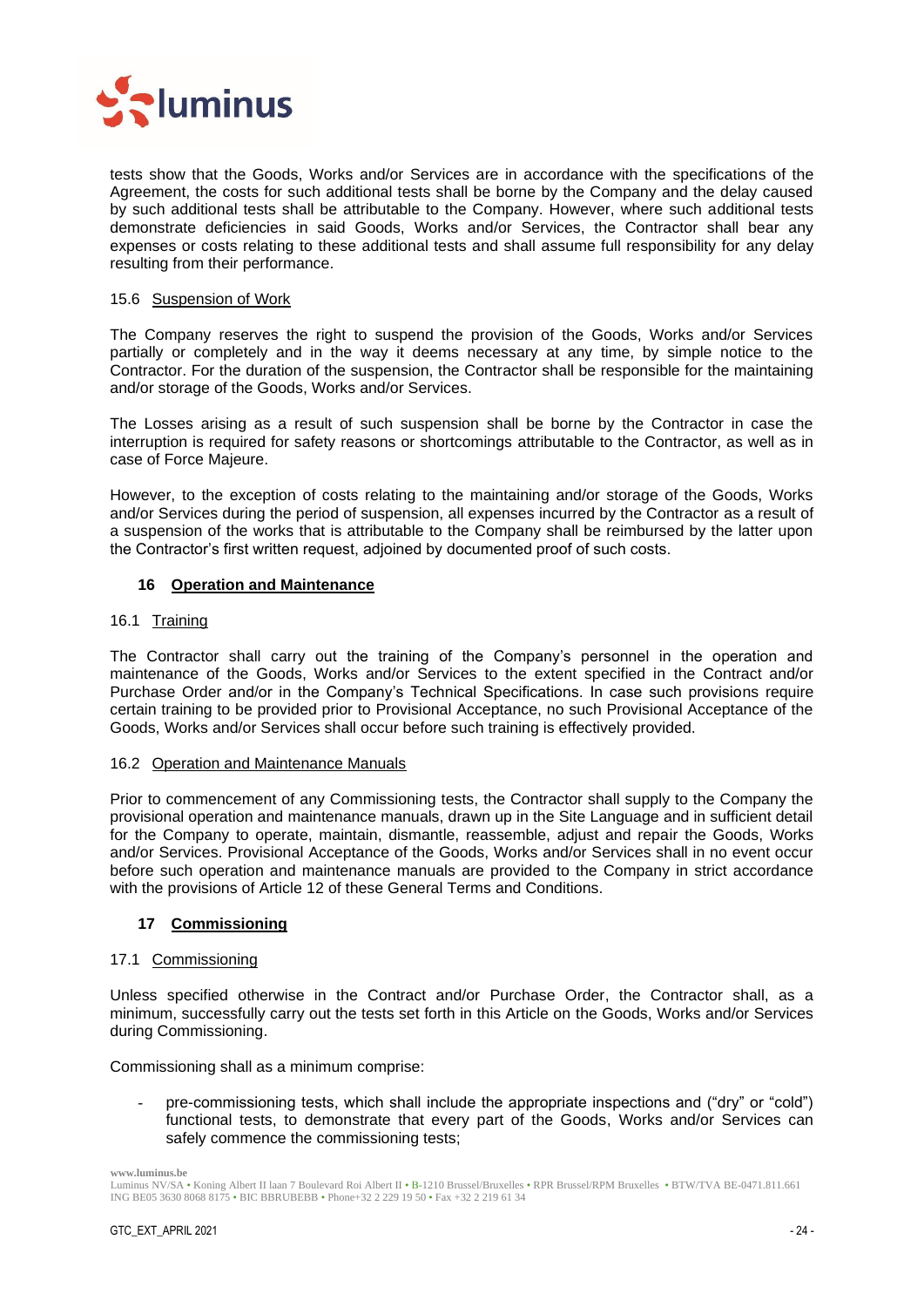

tests show that the Goods, Works and/or Services are in accordance with the specifications of the Agreement, the costs for such additional tests shall be borne by the Company and the delay caused by such additional tests shall be attributable to the Company. However, where such additional tests demonstrate deficiencies in said Goods, Works and/or Services, the Contractor shall bear any expenses or costs relating to these additional tests and shall assume full responsibility for any delay resulting from their performance.

#### <span id="page-23-0"></span>15.6 Suspension of Work

The Company reserves the right to suspend the provision of the Goods, Works and/or Services partially or completely and in the way it deems necessary at any time, by simple notice to the Contractor. For the duration of the suspension, the Contractor shall be responsible for the maintaining and/or storage of the Goods, Works and/or Services.

The Losses arising as a result of such suspension shall be borne by the Contractor in case the interruption is required for safety reasons or shortcomings attributable to the Contractor, as well as in case of Force Majeure.

However, to the exception of costs relating to the maintaining and/or storage of the Goods, Works and/or Services during the period of suspension, all expenses incurred by the Contractor as a result of a suspension of the works that is attributable to the Company shall be reimbursed by the latter upon the Contractor's first written request, adjoined by documented proof of such costs.

## <span id="page-23-1"></span>**16 Operation and Maintenance**

## <span id="page-23-2"></span>16.1 Training

The Contractor shall carry out the training of the Company's personnel in the operation and maintenance of the Goods, Works and/or Services to the extent specified in the Contract and/or Purchase Order and/or in the Company's Technical Specifications. In case such provisions require certain training to be provided prior to Provisional Acceptance, no such Provisional Acceptance of the Goods, Works and/or Services shall occur before such training is effectively provided.

## <span id="page-23-3"></span>16.2 Operation and Maintenance Manuals

Prior to commencement of any Commissioning tests, the Contractor shall supply to the Company the provisional operation and maintenance manuals, drawn up in the Site Language and in sufficient detail for the Company to operate, maintain, dismantle, reassemble, adjust and repair the Goods, Works and/or Services. Provisional Acceptance of the Goods, Works and/or Services shall in no event occur before such operation and maintenance manuals are provided to the Company in strict accordance with the provisions of Article [12](#page-18-0) of these General Terms and Conditions.

## <span id="page-23-4"></span>**17 Commissioning**

#### <span id="page-23-5"></span>17.1 Commissioning

Unless specified otherwise in the Contract and/or Purchase Order, the Contractor shall, as a minimum, successfully carry out the tests set forth in this Article on the Goods, Works and/or Services during Commissioning.

Commissioning shall as a minimum comprise:

pre-commissioning tests, which shall include the appropriate inspections and ("dry" or "cold") functional tests, to demonstrate that every part of the Goods, Works and/or Services can safely commence the commissioning tests;

**www.luminus.be**

Luminus NV/SA • Koning Albert II laan 7 Boulevard Roi Albert II • B-1210 Brussel/Bruxelles • RPR Brussel/RPM Bruxelles • BTW/TVA BE-0471.811.661 ING BE05 3630 8068 8175 • BIC BBRUBEBB • Phone+32 2 229 19 50 • Fax +32 2 219 61 34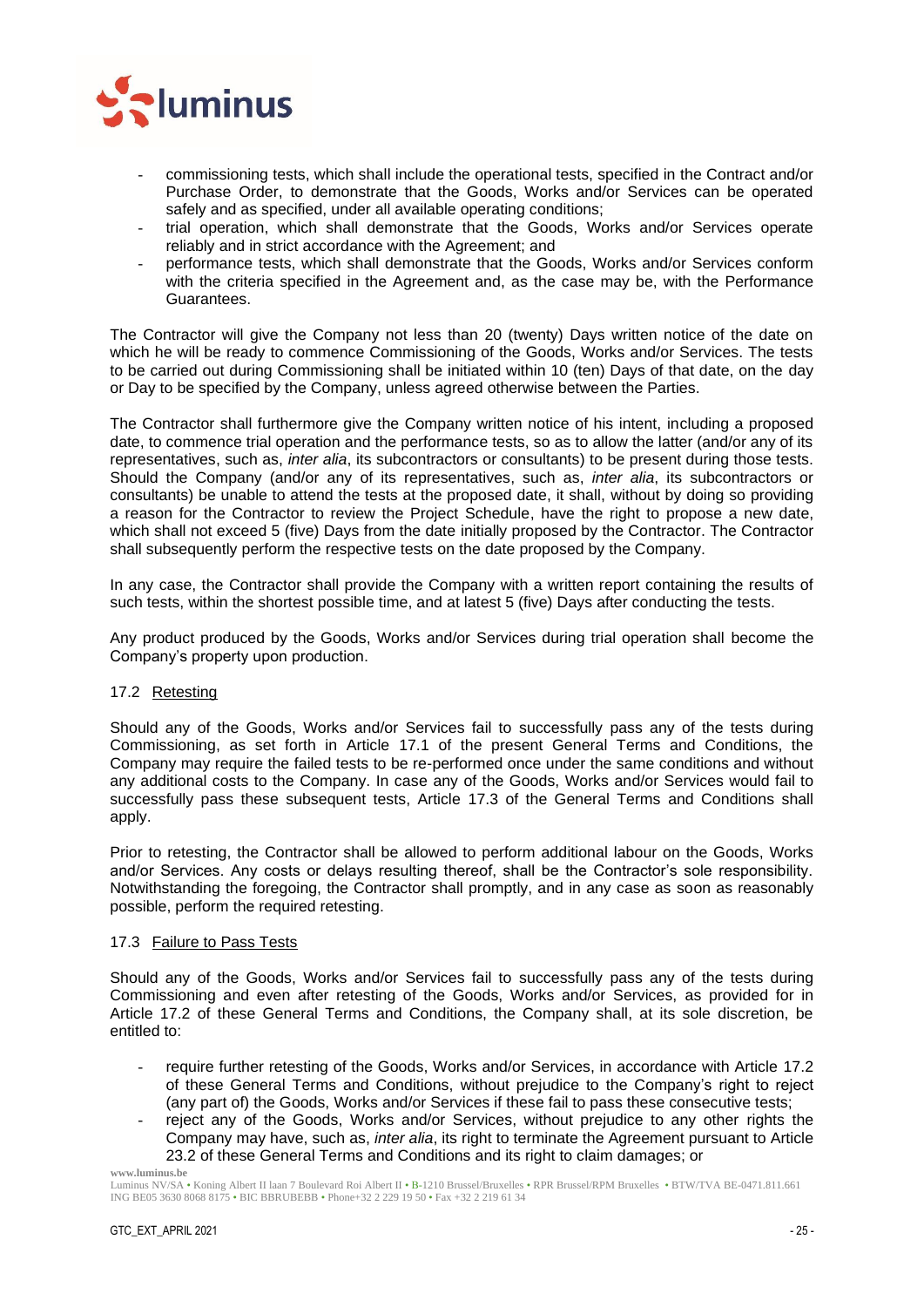

- commissioning tests, which shall include the operational tests, specified in the Contract and/or Purchase Order, to demonstrate that the Goods, Works and/or Services can be operated safely and as specified, under all available operating conditions;
- trial operation, which shall demonstrate that the Goods, Works and/or Services operate reliably and in strict accordance with the Agreement; and
- performance tests, which shall demonstrate that the Goods, Works and/or Services conform with the criteria specified in the Agreement and, as the case may be, with the Performance Guarantees.

The Contractor will give the Company not less than 20 (twenty) Days written notice of the date on which he will be ready to commence Commissioning of the Goods, Works and/or Services. The tests to be carried out during Commissioning shall be initiated within 10 (ten) Days of that date, on the day or Day to be specified by the Company, unless agreed otherwise between the Parties.

The Contractor shall furthermore give the Company written notice of his intent, including a proposed date, to commence trial operation and the performance tests, so as to allow the latter (and/or any of its representatives, such as, *inter alia*, its subcontractors or consultants) to be present during those tests. Should the Company (and/or any of its representatives, such as, *inter alia*, its subcontractors or consultants) be unable to attend the tests at the proposed date, it shall, without by doing so providing a reason for the Contractor to review the Project Schedule, have the right to propose a new date, which shall not exceed 5 (five) Days from the date initially proposed by the Contractor. The Contractor shall subsequently perform the respective tests on the date proposed by the Company.

In any case, the Contractor shall provide the Company with a written report containing the results of such tests, within the shortest possible time, and at latest 5 (five) Days after conducting the tests.

Any product produced by the Goods, Works and/or Services during trial operation shall become the Company's property upon production.

## <span id="page-24-0"></span>17.2 Retesting

Should any of the Goods, Works and/or Services fail to successfully pass any of the tests during Commissioning, as set forth in Article [17.1](#page-23-5) of the present General Terms and Conditions, the Company may require the failed tests to be re-performed once under the same conditions and without any additional costs to the Company. In case any of the Goods, Works and/or Services would fail to successfully pass these subsequent tests, Article [17.3](#page-24-1) of the General Terms and Conditions shall apply.

Prior to retesting, the Contractor shall be allowed to perform additional labour on the Goods, Works and/or Services. Any costs or delays resulting thereof, shall be the Contractor's sole responsibility. Notwithstanding the foregoing, the Contractor shall promptly, and in any case as soon as reasonably possible, perform the required retesting.

## <span id="page-24-1"></span>17.3 Failure to Pass Tests

Should any of the Goods, Works and/or Services fail to successfully pass any of the tests during Commissioning and even after retesting of the Goods, Works and/or Services, as provided for in Article [17.2](#page-24-0) of these General Terms and Conditions, the Company shall, at its sole discretion, be entitled to:

- require further retesting of the Goods, Works and/or Services, in accordance with Article [17.2](#page-24-0) of these General Terms and Conditions, without prejudice to the Company's right to reject (any part of) the Goods, Works and/or Services if these fail to pass these consecutive tests;
- reject any of the Goods, Works and/or Services, without prejudice to any other rights the Company may have, such as, *inter alia*, its right to terminate the Agreement pursuant to Article [23.2](#page-29-2) of these General Terms and Conditions and its right to claim damages; or

Luminus NV/SA • Koning Albert II laan 7 Boulevard Roi Albert II • B-1210 Brussel/Bruxelles • RPR Brussel/RPM Bruxelles • BTW/TVA BE-0471.811.661 ING BE05 3630 8068 8175 • BIC BBRUBEBB • Phone+32 2 229 19 50 • Fax +32 2 219 61 34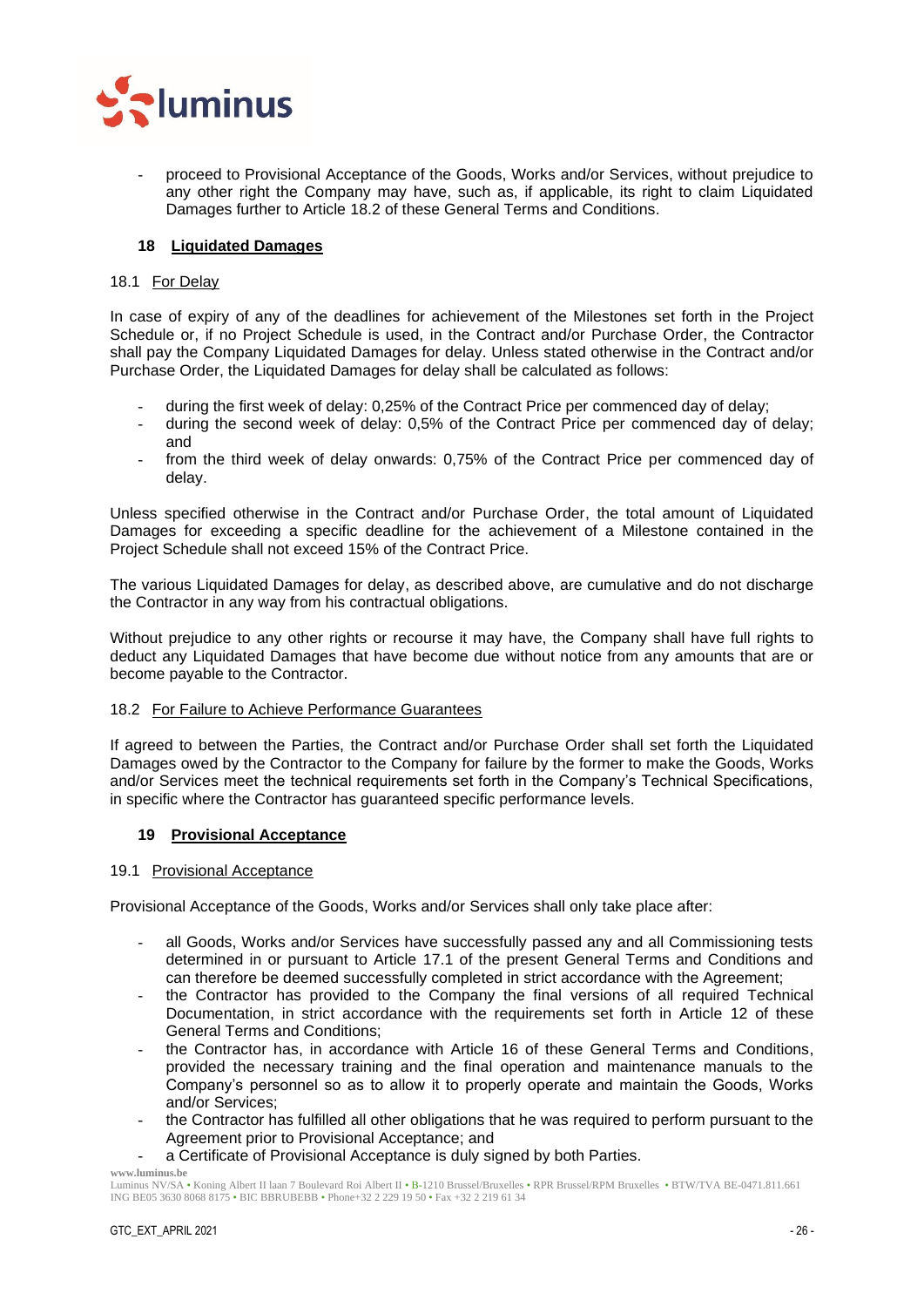

- proceed to Provisional Acceptance of the Goods, Works and/or Services, without prejudice to any other right the Company may have, such as, if applicable, its right to claim Liquidated Damages further to Article [18.2](#page-25-2) of these General Terms and Conditions.

## <span id="page-25-0"></span>**18 Liquidated Damages**

## <span id="page-25-1"></span>18.1 For Delay

In case of expiry of any of the deadlines for achievement of the Milestones set forth in the Project Schedule or, if no Project Schedule is used, in the Contract and/or Purchase Order, the Contractor shall pay the Company Liquidated Damages for delay. Unless stated otherwise in the Contract and/or Purchase Order, the Liquidated Damages for delay shall be calculated as follows:

- during the first week of delay: 0,25% of the Contract Price per commenced day of delay;
- during the second week of delay: 0,5% of the Contract Price per commenced day of delay; and
- from the third week of delay onwards: 0,75% of the Contract Price per commenced day of delay.

Unless specified otherwise in the Contract and/or Purchase Order, the total amount of Liquidated Damages for exceeding a specific deadline for the achievement of a Milestone contained in the Project Schedule shall not exceed 15% of the Contract Price.

The various Liquidated Damages for delay, as described above, are cumulative and do not discharge the Contractor in any way from his contractual obligations.

Without prejudice to any other rights or recourse it may have, the Company shall have full rights to deduct any Liquidated Damages that have become due without notice from any amounts that are or become payable to the Contractor.

## <span id="page-25-2"></span>18.2 For Failure to Achieve Performance Guarantees

If agreed to between the Parties, the Contract and/or Purchase Order shall set forth the Liquidated Damages owed by the Contractor to the Company for failure by the former to make the Goods, Works and/or Services meet the technical requirements set forth in the Company's Technical Specifications, in specific where the Contractor has guaranteed specific performance levels.

## <span id="page-25-3"></span>**19 Provisional Acceptance**

## <span id="page-25-4"></span>19.1 Provisional Acceptance

Provisional Acceptance of the Goods, Works and/or Services shall only take place after:

- all Goods, Works and/or Services have successfully passed any and all Commissioning tests determined in or pursuant to Article [17.1](#page-23-5) of the present General Terms and Conditions and can therefore be deemed successfully completed in strict accordance with the Agreement;
- the Contractor has provided to the Company the final versions of all required Technical Documentation, in strict accordance with the requirements set forth in Article [12](#page-18-0) of these General Terms and Conditions;
- the Contractor has, in accordance with Article [16](#page-23-1) of these General Terms and Conditions, provided the necessary training and the final operation and maintenance manuals to the Company's personnel so as to allow it to properly operate and maintain the Goods, Works and/or Services;
- the Contractor has fulfilled all other obligations that he was required to perform pursuant to the Agreement prior to Provisional Acceptance; and
- a Certificate of Provisional Acceptance is duly signed by both Parties.

**www.luminus.be**

Luminus NV/SA • Koning Albert II laan 7 Boulevard Roi Albert II • B-1210 Brussel/Bruxelles • RPR Brussel/RPM Bruxelles • BTW/TVA BE-0471.811.661 ING BE05 3630 8068 8175 • BIC BBRUBEBB • Phone+32 2 229 19 50 • Fax +32 2 219 61 34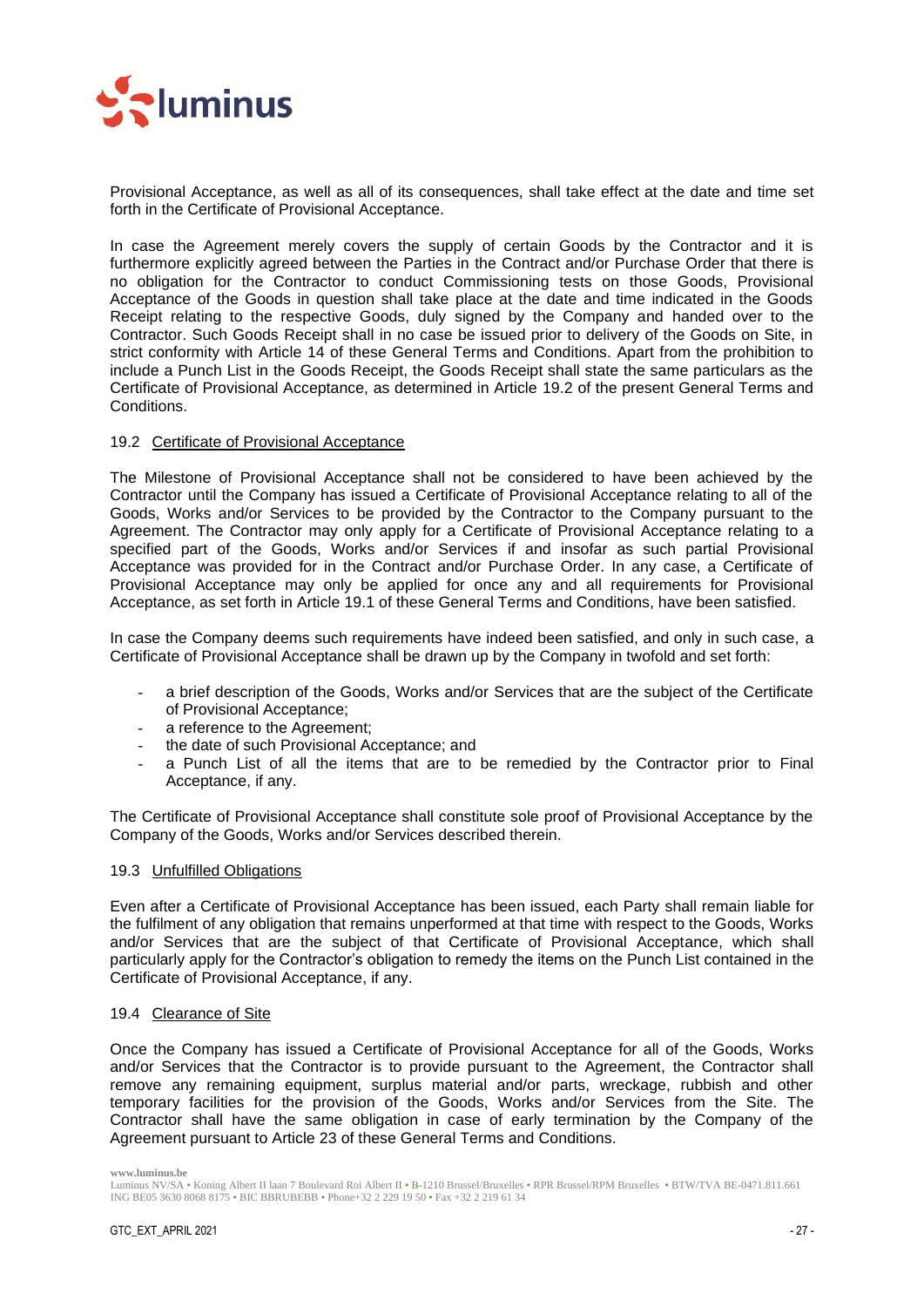

Provisional Acceptance, as well as all of its consequences, shall take effect at the date and time set forth in the Certificate of Provisional Acceptance.

In case the Agreement merely covers the supply of certain Goods by the Contractor and it is furthermore explicitly agreed between the Parties in the Contract and/or Purchase Order that there is no obligation for the Contractor to conduct Commissioning tests on those Goods, Provisional Acceptance of the Goods in question shall take place at the date and time indicated in the Goods Receipt relating to the respective Goods, duly signed by the Company and handed over to the Contractor. Such Goods Receipt shall in no case be issued prior to delivery of the Goods on Site, in strict conformity with Article [14](#page-19-5) of these General Terms and Conditions. Apart from the prohibition to include a Punch List in the Goods Receipt, the Goods Receipt shall state the same particulars as the Certificate of Provisional Acceptance, as determined in Article [19.2](#page-26-0) of the present General Terms and Conditions.

## <span id="page-26-0"></span>19.2 Certificate of Provisional Acceptance

The Milestone of Provisional Acceptance shall not be considered to have been achieved by the Contractor until the Company has issued a Certificate of Provisional Acceptance relating to all of the Goods, Works and/or Services to be provided by the Contractor to the Company pursuant to the Agreement. The Contractor may only apply for a Certificate of Provisional Acceptance relating to a specified part of the Goods, Works and/or Services if and insofar as such partial Provisional Acceptance was provided for in the Contract and/or Purchase Order. In any case, a Certificate of Provisional Acceptance may only be applied for once any and all requirements for Provisional Acceptance, as set forth in Article [19.1](#page-25-4) of these General Terms and Conditions, have been satisfied.

In case the Company deems such requirements have indeed been satisfied, and only in such case, a Certificate of Provisional Acceptance shall be drawn up by the Company in twofold and set forth:

- a brief description of the Goods, Works and/or Services that are the subject of the Certificate of Provisional Acceptance;
- a reference to the Agreement:
- the date of such Provisional Acceptance; and
- a Punch List of all the items that are to be remedied by the Contractor prior to Final Acceptance, if any.

The Certificate of Provisional Acceptance shall constitute sole proof of Provisional Acceptance by the Company of the Goods, Works and/or Services described therein.

#### <span id="page-26-1"></span>19.3 Unfulfilled Obligations

Even after a Certificate of Provisional Acceptance has been issued, each Party shall remain liable for the fulfilment of any obligation that remains unperformed at that time with respect to the Goods, Works and/or Services that are the subject of that Certificate of Provisional Acceptance, which shall particularly apply for the Contractor's obligation to remedy the items on the Punch List contained in the Certificate of Provisional Acceptance, if any.

#### <span id="page-26-2"></span>19.4 Clearance of Site

Once the Company has issued a Certificate of Provisional Acceptance for all of the Goods, Works and/or Services that the Contractor is to provide pursuant to the Agreement, the Contractor shall remove any remaining equipment, surplus material and/or parts, wreckage, rubbish and other temporary facilities for the provision of the Goods, Works and/or Services from the Site. The Contractor shall have the same obligation in case of early termination by the Company of the Agreement pursuant to Article [23](#page-29-0) of these General Terms and Conditions.

Luminus NV/SA • Koning Albert II laan 7 Boulevard Roi Albert II • B-1210 Brussel/Bruxelles • RPR Brussel/RPM Bruxelles • BTW/TVA BE-0471.811.661 ING BE05 3630 8068 8175 • BIC BBRUBEBB • Phone+32 2 229 19 50 • Fax +32 2 219 61 34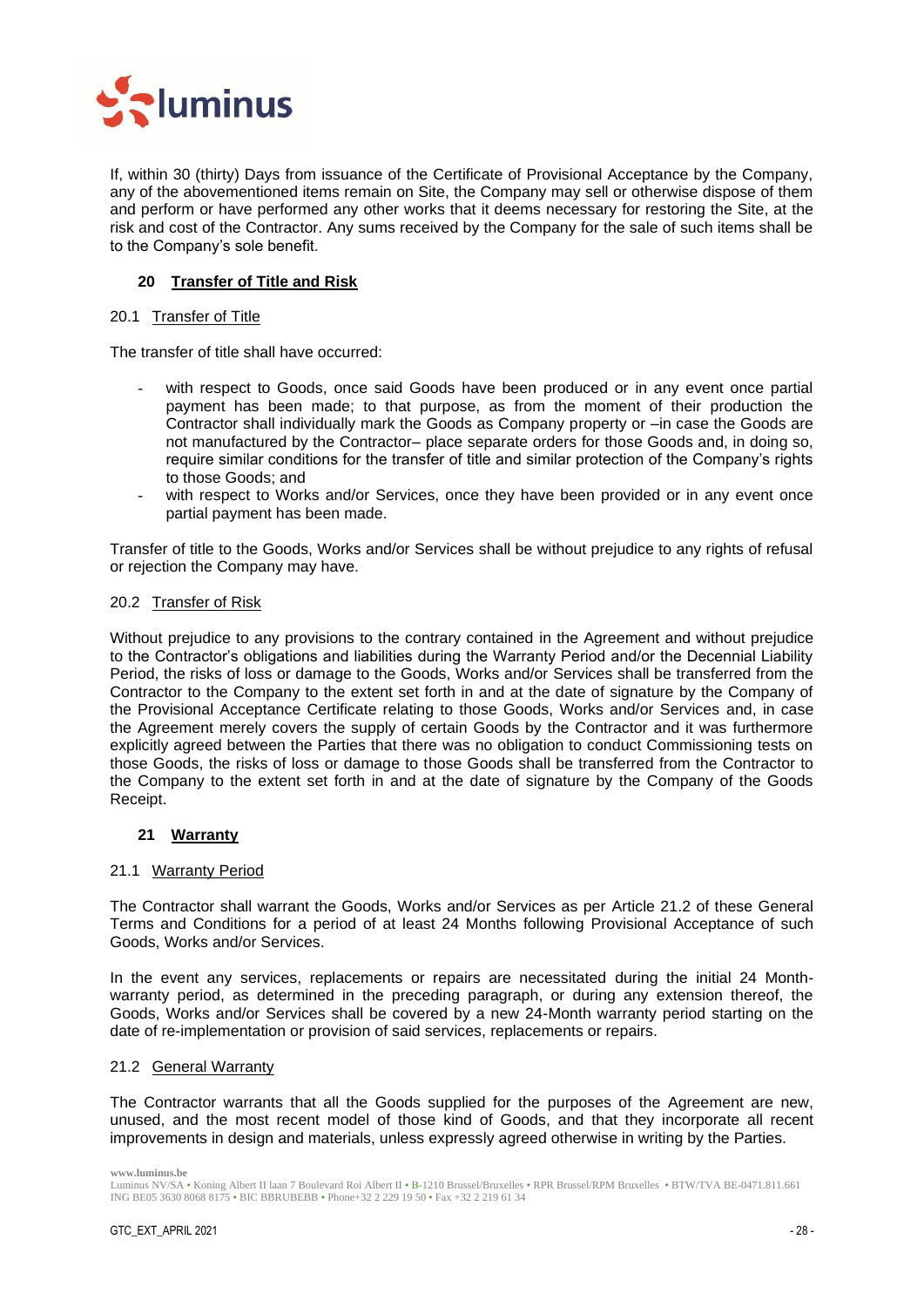

If, within 30 (thirty) Days from issuance of the Certificate of Provisional Acceptance by the Company, any of the abovementioned items remain on Site, the Company may sell or otherwise dispose of them and perform or have performed any other works that it deems necessary for restoring the Site, at the risk and cost of the Contractor. Any sums received by the Company for the sale of such items shall be to the Company's sole benefit.

## <span id="page-27-0"></span>**20 Transfer of Title and Risk**

#### <span id="page-27-1"></span>20.1 Transfer of Title

The transfer of title shall have occurred:

- with respect to Goods, once said Goods have been produced or in any event once partial payment has been made; to that purpose, as from the moment of their production the Contractor shall individually mark the Goods as Company property or –in case the Goods are not manufactured by the Contractor– place separate orders for those Goods and, in doing so, require similar conditions for the transfer of title and similar protection of the Company's rights to those Goods; and
- with respect to Works and/or Services, once they have been provided or in any event once partial payment has been made.

Transfer of title to the Goods, Works and/or Services shall be without prejudice to any rights of refusal or rejection the Company may have.

## <span id="page-27-2"></span>20.2 Transfer of Risk

Without prejudice to any provisions to the contrary contained in the Agreement and without prejudice to the Contractor's obligations and liabilities during the Warranty Period and/or the Decennial Liability Period, the risks of loss or damage to the Goods, Works and/or Services shall be transferred from the Contractor to the Company to the extent set forth in and at the date of signature by the Company of the Provisional Acceptance Certificate relating to those Goods, Works and/or Services and, in case the Agreement merely covers the supply of certain Goods by the Contractor and it was furthermore explicitly agreed between the Parties that there was no obligation to conduct Commissioning tests on those Goods, the risks of loss or damage to those Goods shall be transferred from the Contractor to the Company to the extent set forth in and at the date of signature by the Company of the Goods Receipt.

## <span id="page-27-3"></span>**21 Warranty**

#### <span id="page-27-4"></span>21.1 Warranty Period

The Contractor shall warrant the Goods, Works and/or Services as per Article [21.2](#page-27-5) of these General Terms and Conditions for a period of at least 24 Months following Provisional Acceptance of such Goods, Works and/or Services.

In the event any services, replacements or repairs are necessitated during the initial 24 Monthwarranty period, as determined in the preceding paragraph, or during any extension thereof, the Goods, Works and/or Services shall be covered by a new 24-Month warranty period starting on the date of re-implementation or provision of said services, replacements or repairs.

#### <span id="page-27-5"></span>21.2 General Warranty

The Contractor warrants that all the Goods supplied for the purposes of the Agreement are new, unused, and the most recent model of those kind of Goods, and that they incorporate all recent improvements in design and materials, unless expressly agreed otherwise in writing by the Parties.

Luminus NV/SA • Koning Albert II laan 7 Boulevard Roi Albert II • B-1210 Brussel/Bruxelles • RPR Brussel/RPM Bruxelles • BTW/TVA BE-0471.811.661 ING BE05 3630 8068 8175 • BIC BBRUBEBB • Phone+32 2 229 19 50 • Fax +32 2 219 61 34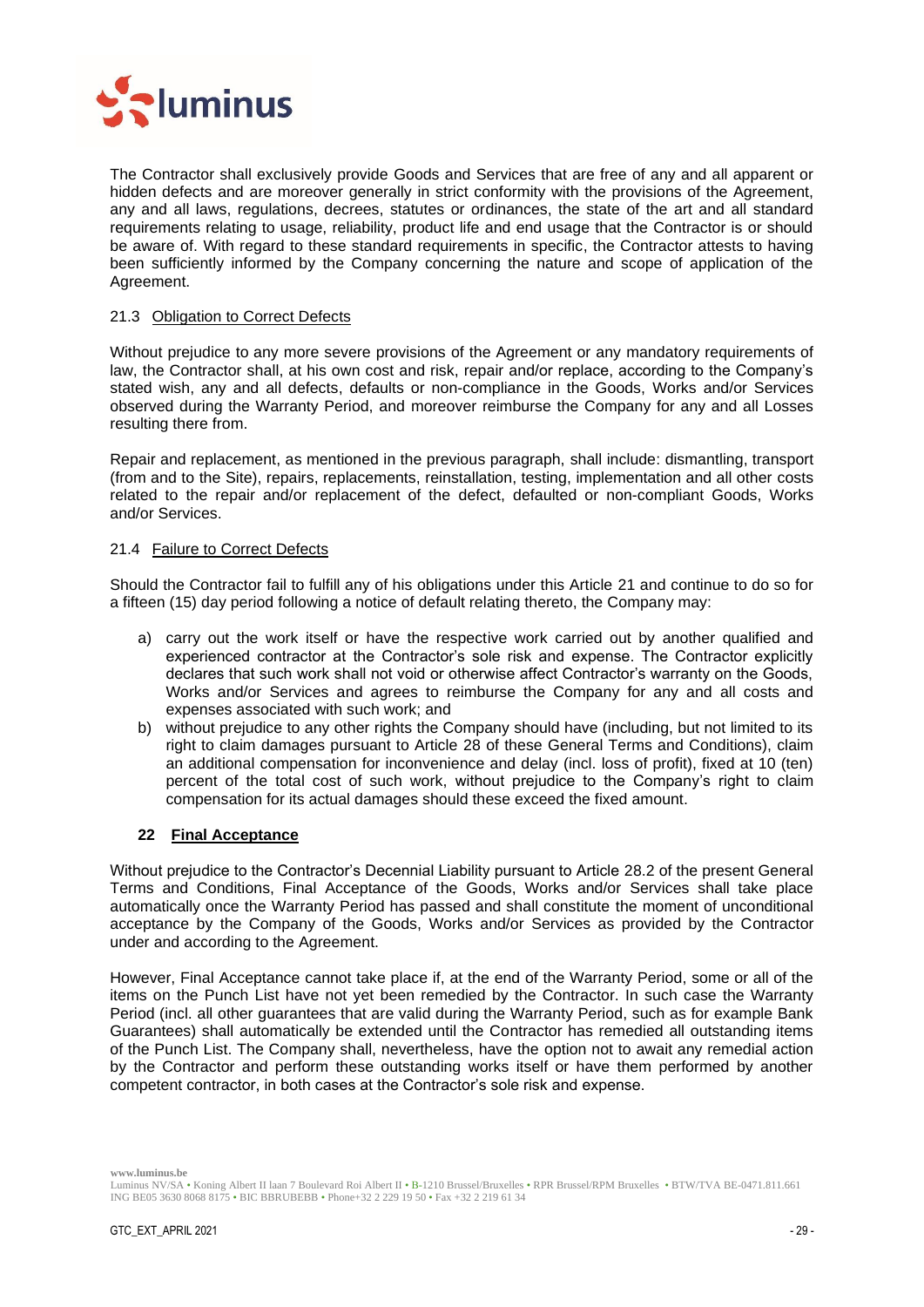

The Contractor shall exclusively provide Goods and Services that are free of any and all apparent or hidden defects and are moreover generally in strict conformity with the provisions of the Agreement, any and all laws, regulations, decrees, statutes or ordinances, the state of the art and all standard requirements relating to usage, reliability, product life and end usage that the Contractor is or should be aware of. With regard to these standard requirements in specific, the Contractor attests to having been sufficiently informed by the Company concerning the nature and scope of application of the Agreement.

## <span id="page-28-0"></span>21.3 Obligation to Correct Defects

Without prejudice to any more severe provisions of the Agreement or any mandatory requirements of law, the Contractor shall, at his own cost and risk, repair and/or replace, according to the Company's stated wish, any and all defects, defaults or non-compliance in the Goods, Works and/or Services observed during the Warranty Period, and moreover reimburse the Company for any and all Losses resulting there from.

Repair and replacement, as mentioned in the previous paragraph, shall include: dismantling, transport (from and to the Site), repairs, replacements, reinstallation, testing, implementation and all other costs related to the repair and/or replacement of the defect, defaulted or non-compliant Goods, Works and/or Services.

## <span id="page-28-1"></span>21.4 Failure to Correct Defects

Should the Contractor fail to fulfill any of his obligations under this Article [21](#page-27-3) and continue to do so for a fifteen (15) day period following a notice of default relating thereto, the Company may:

- a) carry out the work itself or have the respective work carried out by another qualified and experienced contractor at the Contractor's sole risk and expense. The Contractor explicitly declares that such work shall not void or otherwise affect Contractor's warranty on the Goods, Works and/or Services and agrees to reimburse the Company for any and all costs and expenses associated with such work; and
- b) without prejudice to any other rights the Company should have (including, but not limited to its right to claim damages pursuant to Article [28](#page-32-3) of these General Terms and Conditions), claim an additional compensation for inconvenience and delay (incl. loss of profit), fixed at 10 (ten) percent of the total cost of such work, without prejudice to the Company's right to claim compensation for its actual damages should these exceed the fixed amount.

## <span id="page-28-2"></span>**22 Final Acceptance**

Without prejudice to the Contractor's Decennial Liability pursuant to Article [28.2](#page-33-0) of the present General Terms and Conditions, Final Acceptance of the Goods, Works and/or Services shall take place automatically once the Warranty Period has passed and shall constitute the moment of unconditional acceptance by the Company of the Goods, Works and/or Services as provided by the Contractor under and according to the Agreement.

However, Final Acceptance cannot take place if, at the end of the Warranty Period, some or all of the items on the Punch List have not yet been remedied by the Contractor. In such case the Warranty Period (incl. all other guarantees that are valid during the Warranty Period, such as for example Bank Guarantees) shall automatically be extended until the Contractor has remedied all outstanding items of the Punch List. The Company shall, nevertheless, have the option not to await any remedial action by the Contractor and perform these outstanding works itself or have them performed by another competent contractor, in both cases at the Contractor's sole risk and expense.

Luminus NV/SA • Koning Albert II laan 7 Boulevard Roi Albert II • B-1210 Brussel/Bruxelles • RPR Brussel/RPM Bruxelles • BTW/TVA BE-0471.811.661 ING BE05 3630 8068 8175 • BIC BBRUBEBB • Phone+32 2 229 19 50 • Fax +32 2 219 61 34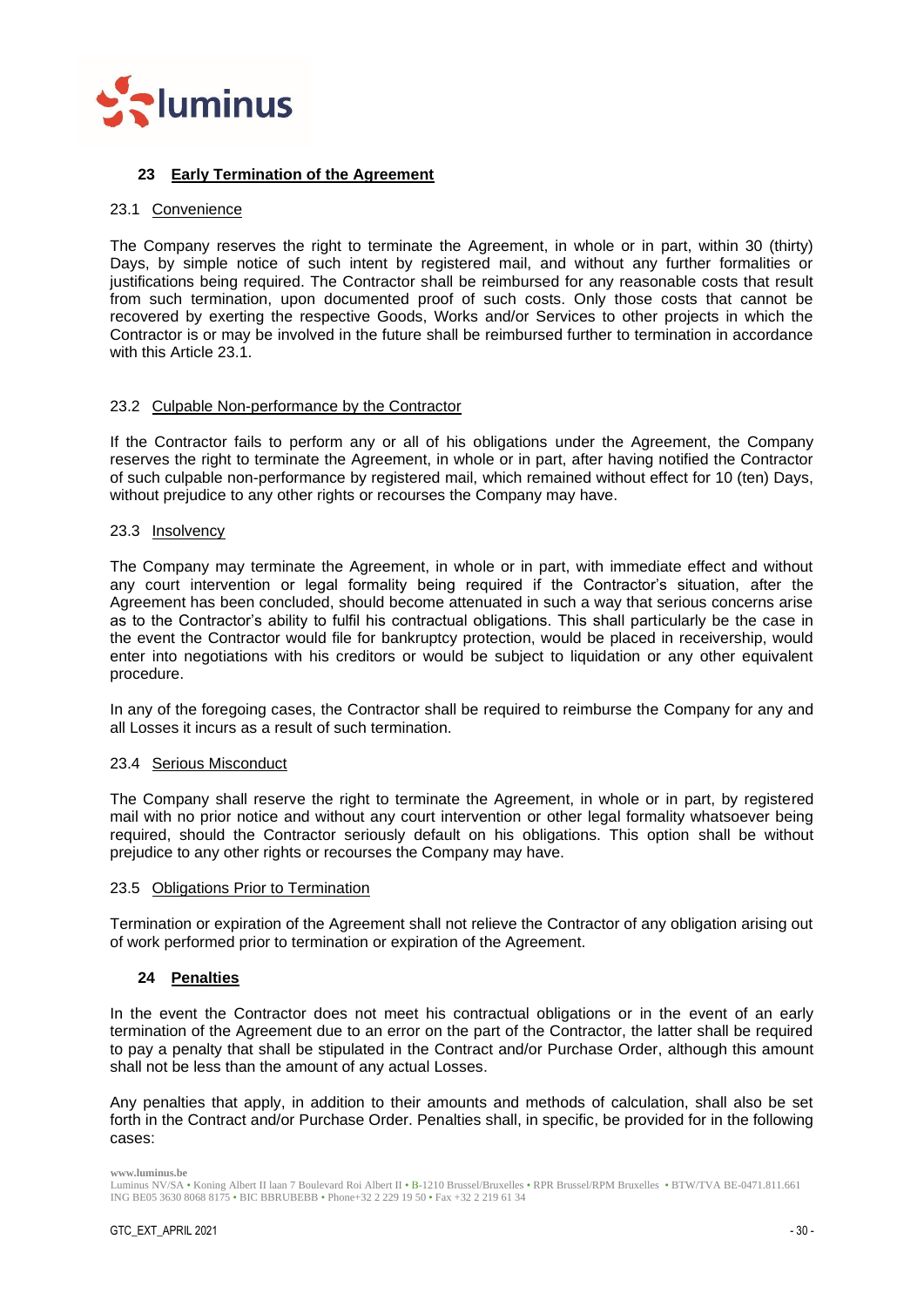

## <span id="page-29-0"></span>**23 Early Termination of the Agreement**

#### <span id="page-29-1"></span>23.1 Convenience

The Company reserves the right to terminate the Agreement, in whole or in part, within 30 (thirty) Days, by simple notice of such intent by registered mail, and without any further formalities or justifications being required. The Contractor shall be reimbursed for any reasonable costs that result from such termination, upon documented proof of such costs. Only those costs that cannot be recovered by exerting the respective Goods, Works and/or Services to other projects in which the Contractor is or may be involved in the future shall be reimbursed further to termination in accordance with this Article [23.1.](#page-29-1)

#### <span id="page-29-2"></span>23.2 Culpable Non-performance by the Contractor

If the Contractor fails to perform any or all of his obligations under the Agreement, the Company reserves the right to terminate the Agreement, in whole or in part, after having notified the Contractor of such culpable non-performance by registered mail, which remained without effect for 10 (ten) Days, without prejudice to any other rights or recourses the Company may have.

#### <span id="page-29-3"></span>23.3 Insolvency

The Company may terminate the Agreement, in whole or in part, with immediate effect and without any court intervention or legal formality being required if the Contractor's situation, after the Agreement has been concluded, should become attenuated in such a way that serious concerns arise as to the Contractor's ability to fulfil his contractual obligations. This shall particularly be the case in the event the Contractor would file for bankruptcy protection, would be placed in receivership, would enter into negotiations with his creditors or would be subject to liquidation or any other equivalent procedure.

In any of the foregoing cases, the Contractor shall be required to reimburse the Company for any and all Losses it incurs as a result of such termination.

#### <span id="page-29-4"></span>23.4 Serious Misconduct

The Company shall reserve the right to terminate the Agreement, in whole or in part, by registered mail with no prior notice and without any court intervention or other legal formality whatsoever being required, should the Contractor seriously default on his obligations. This option shall be without prejudice to any other rights or recourses the Company may have.

#### <span id="page-29-5"></span>23.5 Obligations Prior to Termination

Termination or expiration of the Agreement shall not relieve the Contractor of any obligation arising out of work performed prior to termination or expiration of the Agreement.

## <span id="page-29-6"></span>**24 Penalties**

In the event the Contractor does not meet his contractual obligations or in the event of an early termination of the Agreement due to an error on the part of the Contractor, the latter shall be required to pay a penalty that shall be stipulated in the Contract and/or Purchase Order, although this amount shall not be less than the amount of any actual Losses.

Any penalties that apply, in addition to their amounts and methods of calculation, shall also be set forth in the Contract and/or Purchase Order. Penalties shall, in specific, be provided for in the following cases:

Luminus NV/SA • Koning Albert II laan 7 Boulevard Roi Albert II • B-1210 Brussel/Bruxelles • RPR Brussel/RPM Bruxelles • BTW/TVA BE-0471.811.661 ING BE05 3630 8068 8175 • BIC BBRUBEBB • Phone+32 2 229 19 50 • Fax +32 2 219 61 34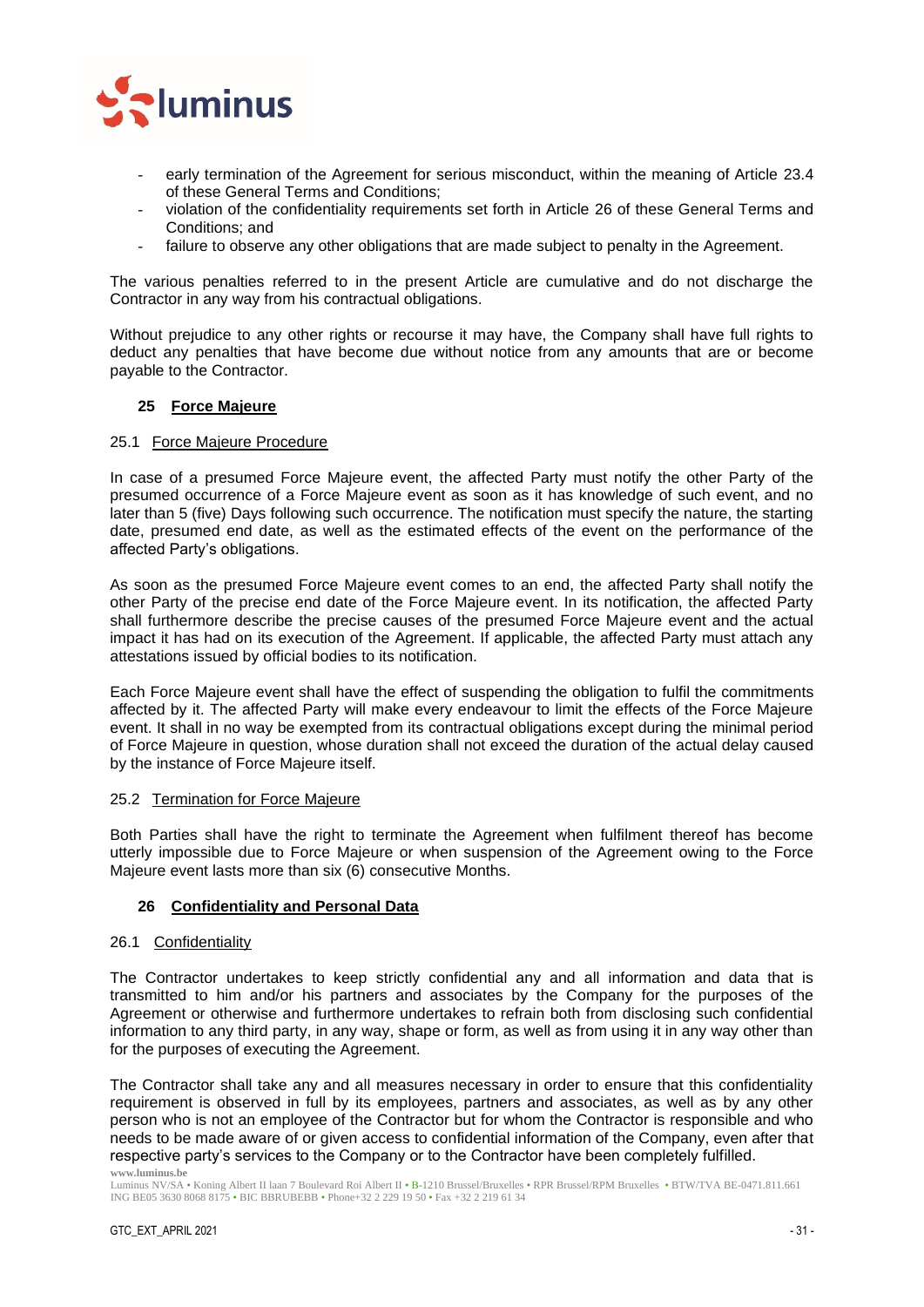

- early termination of the Agreement for serious misconduct, within the meaning of Article [23.4](#page-29-4) of these General Terms and Conditions;
- violation of the confidentiality requirements set forth in Article [26](#page-30-3) of these General Terms and Conditions; and
- failure to observe any other obligations that are made subject to penalty in the Agreement.

The various penalties referred to in the present Article are cumulative and do not discharge the Contractor in any way from his contractual obligations.

Without prejudice to any other rights or recourse it may have, the Company shall have full rights to deduct any penalties that have become due without notice from any amounts that are or become payable to the Contractor.

## <span id="page-30-0"></span>**25 Force Majeure**

## <span id="page-30-1"></span>25.1 Force Majeure Procedure

In case of a presumed Force Majeure event, the affected Party must notify the other Party of the presumed occurrence of a Force Majeure event as soon as it has knowledge of such event, and no later than 5 (five) Days following such occurrence. The notification must specify the nature, the starting date, presumed end date, as well as the estimated effects of the event on the performance of the affected Party's obligations.

As soon as the presumed Force Majeure event comes to an end, the affected Party shall notify the other Party of the precise end date of the Force Majeure event. In its notification, the affected Party shall furthermore describe the precise causes of the presumed Force Majeure event and the actual impact it has had on its execution of the Agreement. If applicable, the affected Party must attach any attestations issued by official bodies to its notification.

Each Force Majeure event shall have the effect of suspending the obligation to fulfil the commitments affected by it. The affected Party will make every endeavour to limit the effects of the Force Majeure event. It shall in no way be exempted from its contractual obligations except during the minimal period of Force Majeure in question, whose duration shall not exceed the duration of the actual delay caused by the instance of Force Majeure itself.

## <span id="page-30-2"></span>25.2 Termination for Force Majeure

Both Parties shall have the right to terminate the Agreement when fulfilment thereof has become utterly impossible due to Force Majeure or when suspension of the Agreement owing to the Force Majeure event lasts more than six (6) consecutive Months.

## <span id="page-30-3"></span>**26 Confidentiality and Personal Data**

#### 26.1 Confidentiality

The Contractor undertakes to keep strictly confidential any and all information and data that is transmitted to him and/or his partners and associates by the Company for the purposes of the Agreement or otherwise and furthermore undertakes to refrain both from disclosing such confidential information to any third party, in any way, shape or form, as well as from using it in any way other than for the purposes of executing the Agreement.

**www.luminus.be** The Contractor shall take any and all measures necessary in order to ensure that this confidentiality requirement is observed in full by its employees, partners and associates, as well as by any other person who is not an employee of the Contractor but for whom the Contractor is responsible and who needs to be made aware of or given access to confidential information of the Company, even after that respective party's services to the Company or to the Contractor have been completely fulfilled.

Luminus NV/SA • Koning Albert II laan 7 Boulevard Roi Albert II • B-1210 Brussel/Bruxelles • RPR Brussel/RPM Bruxelles • BTW/TVA BE-0471.811.661 ING BE05 3630 8068 8175 • BIC BBRUBEBB • Phone+32 2 229 19 50 • Fax +32 2 219 61 34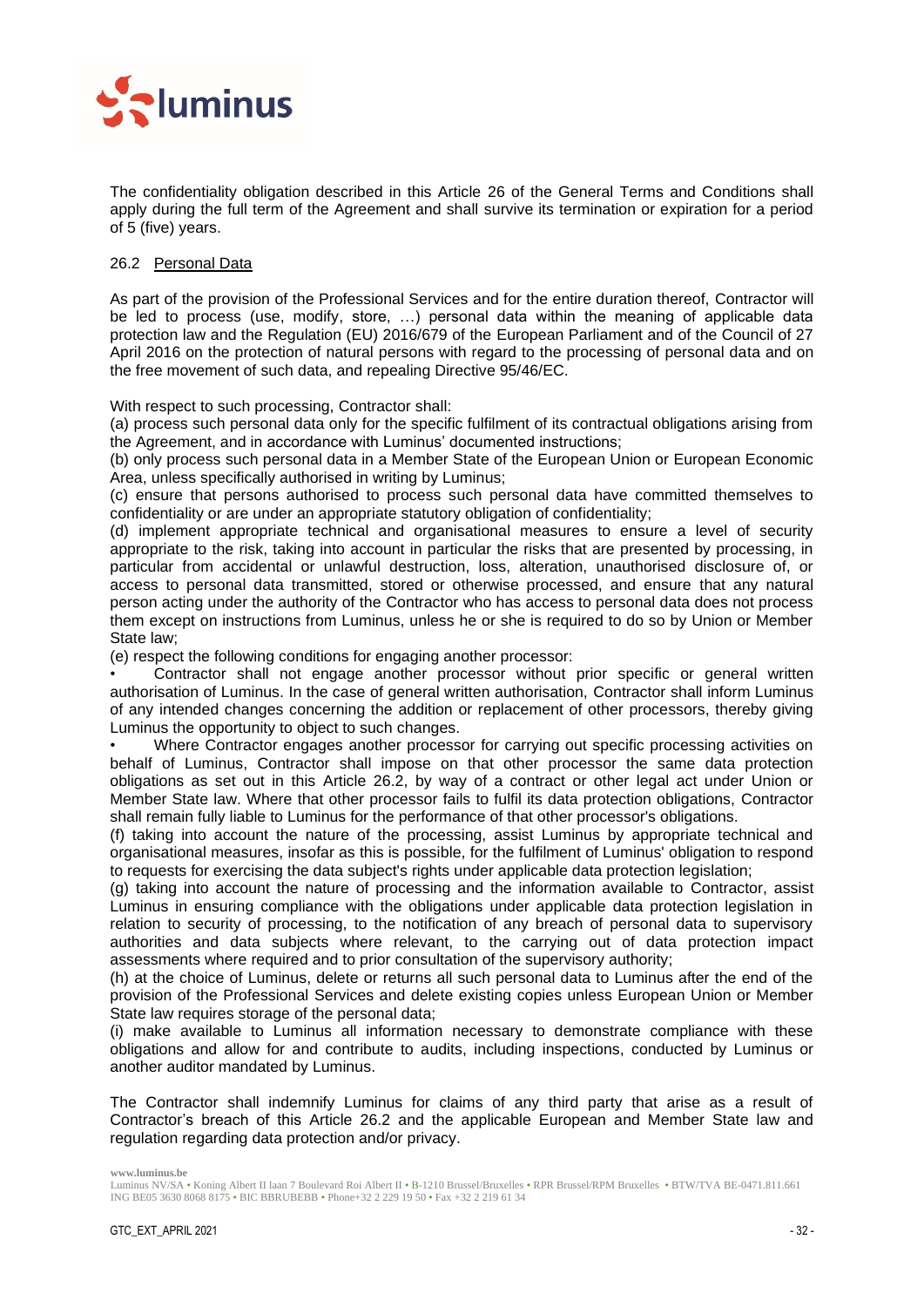

The confidentiality obligation described in this Article [26](#page-30-3) of the General Terms and Conditions shall apply during the full term of the Agreement and shall survive its termination or expiration for a period of 5 (five) years.

## 26.2 Personal Data

As part of the provision of the Professional Services and for the entire duration thereof, Contractor will be led to process (use, modify, store, …) personal data within the meaning of applicable data protection law and the Regulation (EU) 2016/679 of the European Parliament and of the Council of 27 April 2016 on the protection of natural persons with regard to the processing of personal data and on the free movement of such data, and repealing Directive 95/46/EC.

With respect to such processing, Contractor shall:

(a) process such personal data only for the specific fulfilment of its contractual obligations arising from the Agreement, and in accordance with Luminus' documented instructions;

(b) only process such personal data in a Member State of the European Union or European Economic Area, unless specifically authorised in writing by Luminus;

(c) ensure that persons authorised to process such personal data have committed themselves to confidentiality or are under an appropriate statutory obligation of confidentiality;

(d) implement appropriate technical and organisational measures to ensure a level of security appropriate to the risk, taking into account in particular the risks that are presented by processing, in particular from accidental or unlawful destruction, loss, alteration, unauthorised disclosure of, or access to personal data transmitted, stored or otherwise processed, and ensure that any natural person acting under the authority of the Contractor who has access to personal data does not process them except on instructions from Luminus, unless he or she is required to do so by Union or Member State law;

(e) respect the following conditions for engaging another processor:

• Contractor shall not engage another processor without prior specific or general written authorisation of Luminus. In the case of general written authorisation, Contractor shall inform Luminus of any intended changes concerning the addition or replacement of other processors, thereby giving Luminus the opportunity to object to such changes.

• Where Contractor engages another processor for carrying out specific processing activities on behalf of Luminus, Contractor shall impose on that other processor the same data protection obligations as set out in this Article 26.2, by way of a contract or other legal act under Union or Member State law. Where that other processor fails to fulfil its data protection obligations, Contractor shall remain fully liable to Luminus for the performance of that other processor's obligations.

(f) taking into account the nature of the processing, assist Luminus by appropriate technical and organisational measures, insofar as this is possible, for the fulfilment of Luminus' obligation to respond to requests for exercising the data subject's rights under applicable data protection legislation;

(g) taking into account the nature of processing and the information available to Contractor, assist Luminus in ensuring compliance with the obligations under applicable data protection legislation in relation to security of processing, to the notification of any breach of personal data to supervisory authorities and data subjects where relevant, to the carrying out of data protection impact assessments where required and to prior consultation of the supervisory authority;

(h) at the choice of Luminus, delete or returns all such personal data to Luminus after the end of the provision of the Professional Services and delete existing copies unless European Union or Member State law requires storage of the personal data;

(i) make available to Luminus all information necessary to demonstrate compliance with these obligations and allow for and contribute to audits, including inspections, conducted by Luminus or another auditor mandated by Luminus.

The Contractor shall indemnify Luminus for claims of any third party that arise as a result of Contractor's breach of this Article 26.2 and the applicable European and Member State law and regulation regarding data protection and/or privacy.

Luminus NV/SA • Koning Albert II laan 7 Boulevard Roi Albert II • B-1210 Brussel/Bruxelles • RPR Brussel/RPM Bruxelles • BTW/TVA BE-0471.811.661 ING BE05 3630 8068 8175 • BIC BBRUBEBB • Phone+32 2 229 19 50 • Fax +32 2 219 61 34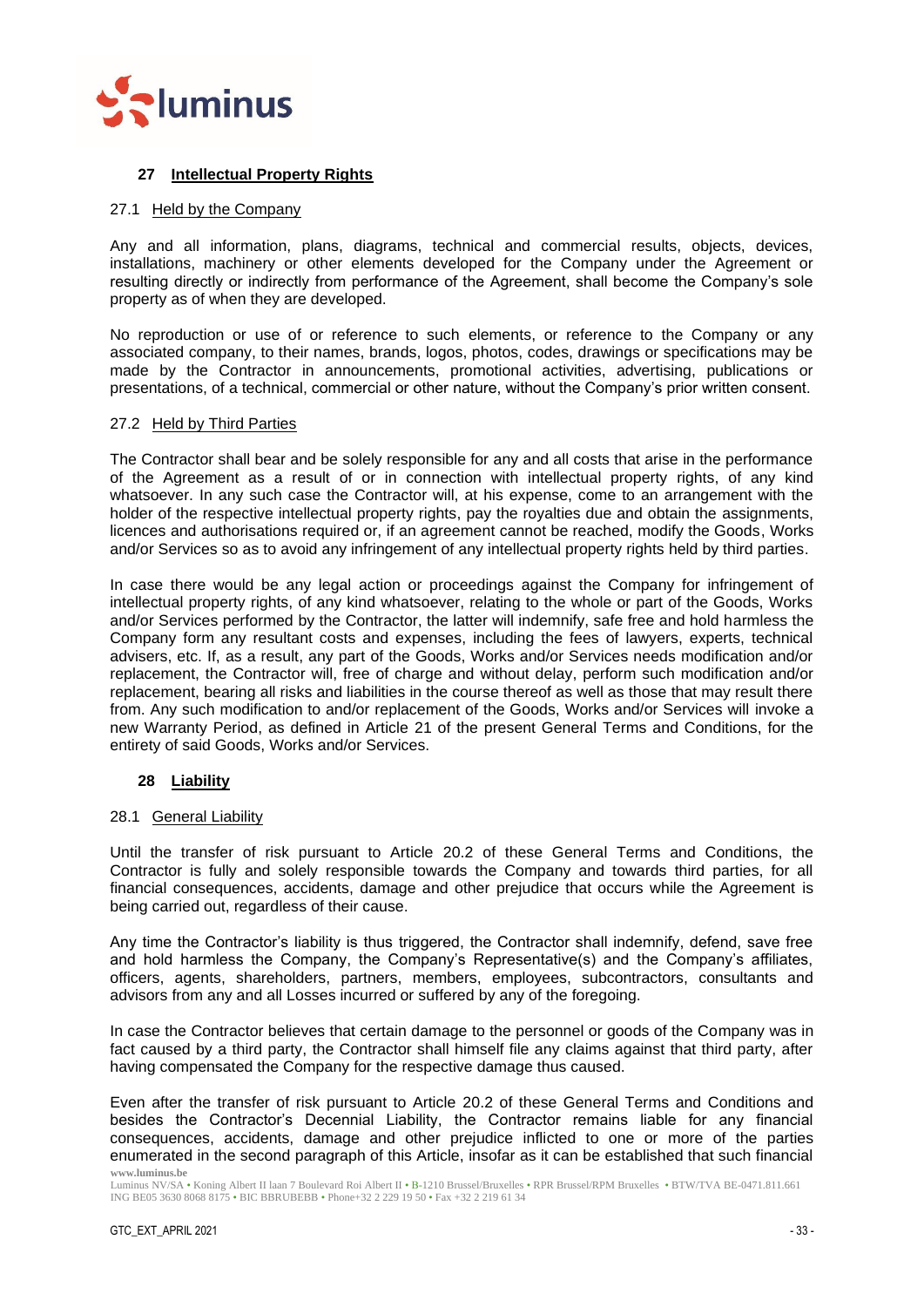

## <span id="page-32-0"></span>**27 Intellectual Property Rights**

## <span id="page-32-1"></span>27.1 Held by the Company

Any and all information, plans, diagrams, technical and commercial results, objects, devices, installations, machinery or other elements developed for the Company under the Agreement or resulting directly or indirectly from performance of the Agreement, shall become the Company's sole property as of when they are developed.

No reproduction or use of or reference to such elements, or reference to the Company or any associated company, to their names, brands, logos, photos, codes, drawings or specifications may be made by the Contractor in announcements, promotional activities, advertising, publications or presentations, of a technical, commercial or other nature, without the Company's prior written consent.

## <span id="page-32-2"></span>27.2 Held by Third Parties

The Contractor shall bear and be solely responsible for any and all costs that arise in the performance of the Agreement as a result of or in connection with intellectual property rights, of any kind whatsoever. In any such case the Contractor will, at his expense, come to an arrangement with the holder of the respective intellectual property rights, pay the royalties due and obtain the assignments, licences and authorisations required or, if an agreement cannot be reached, modify the Goods, Works and/or Services so as to avoid any infringement of any intellectual property rights held by third parties.

In case there would be any legal action or proceedings against the Company for infringement of intellectual property rights, of any kind whatsoever, relating to the whole or part of the Goods, Works and/or Services performed by the Contractor, the latter will indemnify, safe free and hold harmless the Company form any resultant costs and expenses, including the fees of lawyers, experts, technical advisers, etc. If, as a result, any part of the Goods, Works and/or Services needs modification and/or replacement, the Contractor will, free of charge and without delay, perform such modification and/or replacement, bearing all risks and liabilities in the course thereof as well as those that may result there from. Any such modification to and/or replacement of the Goods, Works and/or Services will invoke a new Warranty Period, as defined in Article [21](#page-27-3) of the present General Terms and Conditions, for the entirety of said Goods, Works and/or Services.

## <span id="page-32-3"></span>**28 Liability**

## <span id="page-32-4"></span>28.1 General Liability

Until the transfer of risk pursuant to Article [20.2](#page-27-2) of these General Terms and Conditions, the Contractor is fully and solely responsible towards the Company and towards third parties, for all financial consequences, accidents, damage and other prejudice that occurs while the Agreement is being carried out, regardless of their cause.

Any time the Contractor's liability is thus triggered, the Contractor shall indemnify, defend, save free and hold harmless the Company, the Company's Representative(s) and the Company's affiliates, officers, agents, shareholders, partners, members, employees, subcontractors, consultants and advisors from any and all Losses incurred or suffered by any of the foregoing.

In case the Contractor believes that certain damage to the personnel or goods of the Company was in fact caused by a third party, the Contractor shall himself file any claims against that third party, after having compensated the Company for the respective damage thus caused.

**www.luminus.be** Even after the transfer of risk pursuant to Article [20.2](#page-27-2) of these General Terms and Conditions and besides the Contractor's Decennial Liability, the Contractor remains liable for any financial consequences, accidents, damage and other prejudice inflicted to one or more of the parties enumerated in the second paragraph of this Article, insofar as it can be established that such financial

Luminus NV/SA • Koning Albert II laan 7 Boulevard Roi Albert II • B-1210 Brussel/Bruxelles • RPR Brussel/RPM Bruxelles • BTW/TVA BE-0471.811.661 ING BE05 3630 8068 8175 • BIC BBRUBEBB • Phone+32 2 229 19 50 • Fax +32 2 219 61 34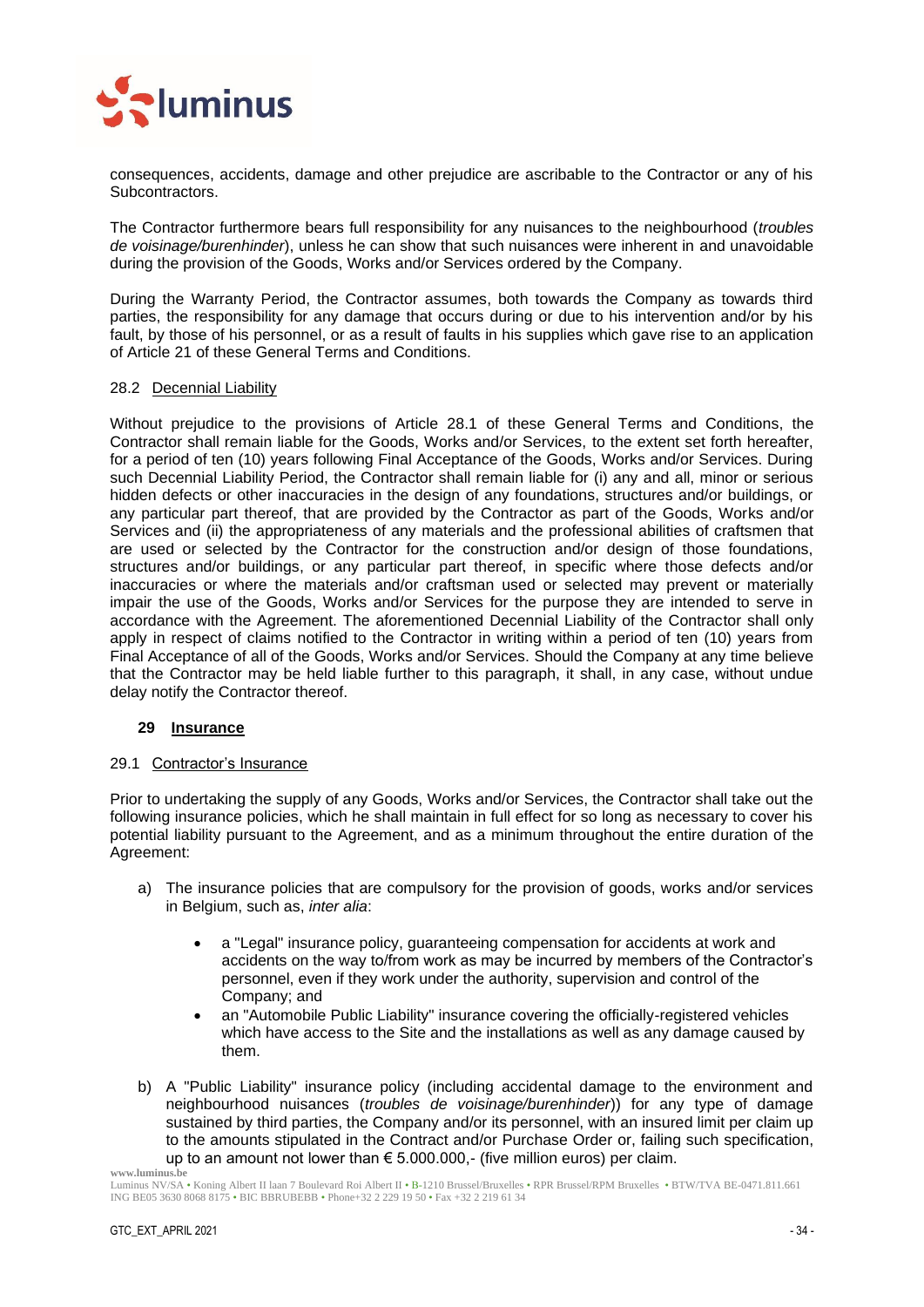

consequences, accidents, damage and other prejudice are ascribable to the Contractor or any of his Subcontractors.

The Contractor furthermore bears full responsibility for any nuisances to the neighbourhood (*troubles de voisinage/burenhinder*), unless he can show that such nuisances were inherent in and unavoidable during the provision of the Goods, Works and/or Services ordered by the Company.

During the Warranty Period, the Contractor assumes, both towards the Company as towards third parties, the responsibility for any damage that occurs during or due to his intervention and/or by his fault, by those of his personnel, or as a result of faults in his supplies which gave rise to an application of Article [21](#page-27-3) of these General Terms and Conditions.

#### <span id="page-33-0"></span>28.2 Decennial Liability

Without prejudice to the provisions of Article [28.1](#page-32-4) of these General Terms and Conditions, the Contractor shall remain liable for the Goods, Works and/or Services, to the extent set forth hereafter, for a period of ten (10) years following Final Acceptance of the Goods, Works and/or Services. During such Decennial Liability Period, the Contractor shall remain liable for (i) any and all, minor or serious hidden defects or other inaccuracies in the design of any foundations, structures and/or buildings, or any particular part thereof, that are provided by the Contractor as part of the Goods, Works and/or Services and (ii) the appropriateness of any materials and the professional abilities of craftsmen that are used or selected by the Contractor for the construction and/or design of those foundations, structures and/or buildings, or any particular part thereof, in specific where those defects and/or inaccuracies or where the materials and/or craftsman used or selected may prevent or materially impair the use of the Goods, Works and/or Services for the purpose they are intended to serve in accordance with the Agreement. The aforementioned Decennial Liability of the Contractor shall only apply in respect of claims notified to the Contractor in writing within a period of ten (10) years from Final Acceptance of all of the Goods, Works and/or Services. Should the Company at any time believe that the Contractor may be held liable further to this paragraph, it shall, in any case, without undue delay notify the Contractor thereof.

## <span id="page-33-1"></span>**29 Insurance**

#### <span id="page-33-2"></span>29.1 Contractor's Insurance

Prior to undertaking the supply of any Goods, Works and/or Services, the Contractor shall take out the following insurance policies, which he shall maintain in full effect for so long as necessary to cover his potential liability pursuant to the Agreement, and as a minimum throughout the entire duration of the Agreement:

- a) The insurance policies that are compulsory for the provision of goods, works and/or services in Belgium, such as, *inter alia*:
	- a "Legal" insurance policy, guaranteeing compensation for accidents at work and accidents on the way to/from work as may be incurred by members of the Contractor's personnel, even if they work under the authority, supervision and control of the Company; and
	- an "Automobile Public Liability" insurance covering the officially-registered vehicles which have access to the Site and the installations as well as any damage caused by them.
- **www.luminus.be** b) A "Public Liability" insurance policy (including accidental damage to the environment and neighbourhood nuisances (*troubles de voisinage/burenhinder*)) for any type of damage sustained by third parties, the Company and/or its personnel, with an insured limit per claim up to the amounts stipulated in the Contract and/or Purchase Order or, failing such specification, up to an amount not lower than € 5.000.000,- (five million euros) per claim.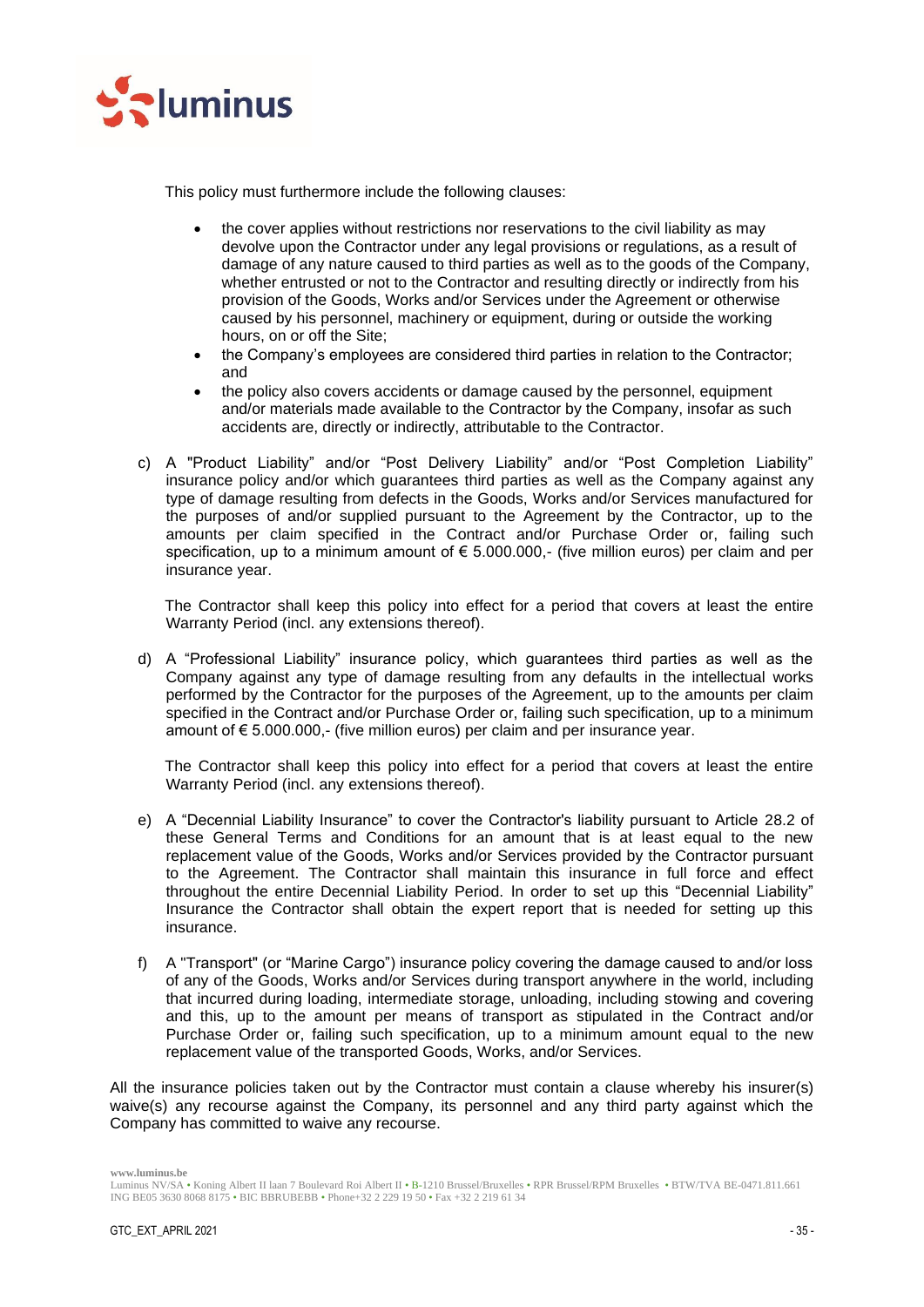

This policy must furthermore include the following clauses:

- the cover applies without restrictions nor reservations to the civil liability as may devolve upon the Contractor under any legal provisions or regulations, as a result of damage of any nature caused to third parties as well as to the goods of the Company, whether entrusted or not to the Contractor and resulting directly or indirectly from his provision of the Goods, Works and/or Services under the Agreement or otherwise caused by his personnel, machinery or equipment, during or outside the working hours, on or off the Site;
- the Company's employees are considered third parties in relation to the Contractor; and
- the policy also covers accidents or damage caused by the personnel, equipment and/or materials made available to the Contractor by the Company, insofar as such accidents are, directly or indirectly, attributable to the Contractor.
- c) A "Product Liability" and/or "Post Delivery Liability" and/or "Post Completion Liability" insurance policy and/or which guarantees third parties as well as the Company against any type of damage resulting from defects in the Goods, Works and/or Services manufactured for the purposes of and/or supplied pursuant to the Agreement by the Contractor, up to the amounts per claim specified in the Contract and/or Purchase Order or, failing such specification, up to a minimum amount of € 5.000.000,- (five million euros) per claim and per insurance year.

The Contractor shall keep this policy into effect for a period that covers at least the entire Warranty Period (incl. any extensions thereof).

d) A "Professional Liability" insurance policy, which guarantees third parties as well as the Company against any type of damage resulting from any defaults in the intellectual works performed by the Contractor for the purposes of the Agreement, up to the amounts per claim specified in the Contract and/or Purchase Order or, failing such specification, up to a minimum amount of € 5.000.000,- (five million euros) per claim and per insurance year.

The Contractor shall keep this policy into effect for a period that covers at least the entire Warranty Period (incl. any extensions thereof).

- e) A "Decennial Liability Insurance" to cover the Contractor's liability pursuant to Article [28.2](#page-33-0) of these General Terms and Conditions for an amount that is at least equal to the new replacement value of the Goods, Works and/or Services provided by the Contractor pursuant to the Agreement. The Contractor shall maintain this insurance in full force and effect throughout the entire Decennial Liability Period. In order to set up this "Decennial Liability" Insurance the Contractor shall obtain the expert report that is needed for setting up this insurance.
- f) A "Transport" (or "Marine Cargo") insurance policy covering the damage caused to and/or loss of any of the Goods, Works and/or Services during transport anywhere in the world, including that incurred during loading, intermediate storage, unloading, including stowing and covering and this, up to the amount per means of transport as stipulated in the Contract and/or Purchase Order or, failing such specification, up to a minimum amount equal to the new replacement value of the transported Goods, Works, and/or Services.

All the insurance policies taken out by the Contractor must contain a clause whereby his insurer(s) waive(s) any recourse against the Company, its personnel and any third party against which the Company has committed to waive any recourse.

Luminus NV/SA • Koning Albert II laan 7 Boulevard Roi Albert II • B-1210 Brussel/Bruxelles • RPR Brussel/RPM Bruxelles • BTW/TVA BE-0471.811.661 ING BE05 3630 8068 8175 • BIC BBRUBEBB • Phone+32 2 229 19 50 • Fax +32 2 219 61 34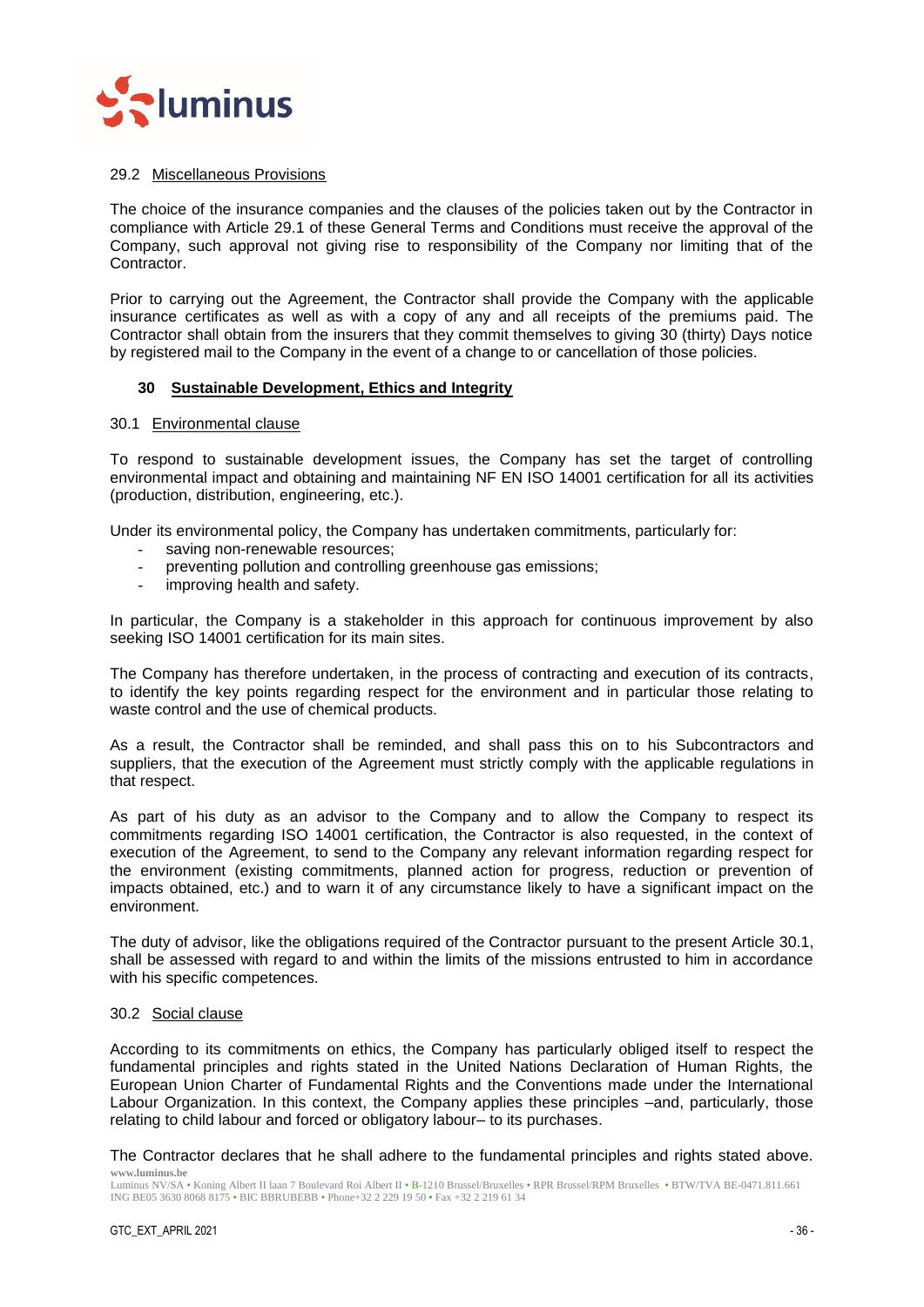

## <span id="page-35-0"></span>29.2 Miscellaneous Provisions

The choice of the insurance companies and the clauses of the policies taken out by the Contractor in compliance with Article [29.1](#page-33-2) of these General Terms and Conditions must receive the approval of the Company, such approval not giving rise to responsibility of the Company nor limiting that of the Contractor.

Prior to carrying out the Agreement, the Contractor shall provide the Company with the applicable insurance certificates as well as with a copy of any and all receipts of the premiums paid. The Contractor shall obtain from the insurers that they commit themselves to giving 30 (thirty) Days notice by registered mail to the Company in the event of a change to or cancellation of those policies.

## <span id="page-35-1"></span>**30 Sustainable Development, Ethics and Integrity**

#### <span id="page-35-2"></span>30.1 Environmental clause

To respond to sustainable development issues, the Company has set the target of controlling environmental impact and obtaining and maintaining NF EN ISO 14001 certification for all its activities (production, distribution, engineering, etc.).

Under its environmental policy, the Company has undertaken commitments, particularly for:

- saving non-renewable resources;
- preventing pollution and controlling greenhouse gas emissions;
- improving health and safety.

In particular, the Company is a stakeholder in this approach for continuous improvement by also seeking ISO 14001 certification for its main sites.

The Company has therefore undertaken, in the process of contracting and execution of its contracts, to identify the key points regarding respect for the environment and in particular those relating to waste control and the use of chemical products.

As a result, the Contractor shall be reminded, and shall pass this on to his Subcontractors and suppliers, that the execution of the Agreement must strictly comply with the applicable regulations in that respect.

As part of his duty as an advisor to the Company and to allow the Company to respect its commitments regarding ISO 14001 certification, the Contractor is also requested, in the context of execution of the Agreement, to send to the Company any relevant information regarding respect for the environment (existing commitments, planned action for progress, reduction or prevention of impacts obtained, etc.) and to warn it of any circumstance likely to have a significant impact on the environment.

The duty of advisor, like the obligations required of the Contractor pursuant to the present Article 30.1, shall be assessed with regard to and within the limits of the missions entrusted to him in accordance with his specific competences.

#### <span id="page-35-3"></span>30.2 Social clause

According to its commitments on ethics, the Company has particularly obliged itself to respect the fundamental principles and rights stated in the United Nations Declaration of Human Rights, the European Union Charter of Fundamental Rights and the Conventions made under the International Labour Organization. In this context, the Company applies these principles –and, particularly, those relating to child labour and forced or obligatory labour– to its purchases.

**www.luminus.be** The Contractor declares that he shall adhere to the fundamental principles and rights stated above.

Luminus NV/SA • Koning Albert II laan 7 Boulevard Roi Albert II • B-1210 Brussel/Bruxelles • RPR Brussel/RPM Bruxelles • BTW/TVA BE-0471.811.661 ING BE05 3630 8068 8175 • BIC BBRUBEBB • Phone+32 2 229 19 50 • Fax +32 2 219 61 34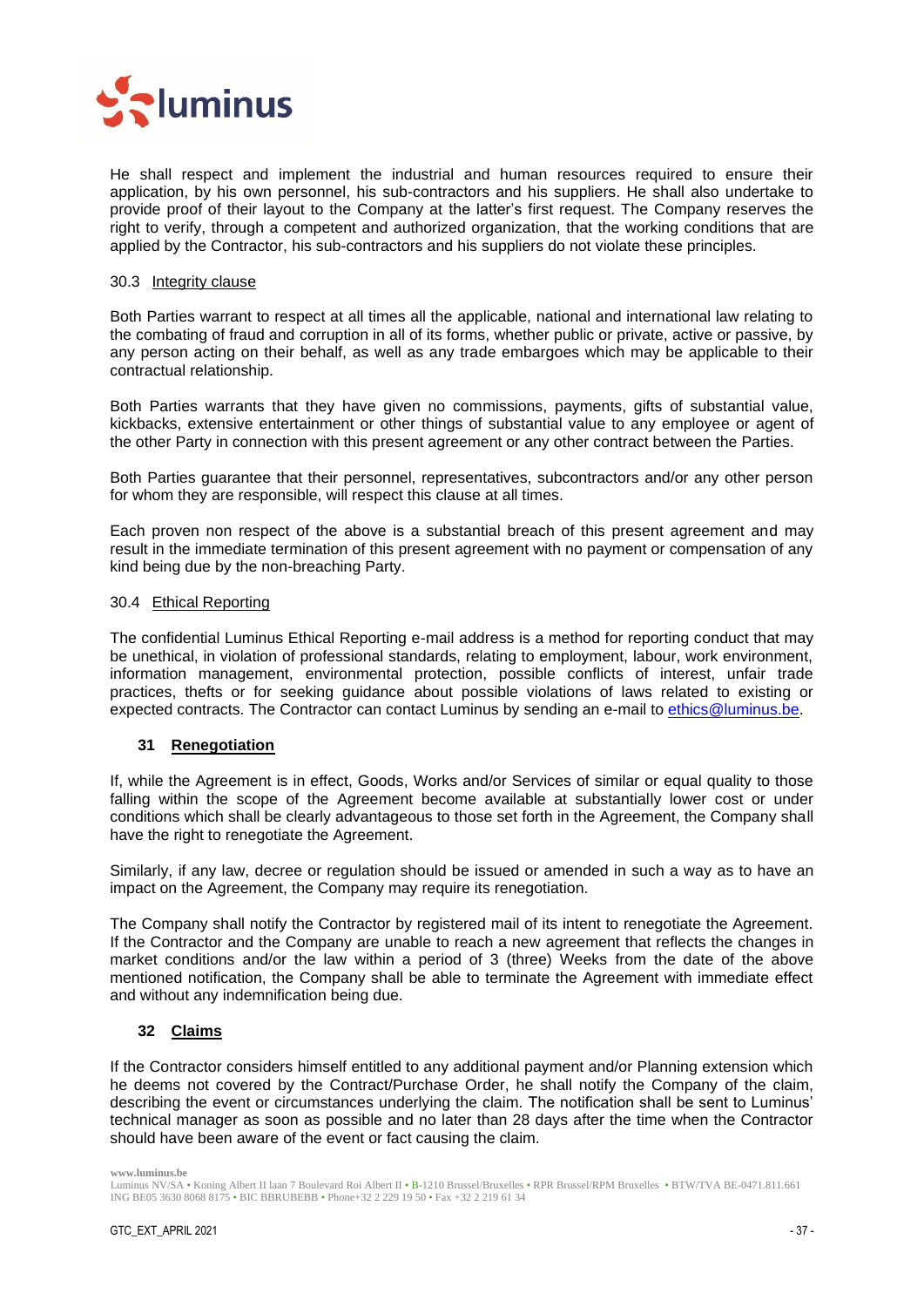

He shall respect and implement the industrial and human resources required to ensure their application, by his own personnel, his sub-contractors and his suppliers. He shall also undertake to provide proof of their layout to the Company at the latter's first request. The Company reserves the right to verify, through a competent and authorized organization, that the working conditions that are applied by the Contractor, his sub-contractors and his suppliers do not violate these principles.

#### <span id="page-36-0"></span>30.3 Integrity clause

Both Parties warrant to respect at all times all the applicable, national and international law relating to the combating of fraud and corruption in all of its forms, whether public or private, active or passive, by any person acting on their behalf, as well as any trade embargoes which may be applicable to their contractual relationship.

Both Parties warrants that they have given no commissions, payments, gifts of substantial value, kickbacks, extensive entertainment or other things of substantial value to any employee or agent of the other Party in connection with this present agreement or any other contract between the Parties.

Both Parties guarantee that their personnel, representatives, subcontractors and/or any other person for whom they are responsible, will respect this clause at all times.

Each proven non respect of the above is a substantial breach of this present agreement and may result in the immediate termination of this present agreement with no payment or compensation of any kind being due by the non-breaching Party.

## <span id="page-36-1"></span>30.4 Ethical Reporting

The confidential Luminus Ethical Reporting e-mail address is a method for reporting conduct that may be unethical, in violation of professional standards, relating to employment, labour, work environment, information management, environmental protection, possible conflicts of interest, unfair trade practices, thefts or for seeking guidance about possible violations of laws related to existing or expected contracts. The Contractor can contact Luminus by sending an e-mail to ethics@luminus.be.

## <span id="page-36-2"></span>**31 Renegotiation**

If, while the Agreement is in effect, Goods, Works and/or Services of similar or equal quality to those falling within the scope of the Agreement become available at substantially lower cost or under conditions which shall be clearly advantageous to those set forth in the Agreement, the Company shall have the right to renegotiate the Agreement.

Similarly, if any law, decree or regulation should be issued or amended in such a way as to have an impact on the Agreement, the Company may require its renegotiation.

The Company shall notify the Contractor by registered mail of its intent to renegotiate the Agreement. If the Contractor and the Company are unable to reach a new agreement that reflects the changes in market conditions and/or the law within a period of 3 (three) Weeks from the date of the above mentioned notification, the Company shall be able to terminate the Agreement with immediate effect and without any indemnification being due.

## <span id="page-36-3"></span>**32 Claims**

If the Contractor considers himself entitled to any additional payment and/or Planning extension which he deems not covered by the Contract/Purchase Order, he shall notify the Company of the claim, describing the event or circumstances underlying the claim. The notification shall be sent to Luminus' technical manager as soon as possible and no later than 28 days after the time when the Contractor should have been aware of the event or fact causing the claim.

Luminus NV/SA • Koning Albert II laan 7 Boulevard Roi Albert II • B-1210 Brussel/Bruxelles • RPR Brussel/RPM Bruxelles • BTW/TVA BE-0471.811.661 ING BE05 3630 8068 8175 • BIC BBRUBEBB • Phone+32 2 229 19 50 • Fax +32 2 219 61 34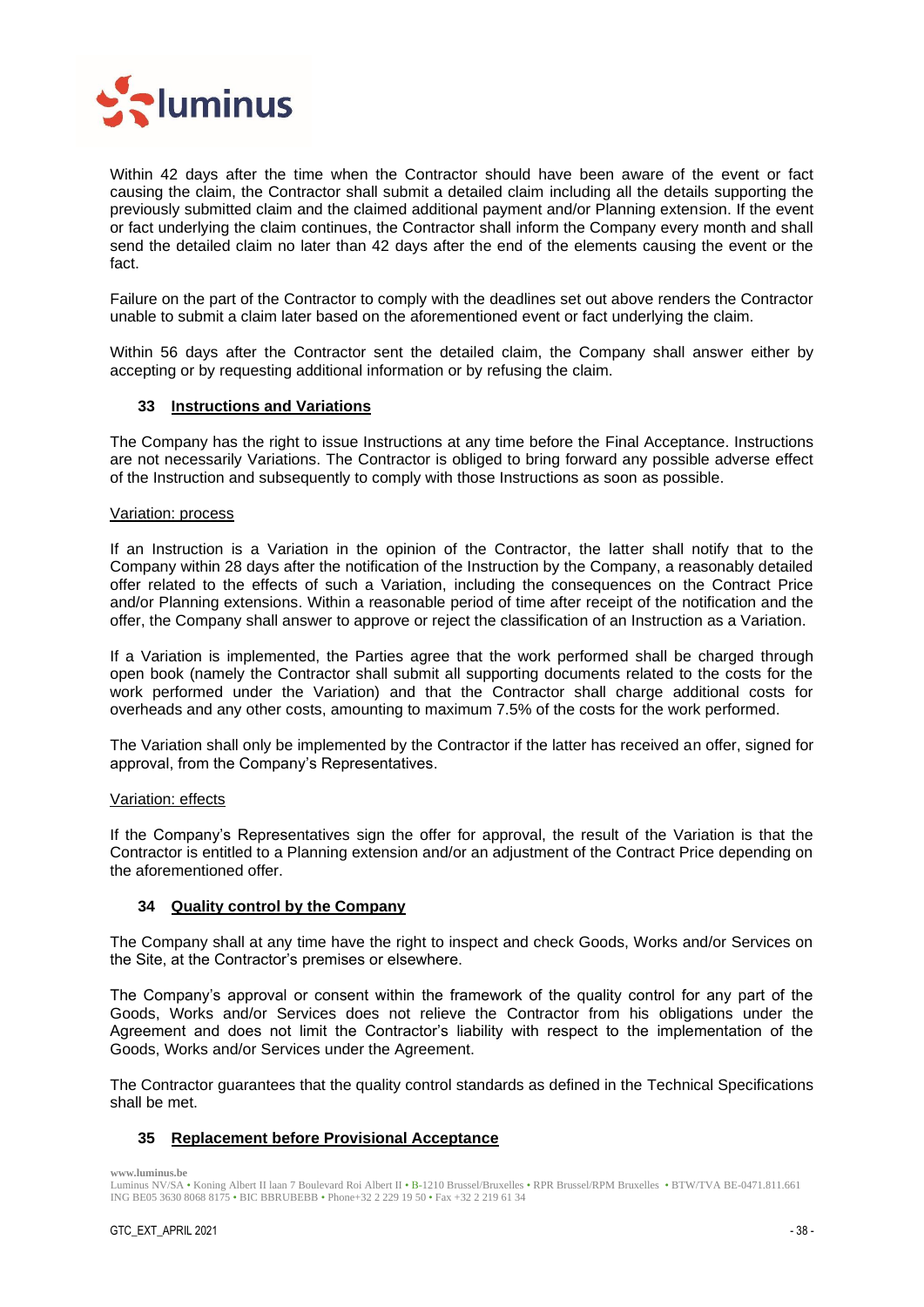

Within 42 days after the time when the Contractor should have been aware of the event or fact causing the claim, the Contractor shall submit a detailed claim including all the details supporting the previously submitted claim and the claimed additional payment and/or Planning extension. If the event or fact underlying the claim continues, the Contractor shall inform the Company every month and shall send the detailed claim no later than 42 days after the end of the elements causing the event or the fact.

Failure on the part of the Contractor to comply with the deadlines set out above renders the Contractor unable to submit a claim later based on the aforementioned event or fact underlying the claim.

Within 56 days after the Contractor sent the detailed claim, the Company shall answer either by accepting or by requesting additional information or by refusing the claim.

## <span id="page-37-0"></span>**33 Instructions and Variations**

The Company has the right to issue Instructions at any time before the Final Acceptance. Instructions are not necessarily Variations. The Contractor is obliged to bring forward any possible adverse effect of the Instruction and subsequently to comply with those Instructions as soon as possible.

## Variation: process

If an Instruction is a Variation in the opinion of the Contractor, the latter shall notify that to the Company within 28 days after the notification of the Instruction by the Company, a reasonably detailed offer related to the effects of such a Variation, including the consequences on the Contract Price and/or Planning extensions. Within a reasonable period of time after receipt of the notification and the offer, the Company shall answer to approve or reject the classification of an Instruction as a Variation.

If a Variation is implemented, the Parties agree that the work performed shall be charged through open book (namely the Contractor shall submit all supporting documents related to the costs for the work performed under the Variation) and that the Contractor shall charge additional costs for overheads and any other costs, amounting to maximum 7.5% of the costs for the work performed.

The Variation shall only be implemented by the Contractor if the latter has received an offer, signed for approval, from the Company's Representatives.

## Variation: effects

If the Company's Representatives sign the offer for approval, the result of the Variation is that the Contractor is entitled to a Planning extension and/or an adjustment of the Contract Price depending on the aforementioned offer.

## <span id="page-37-1"></span>**34 Quality control by the Company**

The Company shall at any time have the right to inspect and check Goods, Works and/or Services on the Site, at the Contractor's premises or elsewhere.

The Company's approval or consent within the framework of the quality control for any part of the Goods, Works and/or Services does not relieve the Contractor from his obligations under the Agreement and does not limit the Contractor's liability with respect to the implementation of the Goods, Works and/or Services under the Agreement.

The Contractor guarantees that the quality control standards as defined in the Technical Specifications shall be met.

## <span id="page-37-2"></span>**35 Replacement before Provisional Acceptance**

Luminus NV/SA • Koning Albert II laan 7 Boulevard Roi Albert II • B-1210 Brussel/Bruxelles • RPR Brussel/RPM Bruxelles • BTW/TVA BE-0471.811.661 ING BE05 3630 8068 8175 • BIC BBRUBEBB • Phone+32 2 229 19 50 • Fax +32 2 219 61 34